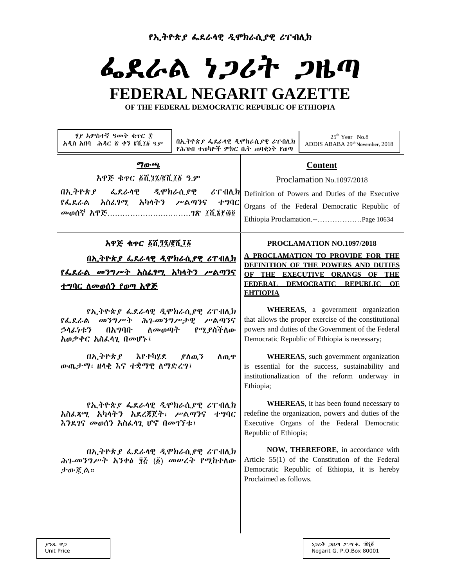የኢትዮጵያ ፌደራላዊ ዲሞክራሲያዊ ሪፐብሊክ

# ፌደራል ነጋሪት ጋዜጣ

# **FEDERAL NEGARIT GAZETTE**

**OF THE FEDERAL DEMOCRATIC REPUBLIC OF ETHIOPIA**

| ሃያ እምስተኛ ዓመት ቁዋር ፰<br>በኢትዮጵያ ፌደራሳዊ ዲሞክራሲያዊ ሪፐብሊክ<br>አዲስ አበባ - ሕዳር ፳ ቀን ፪ሺ፲፩ ዓ.ም<br>የሕዝብ ተወካዮች ምክር ቤት ጠባቂነት የወጣ                   | $25th$ Year No.8<br>ADDIS ABABA 29 <sup>th</sup> November, 2018                                                                                                                                    |  |
|----------------------------------------------------------------------------------------------------------------------------------|----------------------------------------------------------------------------------------------------------------------------------------------------------------------------------------------------|--|
| <b>ማውጫ</b><br>አዋጅ ቁዋር ፩ሺ፺፯/፪ሺ፲፩ ዓ.ም<br>ዲሞክራሲያዊ<br>በኢትዮጵያ ፌደራሳዊ<br>$\mathcal{L}$ ፐ ብሊክ<br><i>የፌ</i> ደራል አስፌፃሚ አካላትን ሥልጣንና<br>ナツりに | <b>Content</b><br>Proclamation No.1097/2018<br>Definition of Powers and Duties of the Executive<br>Organs of the Federal Democratic Republic of                                                    |  |
| አዋጅ ቁኖር ፩ሺ፺፯/፪ሺ፲፩<br><u>በኢትዮጵያ ፌደራሳዊ ዲሞክራሲያዊ ሪፐብሊክ</u><br><u>የፌደራል መንግሥት አስፌፃሚ አካላትን ሥልጣንና</u><br><u>ተግባር ለመወሰን የወጣ አዋጅ</u>      | PROCLAMATION NO.1097/2018<br>A PROCLAMATION TO PROVIDE FOR THE<br>DEFINITION OF THE POWERS AND DUTIES<br>OF THE EXECUTIVE ORANGS OF THE<br>FEDERAL DEMOCRATIC REPUBLIC OF<br><b>EHTIOPIA</b>       |  |
| የኢትዮጵያ ፌደራሳዊ ዲሞክራሲያዊ ሪፐብሊክ<br>የፌደራል መንግሥት ሕገ-መንግሥታዊ ሥልጣንና<br>ለ <i>መ</i> ወጣት የሚያስችለው<br>በአማባቡ<br>うへんりホク<br>አወቃቀር አስፌሳጊ በመሆኑ፤      | WHEREAS, a government organization<br>that allows the proper exercise of the constitutional<br>powers and duties of the Government of the Federal<br>Democratic Republic of Ethiopia is necessary; |  |
| በኢትዮጵያ እየተካሄደ ያለዉን<br>ስዉዋ<br>ውጤታማ፣ ዘላቂ እና ተቋማዊ ለማድረግ፤                                                                            | <b>WHEREAS</b> , such government organization<br>is essential for the success, sustainability and<br>institutionalization of the reform underway in<br>Ethiopia;                                   |  |
| <i>የኢትዮጵያ ፌ</i> ደራሳዊ <i>ዲ</i> ሞክራሲ <i>ያ</i> ዊ ሪፐብሊክ<br>አስፌጻሚ አካላትን አደረጃጀት፣ ሥልጣንና<br>ナツりに<br>እንደገና መወሰን አስፌሳጊ ሆኖ በመገኘቱ፤           | <b>WHEREAS</b> , it has been found necessary to<br>redefine the organization, powers and duties of the<br>Executive Organs of the Federal Democratic<br>Republic of Ethiopia;                      |  |
| በኢትዮጵ <i>ያ ፌ</i> ደራሳዊ ዲሞክራሲ <i>ያ</i> ዊ ሪፐብሊክ<br>ሕገ-መንግሥት አንቀፅ ፶፩ (፩) መሠረት የሚከተለው<br>ታውጇል።                                        | NOW, THEREFORE, in accordance with<br>Article 55(1) of the Constitution of the Federal<br>Democratic Republic of Ethiopia, it is hereby<br>Proclaimed as follows.                                  |  |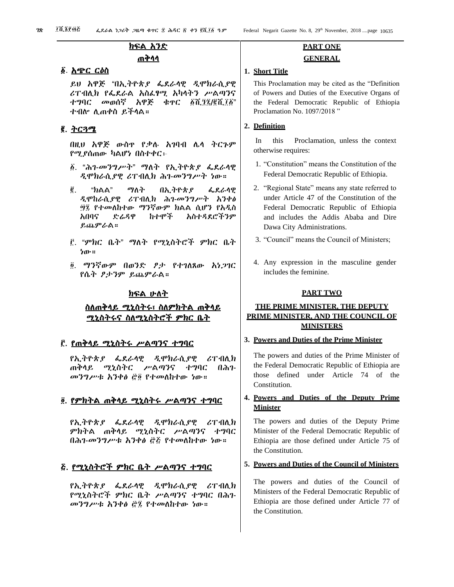# ክፍል አንድ ጠቅላላ

#### ፩. አጭር ርዕስ

ይህ አዋጅ "በኢትዮጵያ ፌደራላዊ ዲሞክራሲያዊ ሪፐብሊክ የፌደራል አስፈፃሚ አካላትን ሥልጣንና ተግባር መወሰኛ አዋጅ ቁጥር ፩ሺ፺፯/፪ሺ፲፩" ተብሎ ሊጠቀስ ይችላል።

# ፪. <u>ትርጓሜ</u>

በዚህ አዋጅ ውስጥ የቃሉ አገባብ ሌላ ትርጉም የሚያሰጠው ካልሆነ በስተቀር፦

- ፩. "ሕገ-መንግሥት" ማለት የኢትዮጵያ ፌደራላዊ ዲሞክራሲያዊ ሪፐብሊክ ሕገ-መንግሥት ነው።
- ፪. "ክልል" ማለት በኢትዮጵያ ፌደራላዊ ዲሞከራሲያዊ ሪፐብሊክ ሕገ-መንግሥት አንቀፅ ፵፯ የተመለከተው ማንኛውም ክልል ሲሆን የአዲስ አበባና ድሬዳዋ ከተሞች አስተዳደሮችንም ይጨምራል።
- ፫. "ምክር ቤት" ማለት የሚኒስትሮች ምክር ቤት ነው።
- ፬. ማንኛውም በወንድ ፆታ የተገለጸው አነጋገር የሴት ፆታንም ይጨምራል።

# ክፍል ሁለት

# ስለጠቅላይ ሚኒስትሩ፣ ስለምክትል ጠቅላይ ሚኒስትሩና ስለሚኒስትሮች ምክር ቤት

# ፫. የጠቅላይ ሚኒስትሩ ሥልጣንና ተግባር

የኢትዮጵያ ፌደራላዊ ዲሞክራሲያዊ ሪፐብሊክ ጠቅላይ ሚኒስትር ሥልጣንና ተግባር በሕገ-መንግሥቱ አንቀፅ ፸፬ የተመለከተው ነው።

# ፬. የምክትል ጠቅላይ ሚኒስትሩ ሥልጣንና ተግባር

የኢትዮጵያ ፌደራላዊ ዲሞክራሲያዊ ሪፐብሊክ ምክትል ጠቅላይ ሚኒስትር ሥልጣንና ተግባር በሕገ-መንግሥቱ አንቀፅ ፸፭ የተመለከተው ነው።

# ፭. የሚኒስትሮች ምክር ቤት ሥልጣንና ተግባር

የኢትዮጵያ ፌደራላዊ ዲሞክራሲያዊ ሪፐብሊክ የሚኒስትሮች ምክር ቤት ሥልጣንና ተግባር በሕገ-መንግሥቱ አንቀፅ ፸፯ የተመለከተው ነው።

# **PART ONE GENERAL**

#### **1. Short Title**

This Proclamation may be cited as the "Definition of Powers and Duties of the Executive Organs of the Federal Democratic Republic of Ethiopia Proclamation No. 1097/2018 "

#### **2. Definition**

In this Proclamation, unless the context otherwise requires:

- 1. "Constitution" means the Constitution of the Federal Democratic Republic of Ethiopia.
- 2. "Regional State" means any state referred to under Article 47 of the Constitution of the Federal Democratic Republic of Ethiopia and includes the Addis Ababa and Dire Dawa City Administrations.
- 3. "Council" means the Council of Ministers;
- 4. Any expression in the masculine gender includes the feminine.

#### **PART TWO**

# **THE PRIME MINISTER, THE DEPUTY PRIME MINISTER, AND THE COUNCIL OF MINISTERS**

#### **3. Powers and Duties of the Prime Minister**

The powers and duties of the Prime Minister of the Federal Democratic Republic of Ethiopia are those defined under Article 74 of the Constitution.

# **4. Powers and Duties of the Deputy Prime Minister**

The powers and duties of the Deputy Prime Minister of the Federal Democratic Republic of Ethiopia are those defined under Article 75 of the Constitution.

# **5. Powers and Duties of the Council of Ministers**

The powers and duties of the Council of Ministers of the Federal Democratic Republic of Ethiopia are those defined under Article 77 of the Constitution.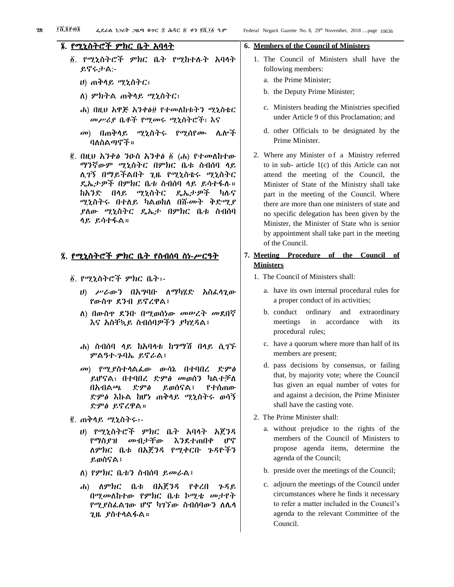# ፮. የሚኒስትሮች ምክር ቤት አባላት

- ፩. የሚኒስትሮች ምክር ቤት የሚከተሉት አባላት ይኖሩታል:-
	- ሀ) ጠቅላይ ሚኒስትር፣
	- ለ) ምክትል ጠቅላይ ሚኒስትር፣
	- ሐ) በዚህ አዋጅ አንቀፅ፱ የተመለከቱትን ሚኒስቴር መሥሪያ ቤቶች የሚመሩ ሚኒስትሮች፣ እና
	- መ) በጠቅላይ ሚኒስትሩ የሚሰየሙ ሌሎች ባለስልጣኖች።
- ፪. በዚህ አንቀፅ ንዑስ አንቀፅ ፩ (ሐ) የተመለከተው ማንኛውም ሚኒስትር በምክር ቤቱ ስብሰባ ላይ ሊገኝ በማይችልበት ጊዜ የሚኒስቴሩ ሚኒስትር ዴኤታዎች በምክር ቤቱ ስብሰባ ላይ ይሳተፋሉ። ከአንድ በላይ ሚኒስትር ዴኤታዎች ካሉና ሚኒስትሩ በተለይ ካልወከለ በሹመት ቅድሚያ ያለው ሚኒስትር ዴኤታ በምክር ቤቱ ስብሰባ ላይ ይሳተፋል።

# ፯. የሚኒስትሮች ምክር ቤት የስብሰባ ስነ-ሥርዓት

- ፩. የሚኒስትሮች ምክር ቤት፡-
	- ሀ) ሥራውን በአግባቡ ለማካሄድ አስፈላጊው የውስጥ ደንብ ይኖረዋል፤
	- ለ) በውስጥ ደንቡ በሚወሰነው መሠረት መደበኛ እና አስቸኳይ ስብሰባዎችን ያካሂዳል፤
	- ሐ) ስብሰባ ላይ ከአባላቱ ከግማሽ በላይ ሲገኙ ምልዓተ-ጉባኤ ይኖራል፤
	- መ) የሚያስተላልፈው ውሳኔ በተባበረ ድምፅ ይሆናል፣ በተባበረ ድምፅ መወሰን ካልተቻለ በአብልጫ ድምፅ ይወሰናል፤ የተሰጠው ድምፅ እኩል ከሆነ ጠቅላይ ሚኒስትሩ ወሳኝ ድምፅ ይኖረዋል።
- ፪. ጠቅላይ ሚኒስትሩ፡-
	- ሀ) የሚኒስትሮች ምክር ቤት አባላት አጀንዳ የማስያዝ መብታቸው እንደተጠበቀ ሆኖ ለምክር ቤቱ በአጀንዳ የሚቀርቡ ጉዳዮችን ይወስናል፤
	- ለ) የምክር ቤቱን ስብሰባ ይመራል፤
	- ሐ) ለምክር ቤቱ በአጀንዳ የቀረበ ጉዳይ በሚመለከተው የምክር ቤቱ ኮሚቴ መታየት የሚያስፈልገው ሆኖ ካገኘው ስብሰባውን ለሌላ ጊዜ ያስተላልፋል።

# **6. Members of the Council of Ministers**

- 1. The Council of Ministers shall have the following members:
	- a. the Prime Minister;
	- b. the Deputy Prime Minister;
	- c. Ministers heading the Ministries specified under Article 9 of this Proclamation; and
	- d. other Officials to be designated by the Prime Minister.
- 2. Where any Minister of a Ministry referred to in sub- article 1(c) of this Article can not attend the meeting of the Council, the Minister of State of the Ministry shall take part in the meeting of the Council. Where there are more than one ministers of state and no specific delegation has been given by the Minister, the Minister of State who is senior by appointment shall take part in the meeting of the Council.
- **7. Meeting Procedure of the Council of Ministers**
	- 1. The Council of Ministers shall:
		- a. have its own internal procedural rules for a proper conduct of its activities;
		- b. conduct ordinary and extraordinary meetings in accordance with its procedural rules;
		- c. have a quorum where more than half of its members are present;
		- d. pass decisions by consensus, or failing that, by majority vote; where the Council has given an equal number of votes for and against a decision, the Prime Minister shall have the casting vote.
	- 2. The Prime Minister shall:
		- a. without prejudice to the rights of the members of the Council of Ministers to propose agenda items, determine the agenda of the Council;
		- b. preside over the meetings of the Council;
		- c. adjourn the meetings of the Council under circumstances where he finds it necessary to refer a matter included in the Council's agenda to the relevant Committee of the Council.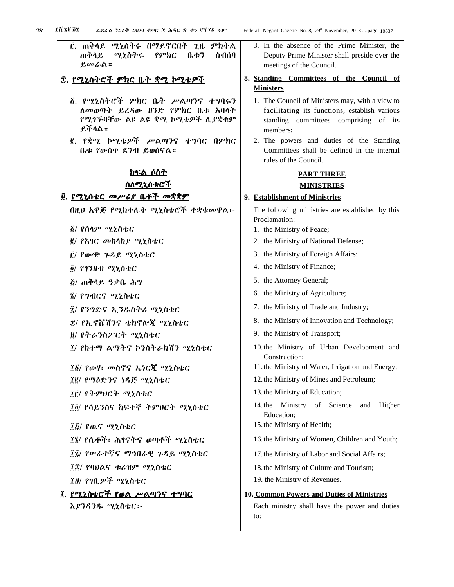፫. ጠቅላይ ሚኒስትሩ በማይኖርበት ጊዜ ምክትል ጠቅላይ ሚኒስትሩ የምክር ቤቱን ስብሰባ ይመራል።

# ፰. የሚኒስትሮች ምክር ቤት ቋሚ ኮሚቴዎች

- ፩. የሚኒስትሮች ምክር ቤት ሥልጣንና ተግባሩን ለመወጣት ይረዳው ዘንድ የምክር ቤቱ አባላት የሚገኙባቸው ልዩ ልዩ ቋሚ ኮሚቴዎች ሊያቋቁም ይችላል።
- ፪. የቋሚ ኮሚቴዎች ሥልጣንና ተግባር በምክር ቤቱ የውስጥ ደንብ ይወሰናል።

# ክፍል ሶስት ስለሚኒስቴሮች

# ፱. የሚኒስቴር መሥሪያ ቤቶች መቋቋም

በዚህ አዋጅ የሚከተሉት ሚኒስቴሮች ተቋቁመዋል፡-

- ፩/ የሰላም ሚኒስቴር
- ፪/ የአገር መከላከያ ሚኒስቴር
- ፫/ የውጭ ጉዳይ ሚኒስቴር
- ፬/ የገንዘብ ሚኒስቴር
- ፭/ ጠቅላይ ዓቃቤ ሕግ
- ፮/ የግብርና ሚኒስቴር
- ፯/ የንግድና ኢንዱስትሪ ሚኒስቴር
- ፰/ የኢኖቬሽንና ቴክኖሎጂ ሚኒስቴር
- ፱/ የትራንስፖርት ሚኒስቴር
- ፲/ የከተማ ልማትና ኮንስትራክሽን ሚኒስቴር
- ፲፩/ የውሃ፣ መስኖና ኤነርጂ ሚኒስቴር
- ፲፪/ የማዕድንና ነዳጅ ሚኒስቴር
- ፲፫/ የትምህርት ሚኒስቴር
- ፲፬/ የሳይንስና ከፍተኛ ትምህርት ሚኒስቴር
- ፲፭/ የጤና ሚኒስቴር
- ፲፮/ የሴቶች፣ ሕፃናትና ወጣቶች ሚኒስቴር
- ፲፯/ የሠራተኛና ማኅበራዊ ጉዳይ ሚኒስቴር
- ፲፰/ የባህልና ቱሪዝም ሚኒስቴር
- ፲፱/ የገቢዎች ሚኒስቴር
- ፲. የሚኒስቴሮች የወል ሥልጣንና ተግባር እያንዳንዱ ሚኒስቴር፡-
- 3. In the absence of the Prime Minister, the Deputy Prime Minister shall preside over the meetings of the Council.
- **8. Standing Committees of the Council of Ministers**
	- 1. The Council of Ministers may, with a view to facilitating its functions, establish various standing committees comprising of its members;
	- 2. The powers and duties of the Standing Committees shall be defined in the internal rules of the Council.

# **PART THREE**

# **MINISTRIES**

#### **9. Establishment of Ministries**

The following ministries are established by this Proclamation:

- 1. the Ministry of Peace;
- 2. the Ministry of National Defense;
- 3. the Ministry of Foreign Affairs;
- 4. the Ministry of Finance;
- 5. the Attorney General;
- 6. the Ministry of Agriculture;
- 7. the Ministry of Trade and Industry;
- 8. the Ministry of Innovation and Technology;
- 9. the Ministry of Transport;
- 10.the Ministry of Urban Development and Construction;
- 11.the Ministry of Water, Irrigation and Energy;
- 12.the Ministry of Mines and Petroleum;
- 13.the Ministry of Education;
- 14.the Ministry of Science and Higher Education;
- 15.the Ministry of Health;
- 16.the Ministry of Women, Children and Youth;
- 17.the Ministry of Labor and Social Affairs;
- 18.the Ministry of Culture and Tourism;
- 19. the Ministry of Revenues.

#### **10. Common Powers and Duties of Ministries**

Each ministry shall have the power and duties to: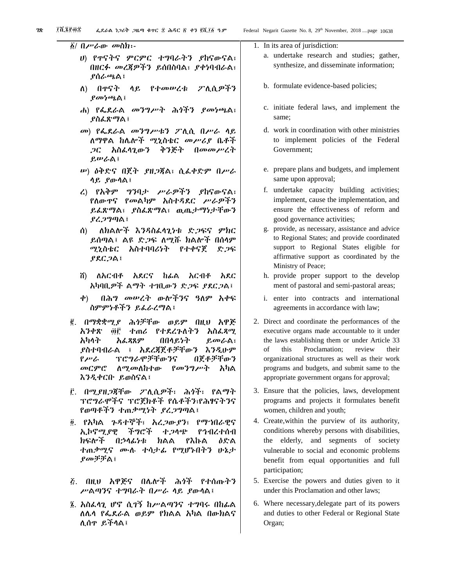፩/ በሥራው መስክ፡-

- ሀ) የጥናትና ምርምር ተግባራትን ያከናውናል፣ በዘርፉ መረጃዎችን ይሰበስባል፣ ያቀነባብራል፣ ያሰራጫል፤
- ለ) በጥናት ላይ የተመሠረቱ ፖሊሲዎችን ያመነጫል፤
- ሐ) የፌደራል መንግሥት ሕጎችን ያመነጫል፣ ያስፈጽማል፤
- መ) የፌደራል መንግሥቱን ፖሊሲ በሥራ ላይ ለማዋል ከሌሎች ሚኒስቴር መሥሪያ ቤቶች ጋር አስፈላጊውን ቅንጅት በመመሥረት ይሠራል፤
- ሠ) ዕቅድና በጀት ያዘጋጃል፣ ሲፈቀድም በሥራ ላይ ያውላል፤
- ረ) የአቅም ግንባታ ሥራዎችን ያከናውናል፣ የለውጥና የመልካም አስተዳደር ሥራዎችን ይፈጽማል፣ ያስፈጽማል፣ ዉጤታማነታቸውን ያረጋግጣል፤
- ሰ) ለክልሎች እንዳስፈላጊነቱ ድጋፍና ምክር ይሰጣል፤ ልዩ ድጋፍ ለሚሹ ክልሎች በሰላም ሚኒስቴር አስተባባሪነት የተቀናጀ ድጋፍ ያደርጋል፤
- ሸ) ለአርብቶ አደርና ከፊል አርብቶ አደር አካባቢዎች ልማት ተገቢውን ድጋፍ ያደርጋል፤
- ቀ) በሕግ መሠረት ውሎችንና ዓለም አቀፍ ስምምነቶችን ይፈራረማል፤
- ፪. በማቋቋሚያ ሕጎቻቸው ወይም በዚህ አዋጅ አንቀጽ ፴፫ ተጠሪ የተደረጉለትን አስፈጻሚ አካላት አፈጻጸም በበላይነት ይመራል፣ ያስተባብራል ፤ አደረጃጀቶቻቸውን እንዲሁም የሥራ ፕሮግራሞቻቸውንና በጀቶቻቸውን መርምሮ ለሚመለከተው የመንግሥት አካል እንዲቀርቡ ይወስናል፤
- ፫. በሚያዘጋጃቸው ፖሊሲዎች፣ ሕጎች፣ የልማት ፕሮግራሞችና ፕሮጀክቶች የሴቶችን፣የሕፃናትንና የወጣቶችን ተጠቃሚነት ያረጋግጣል፤
- ፬. የአካል ጉዳተኞች፣ አረጋውያን፣ የማኀበራዊና ኢኮኖሚያዊ ችግሮች ተጋላጭ የኅብረተሰብ ክፍሎች በኃላፊነቱ ክልል የእኩል ዕድል ተጠቃሚና ሙሉ ተሳታፊ የሚሆኑበትን ሁኔታ ያመቻቻል፤
- ፭. በዚህ አዋጅና በሌሎች ሕጎች የተሰጡትን ሥልጣንና ተግባራት በሥራ ላይ ያውላል፤
- ፮. አስፈላጊ ሆኖ ሲገኝ ከሥልጣንና ተግባሩ በከፊል ለሌላ የፌደራል ወይም የክልል አካል በውክልና ሊሰጥ ይችላል፤

|  | 1. In its area of jurisdiction:             |
|--|---------------------------------------------|
|  | a. undertake research and studies; gather,  |
|  | synthesize, and disseminate information;    |
|  | b. formulate evidence-based policies;       |
|  | c. initiate federal laws, and implement the |

- same; d. work in coordination with other ministries
- to implement policies of the Federal Government;
- e. prepare plans and budgets, and implement same upon approval;
- f. undertake capacity building activities; implement, cause the implementation, and ensure the effectiveness of reform and good governance activities;
- g. provide, as necessary, assistance and advice to Regional States; and provide coordinated support to Regional States eligible for affirmative support as coordinated by the Ministry of Peace;
- h. provide proper support to the develop ment of pastoral and semi-pastoral areas;
- i. enter into contracts and international agreements in accordance with law;
- 2. Direct and coordinate the performances of the executive organs made accountable to it under the laws establishing them or under Article 33 of this Proclamation; review their organizational structures as well as their work programs and budgets, and submit same to the appropriate government organs for approval;
- 3. Ensure that the policies, laws, development programs and projects it formulates benefit women, children and youth;
- 4. Create,within the purview of its authority, conditions whereby persons with disabilities, the elderly, and segments of society vulnerable to social and economic problems benefit from equal opportunities and full participation;
- 5. Exercise the powers and duties given to it under this Proclamation and other laws;
- 6. Where necessary,delegate part of its powers and duties to other Federal or Regional State Organ;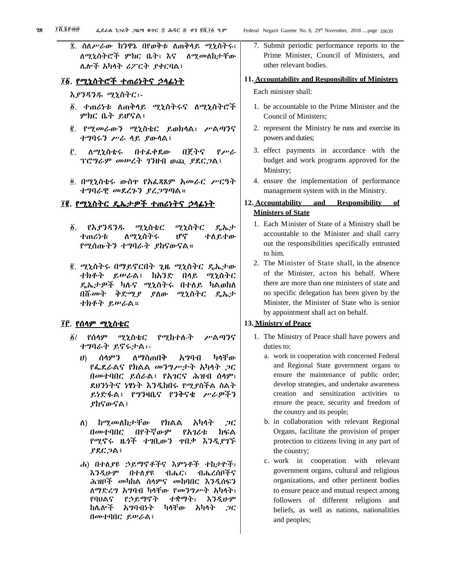፯. ስለሥራው ክንዋኔ በየወቅቱ ለጠቅላይ ሚኒስትሩ፣ ለሚኒስትሮች ምክር ቤት፣ እና ለሚመለከታቸው ሌሎች አካላት ሪፖርት ያቀርባል፤

# ፲፩. የሚኒስትሮች ተጠሪነትና ኃላፊነት

#### እያንዳንዱ ሚኒስትር፡-

- ፩. ተጠሪነቱ ለጠቅላይ ሚኒስትሩና ለሚኒስትሮች ምክር ቤት ይሆናል፤
- ፪. የሚመራውን ሚኒስቴር ይወክላል፣ ሥልጣንና ተግባሩን ሥራ ላይ ያውላል፤
- ፫. ለሚኒስቴሩ በተፈቀደው በጀትና የሥራ ፕሮግራም መሠረት ገንዘብ ወጪ ያደርጋል፤
- ፬. በሚኒስቴሩ ውስጥ የአፈጻጸም አመራር ሥርዓት ተግባራዊ መደረጉን ያረጋግጣል።

## ፲፪. የሚኒስትር ዴኤታዎች ተጠሪነትና ኃላፊነት

- ፩. የእያንዳንዱ ሚኒስቴር ሚኒስትር ዴኤታ ተጠሪነቱ ለሚኒስትሩ ሆኖ ተለይተው የሚሰጡትን ተግባራት ያከናውናል።
- ፪. ሚኒስትሩ በማይኖርበት ጊዜ ሚኒስትር ዴኤታው ተክቶት ይሠራል፤ ከአንድ በላይ ሚኒስትር ዴኤታዎች ካሉና ሚኒስትሩ በተለይ ካልወከለ በሹመት ቅድሚያ ያለው ሚኒስትር ዴኤታ ተክቶት ይሠራል።

#### ፲፫. የሰላም ሚኒስቴር

- ፩/ የሰላም ሚኒስቴር የሚከተሉት ሥልጣንና ተግባራት ይኖሩታል፡-
	- ሀ) ሰላምን ለማስጠበቅ አግባብ ካላቸው የፌደራልና የክልል መንግሥታት አካላት ጋር በመተባበር ይሰራል፤ የአገርና ሕዝብ ሰላም፣ ደህንነትና ነፃነት እንዲከበሩ የሚያስችል ስልት ይነድፋል፤ የግንዛቤና የንቅናቄ ሥራዎችን ያከናውናል፤
	- ለ) ከሚመለከታቸው የክልል አካላት ጋር በመተባበር በየትኛውም የአገሪቱ ክፍል የሚኖሩ ዜጎች ተገቢውን ጥበቃ እንዲያገኙ ያደርጋል፤
	- ሐ) በተለያዩ ኃይማኖቶችና እምነቶች ተከታዮች፣ እንዲሁም በተለያዩ ብሔር፣ ብሔረሰቦችና ሕዝቦች መካከል ሰላምና መከባበር እንዲሰፍን ለማድረግ አግባብ ካላቸው የመንግሥት አካላት፣ የባህልና የኃይማኖት ተቋማት፣ እንዲሁም ከሌሎች አግባብነት ካላቸው አካላት ጋር በመተባበር ይሠራል፤

7. Submit periodic performance reports to the Prime Minister, Council of Ministers, and other relevant bodies.

#### **11. Accountability and Responsibility of Ministers**

Each minister shall:

- 1. be accountable to the Prime Minister and the Council of Ministers;
- 2. represent the Ministry he runs and exercise its powers and duties;
- 3. effect payments in accordance with the budget and work programs approved for the Ministry;
- 4. ensure the implementation of performance management system with in the Ministry.

# **12. Accountability and Responsibility of Ministers of State**

- 1. Each Minister of State of a Ministry shall be accountable to the Minister and shall carry out the responsibilities specifically entrusted to him.
- 2. The Minister of State shall, in the absence of the Minister, acton his behalf. Where there are more than one ministers of state and no specific delegation has been given by the Minister, the Minister of State who is senior by appointment shall act on behalf.

# **13. Ministry of Peace**

- 1. The Ministry of Peace shall have powers and duties to:
	- a. work in cooperation with concerned Federal and Regional State government organs to ensure the maintenance of public order; develop strategies, and undertake awareness creation and sensitization activities to ensure the peace, security and freedom of the country and its people;
	- b. in collaboration with relevant Regional Organs, facilitate the provision of proper protection to citizens living in any part of the country;
	- c. work in cooperation with relevant government organs, cultural and religious organizations, and other pertinent bodies to ensure peace and mutual respect among followers of different religions and beliefs, as well as nations, nationalities and peoples;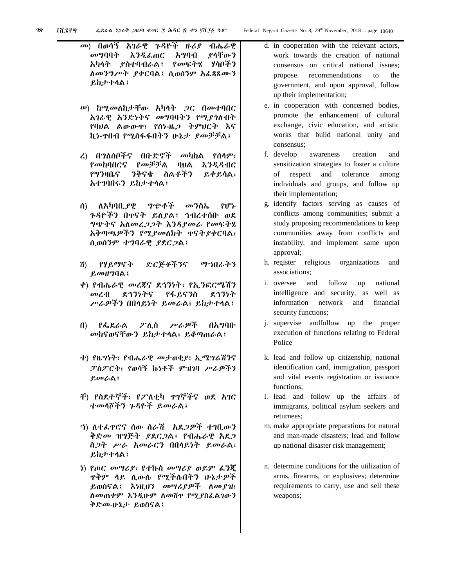- መ) በወሳኝ አገራዊ ጉዳዮች ዙሪያ ብሔራዊ መግባባት እንዲፈጠር አግባብ ያላቸውን አካላት ያስተባብራል፤ የመፍትሄ ሃሳቦችን ለመንግሥት ያቀርባል፤ ሲወሰንም አፈጻጸሙን ይከታተላል፤
- ሠ) ከሚመለከታቸው አካላት ጋር በመተባበር አገራዊ አንድነትና መግባባትን የሚያጎለብት የባህል ልውውጥ፣ የስነ-ዜጋ ትምህርት እና ኪነ-ጥበብ የሚስፋፋበትን ሁኔታ ያመቻቻል፤
- ረ) በግለሰቦችና በቡድኖች መካከል የሰላም፣ የመከባበርና የመቻቻል ባህል እንዲዳብር የግንዛቤና ንቅናቄ ስልቶችን ይቀይሳል፣ አተገባበሩን ይከታተላል፤
- ሰ) ለአካባቢያዊ ግጭቶች መንስኤ የሆኑ ጉዳዮችን በጥናት ይለያል፤ ኅብረተሰቡ ወደ ግጭትና አለመረጋጋት እንዳያመራ የመፍትሄ አቅጣጫዎችን የሚያመለክት ጥናትያቀርባል፣ ሲወሰንም ተግባራዊ ያደርጋል፤
- ሸ) የሃይማኖት ድርጅቶችንና ማኀበራትን ይመዘግባል፤
- ቀ) የብሔራዊ መረጃና ደኅንነት፣ የኢንፎርሜሽን መረብ ደኅንነትና የፋይናንስ ደኅንነት ሥራዎችን በበላይነት ይመራል፣ ይከታተላል፤
- በ) የፌደራል ፖሊስ ሥራዎች በአግባቡ መከናወናቸውን ይከታተላል፣ ይቆጣጠራል፤
- ተ) የዜግነት፣ የብሔራዊ መታወቂያ፣ ኢሜግሬሽንና ፓስፖርት፣ የወሳኝ ኩነቶች ምዝገባ ሥራዎችን ይመራል፤
- ቸ) የስደተኞች፣ የፖለቲካ ጥገኞችና ወደ አገር ተመላሾችን ጉዳዮች ይመራል፤
- ኀ) ለተፈጥሮና ሰው ሰራሽ አደጋዎች ተገቢውን ቅድመ ዝግጅት ያደርጋል፤ የብሔራዊ አደጋ ስጋት ሥራ አመራርን በበላይነት ይመራል፣ ይከታተላል፤
- ነ) የጦር መሣሪያ፣ የተኩስ መሣሪያ ወይም ፈንጂ ጥቅም ላይ ሊውሉ የሚችሉበትን ሁኔታዎች ይወስናል፤ እነዚህን መሣሪያዎች ለመያዝ፣ ለመጠቀም እንዲሁም ለመሸጥ የሚያስፈልገውን ቅድመ-ሁኔታ ይወስናል፤
- d. in cooperation with the relevant actors, work towards the creation of national consensus on critical national issues; propose recommendations to the government, and upon approval, follow up their implementation;
- e. in cooperation with concerned bodies, promote the enhancement of cultural exchange, civic education, and artistic works that build national unity and consensus;
- f. develop awareness creation and sensitization strategies to foster a culture of respect and tolerance among individuals and groups, and follow up their implementation;
- g. identify factors serving as causes of conflicts among communities; submit a study proposing recommendations to keep communities away from conflicts and instability, and implement same upon approval;
- h. register religious organizations and associations;
- i. oversee and follow up national intelligence and security, as well as information network and financial security functions;
- j. supervise andfollow up the proper execution of functions relating to Federal Police
- k. lead and follow up citizenship, national identification card, immigration, passport and vital events registration or issuance functions;
- l. lead and follow up the affairs of immigrants, political asylum seekers and returnees;
- m. make appropriate preparations for natural and man-made disasters; lead and follow up national disaster risk management;
- n. determine conditions for the utilization of arms, firearms, or explosives; determine requirements to carry, use and sell these weapons;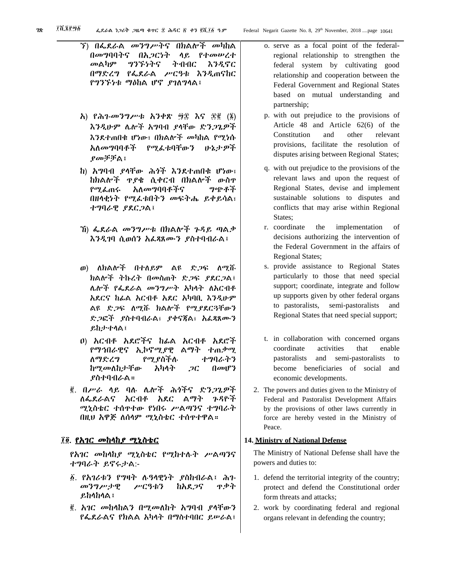- ኘ) በፌደራል መንግሥትና በክልሎች መካከል በመግባባትና በአጋርነት ላይ የተመሠረተ መልካም ግንኙነትና ትብብር እንዲኖር በማድረግ የፌደራል ሥርዓቱ እንዲጠናከር የግንኙነቱ ማዕከል ሆኖ ያገለግላል፤
- አ) የሕገ-መንግሥቱ አንቀጽ ፵፰ እና ፷፪ (፮) እንዲሁም ሌሎች አግባብ ያላቸው ድንጋጌዎች እንደተጠበቁ ሆነው፣ በክልሎች መካከል የሚነሱ አለመግባባቶች የሚፈቱባቸውን ሁኔታዎች ያመቻቻል፤
- ከ) አግባብ ያላቸው ሕጎች እንደተጠበቁ ሆነው፣ ከክልሎች ጥያቄ ሲቀርብ በክልሎች ውስጥ የሚፈጠሩ አለመግባባቶችና ግጭቶች በዘላቂነት የሚፈቱበትን መፍትሔ ይቀይሳል፣ ተግባራዊ ያደርጋል፤
- ኸ) ፌደራል መንግሥቱ በክልሎች ጉዳይ ጣልቃ እንዲገባ ሲወሰን አፈጻጸሙን ያስተባብራል፤
- ወ) ለክልሎች በተለይም ልዩ ድጋፍ ለሚሹ ክልሎች ትኩረት በመስጠት ድጋፍ ያደርጋል፤ ሌሎች የፌደራል መንግሥት አካላት ለአርብቶ አደርና ከፊል አርብቶ አደር አካባቢ እንዲሁም ልዩ ድጋፍ ለሚሹ ክልሎች የሚያደርጓቸውን ድጋፎች ያስተባብራል፣ ያቀናጃል፣ አፈጻጸሙን ይከታተላል፤
- ዐ) አርብቶ አደሮችና ከፊል አርብቶ አደሮች የማኅበራዊና ኢኮኖሚያዊ ልማት ተጠቃሚ ለማድረግ የሚያስችሉ ተግባራትን ከሚመለከታቸው አካላት ጋር በመሆን ያስተባብራል።
- ፪. በሥራ ላይ ባሉ ሌሎች ሕጎችና ድንጋጌዎች ለፌደራልና አርብቶ አደር ልማት ጉዳዮች ሚኒስቴር ተሰጥተው የነበሩ ሥልጣንና ተግባራት በዚህ አዋጅ ለሰላም ሚኒስቴር ተሰጥተዋል።

#### ፲፬. የአገር መከላከያ ሚኒስቴር

የአገር መከላከያ ሚኒስቴር የሚከተሉት ሥልጣንና ተግባራት ይኖሩታል:-

- ፩. የአገሪቱን የግዛት ሉዓላዊነት ያስከብራል፤ ሕገ-መንግሥታዊ ሥርዓቱን ከአደጋና ጥቃት ይከላከላል፤
- ፪. አገር መከላከልን በሚመለከት አግባብ ያላቸውን የፌደራልና የክልል አካላት በማስተባበር ይሠራል፤
- o. serve as a focal point of the federalregional relationship to strengthen the federal system by cultivating good relationship and cooperation between the Federal Government and Regional States based on mutual understanding and partnership;
- p. with out prejudice to the provisions of Article 48 and Article 62(6) of the Constitution and other relevant provisions, facilitate the resolution of disputes arising between Regional States;
- q. with out prejudice to the provisions of the relevant laws and upon the request of Regional States, devise and implement sustainable solutions to disputes and conflicts that may arise within Regional States;
- r. coordinate the implementation of decisions authorizing the intervention of the Federal Government in the affairs of Regional States;
- s. provide assistance to Regional States particularly to those that need special support; coordinate, integrate and follow up supports given by other federal organs to pastoralists, semi-pastoralists and Regional States that need special support;
- t. in collaboration with concerned organs coordinate activities that enable pastoralists and semi-pastoralists to become beneficiaries of social and economic developments.
- 2. The powers and duties given to the Ministry of Federal and Pastoralist Development Affairs by the provisions of other laws currently in force are hereby vested in the Ministry of Peace.

#### **14. Ministry of National Defense**

The Ministry of National Defense shall have the powers and duties to:

- 1. defend the territorial integrity of the country; protect and defend the Constitutional order form threats and attacks;
- 2. work by coordinating federal and regional organs relevant in defending the country;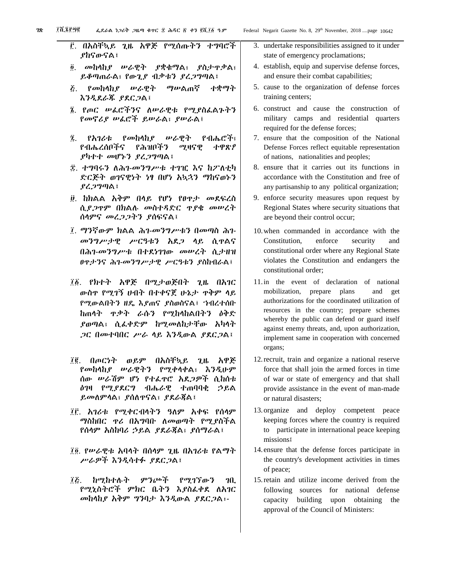፫. በአስቸኳይ ጊዜ አዋጅ የሚሰጡትን ተ ያከናውናል፤ ፬. መከላከያ ሠራዊት ያቋቁማል፣ ያስታ ይቆጣጠራል፣ የውጊያ ብቃቱን ያረጋግጣል *ξ. የመከላከያ ሠራዊት ማሠ*ልጠኛ ተ እንዲደራጁ ያደርጋል፤ ፮. የጦር ሠፌሮችንና ለሠራዊቱ የሚያስፌል የመኖሪያ ሠፈሮች ይሠራል፣ ያሠራል፤ ፯. የአገሪቱ የመከላከያ ሠራዊት የብራ የብሔረሰቦችና የሕዝቦችን ሚዛናዊ *ተ* ያካተተ መሆኑን ያረጋግጣል፤ ፰. ተግባሩን ለሕገ-መንግሥቱ ተገዢ እና ከ2 ድርጅት ወገናዊነት ነፃ በሆነ አኳኋን ማከ ያረጋግጣል፤ ፱. ከክልል አቅም በላይ የሆነ የፀጥታ መ ሲያጋጥም በክልሉ መስተዳድር ጥያቄ መ ሰላምና መረጋጋትን ያሰፍናል፤ ፲. ማንኛውም ክልል ሕገ-መንግሥቱን በመጣ መንግሥታዊ ሥርዓቱን አደጋ ላይ ( በሕገ-መንግሥቱ በተደነገገው መሠረት ( ፀጥታንና ሕገ-መንግሥታዊ ሥርዓቱን ያስከብ ፲፩. የክተት አዋጅ በሚታወጅበት ጊዜ ውስጥ የሚገኝ ሀብት በተቀናጀ ሁኔታ ጥቅ የሚውልበትን ዘዴ እያጠና ያስወስናል፤ ኀብ ከጠላት ጥቃት ራሱን የሚከላከልበትን ያወጣል፣ ሲ*ሌ*ቀድም ከሚመለከታቸው ጋር በመተባበር ሥራ ላይ እንዲውል ያደር ፲፪. በጦርነት ወይም በአስቸኳይ ጊዜ የመከላከያ ሠራዊትን የሚቀላቀል፣ እን ሰው ሠራሽም ሆነ የተፌዋሮ አደ*ጋዎች* ዕገዛ የሚያደርግ ብሔራዊ ተጠባባቂ ይመለምላል፣ ያሰለጥናል፣ ያደራጃል፤ ፲፫. አገሪቱ የሚቀርብላትን ዓለም አቀፍ ማስከበር ዋሪ በአግባቡ ለመወጣት የሚያ የሰላም አስከባሪ ኃይል ያደራጀል፣ ያሰማራ ፲፬. የሠራዊቱ አባላት በሰላም ጊዜ በአገሪቱ የ ሥራዎች እንዲሳተፉ ያደርጋል፤ ፲፭. ከሚከተሉት ምንጮች የሚገኘውን የሚኒስትሮች ምክር ቤትን እያስፈቀደ ለአገር መከላከያ አቅም ግንባታ እንዲውል ያደርጋል፡-

| ዓ.ም          | Federal Negarit Gazette No. 8, 29th November, 2018 page 10642                                                                                     |
|--------------|---------------------------------------------------------------------------------------------------------------------------------------------------|
| <b>ግባሮች</b>  | 3. undertake responsibilities assigned to it under<br>state of emergency proclamations;                                                           |
| ዋቃል፣         | 4. establish, equip and supervise defense forces,<br>and ensure their combat capabilities;                                                        |
| ·ቋማት         | 5. cause to the organization of defense forces<br>training centers;                                                                               |
| ኣጉትን         | 6. construct and cause the construction of<br>military camps and residential quarters<br>required for the defense forces;                         |
| ሔሮች፣<br>ተዋጽዖ | 7. ensure that the composition of the National<br>Defense Forces reflect equitable representation<br>of nations, nationalities and peoples;       |
| ፖስቲካ<br>ናወኑን | 8. ensure that it carries out its functions in<br>accordance with the Constitution and free of<br>any partisanship to any political organization; |
| ደፍረስ<br>›ሡረት | 9. enforce security measures upon request by<br>Regional States where security situations that<br>are beyond their control occur;                 |
| ስ ሕገ-        | 10. when commanded in accordance with the                                                                                                         |
| ኒዋልና         | Constitution,<br>enforce<br>security<br>and                                                                                                       |
| ኒታዘዝ         | constitutional order where any Regional State                                                                                                     |
| በራል፤         | violates the Constitution and endangers the<br>constitutional order;                                                                              |
| በአንር         | 11.in the event of declaration of national                                                                                                        |
| ም ሳይ         | mobilization, prepare plans<br>and get                                                                                                            |
| ረተሰቡ         | authorizations for the coordinated utilization of<br>resources in the country; prepare schemes                                                    |
| ዕቅድ          | whereby the public can defend or guard itself                                                                                                     |
| አካላት         | against enemy threats, and, upon authorization,                                                                                                   |
| ንል፤          | implement same in cooperation with concerned<br>organs;                                                                                           |
| አዋጅ          | 12. recruit, train and organize a national reserve                                                                                                |
| ふんしゅ         | force that shall join the armed forces in time                                                                                                    |
| ሲከሰቱ         | of war or state of emergency and that shall                                                                                                       |
| ኃይል          | provide assistance in the event of man-made<br>or natural disasters;                                                                              |
| የሰላም         | 13. organize<br>and deploy competent<br>peace                                                                                                     |
| የስችል         | keeping forces where the country is required                                                                                                      |
| ል፤           | to participate in international peace keeping<br>missions!                                                                                        |
| 'ልማት         | 14. ensure that the defense forces participate in<br>the country's development activities in times<br>of peace;                                   |
| Ղቢ.          | 15. retain and utilize income derived from the                                                                                                    |
| ለአባር         | following sources for national defense                                                                                                            |

following sources for national defense capacity building upon obtaining the approval of the Council of Ministers: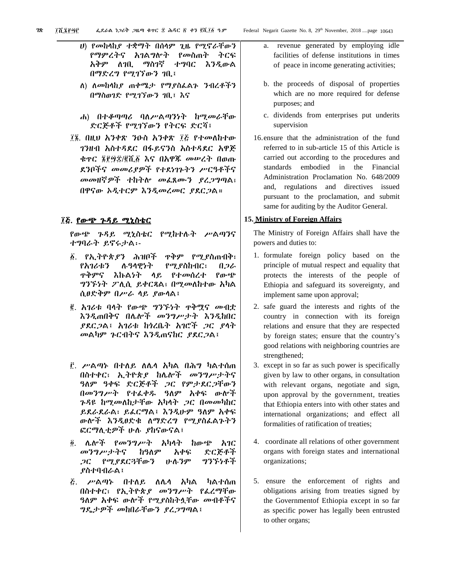- ሀ) የመከላከያ ተቋማት በሰላም ጊዜ የሚኖራቸውን የማምረትና አገልግሎት የመስጠት ትርፍ አቅም ለገቢ ማስገኛ ተግባር እንዲውል በማድረግ የሚገኘውን ገቢ፤
	- ለ) ለመከላከያ ጠቀሜታ የማያስፈልጉ ንብረቶችን በማስወገድ የሚገኘውን ገቢ፤ እና
	- ሐ) በተቆጣጣሪ ባለሥልጣንነት ከሚመራቸው ድርጅቶች የሚገኘውን የትርፍ ድርሻ፤
- ፲፮. በዚህ አንቀጽ ንዑስ አንቀጽ ፲፭ የተመለከተው ገንዘብ አስተዳደር በፋይናንስ አስተዳደር አዋጅ ቁጥር ፮፻፵፰/፪ሺ፩ እና በአዋጁ መሠረት በወጡ ደንቦችና መመሪያዎች የተደነገጉትን ሥርዓቶችና መመዘኛዎች ተከትሎ መፈጸሙን ያረጋግጣል፣ በዋናው ኦዲተርም እንዲመረመር ያደርጋል።

#### ፲፭. <u>የውጭ ጉዳይ ሚኒስቴር</u> Ī

የውጭ ጉዳይ ሚኒስቴር የሚከተሉት ሥልጣንና ተግባራት ይኖሩታል፡-

- ፩. የኢትዮጵያን ሕዝቦች ጥቅም የሚያስጠብቅ፣ የአገሪቱን ሉዓላዊነት የሚያስከብር፣ በጋራ ጥቅምና እኩልነት ላይ የተመሰረተ የውጭ ግንኙነት ፖሊሲ ይቀርጻል፣ በሚመለከተው አካል ሲፀድቅም በሥራ ላይ ያውላል፤
- ፪. አገሪቱ ባላት የውጭ ግንኙነት ጥቅሟና መብቷ እንዲጠበቅና በሌሎች መንግሥታት እንዲከበር ያደርጋል፤ አገሪቱ ከጎረቤት አገሮች ጋር ያላት መልካም ጉርብትና እንዲጠናከር ያደርጋል፤
- ፫. ሥልጣኑ በተለይ ለሌላ አካል በሕግ ካልተሰጠ በስተቀር፣ ኢትዮጵያ ከሌሎች መንግሥታትና ዓለም ዓቀፍ ድርጅቶች ጋር የምታደርጋቸውን በመንግሥት የተፈቀዱ ዓለም አቀፍ ውሎች ጉዳዩ ከሚመለከታቸው አካላት ጋር በመመካከር ይደራደራል፣ ይፈርማል፤ እንዲሁም ዓለም አቀፍ ውሎች እንዲፀድቁ ለማድረግ የሚያስፈልጉትን ፎርማሊቲዎች ሁሉ ያከናውናል፤
- ፬. ሌሎች የመንግሥት አካላት ከውጭ አገር መንግሥታትና ከዓለም አቀፍ ድርጅቶች ጋር የሚያደርጓቸውን ሁሉንም ግንኙነቶች ያስተባብራል፤
- ፭. ሥልጣኑ በተለይ ለሌላ አካል ካልተሰጠ በስተቀር፣ የኢትዮጵያ መንግሥት የፈረማቸው ዓለም አቀፍ ውሎች የሚያስከትሏቸው መብቶችና ግዴታዎች መከበራቸውን ያረጋግጣል፤
- a. revenue generated by employing idle facilities of defense institutions in times of peace in income generating activities;
- b. the proceeds of disposal of properties which are no more required for defense purposes; and
- c. dividends from enterprises put underits supervision
- 16.ensure that the administration of the fund referred to in sub-article 15 of this Article is carried out according to the procedures and standards embodied in the Financial Administration Proclamation No. 648/2009 and, regulations and directives issued pursuant to the proclamation, and submit same for auditing by the Auditor General.

# **15. Ministry of Foreign Affairs**

The Ministry of Foreign Affairs shall have the powers and duties to:

- 1. formulate foreign policy based on the principle of mutual respect and equality that protects the interests of the people of Ethiopia and safeguard its sovereignty, and implement same upon approval;
- 2. safe guard the interests and rights of the country in connection with its foreign relations and ensure that they are respected by foreign states; ensure that the country's good relations with neighboring countries are strengthened;
- 3. except in so far as such power is specifically given by law to other organs, in consultation with relevant organs, negotiate and sign, upon approval by the government, treaties that Ethiopia enters into with other states and international organizations; and effect all formalities of ratification of treaties;
- 4. coordinate all relations of other government organs with foreign states and international organizations;
- 5. ensure the enforcement of rights and obligations arising from treaties signed by the Governmentof Ethiopia except in so far as specific power has legally been entrusted to other organs;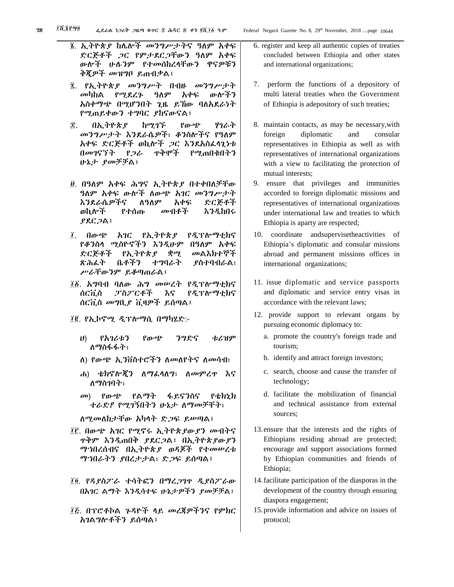$\gamma_R$   $\bar{X}$   $\bar{X}$  $\bar{Y}$  $\bar{Y}$  $\bar{Y}$   $\bar{Y}$   $\bar{Y}$   $\bar{Y}$   $\bar{Y}$   $\bar{Y}$   $\bar{Y}$   $\bar{Y}$   $\bar{Y}$   $\bar{Y}$   $\bar{Y}$   $\bar{Y}$   $\bar{Y}$   $\bar{Y}$   $\bar{Y}$   $\bar{Y}$   $\bar{Y}$   $\bar{Y}$   $\bar{Y}$   $\bar{Y}$   $\bar{Y}$   $\bar{Y}$   $\bar{Y}$   $\$ ፮. ኢትዮጵያ ከሌሎች መንግሥታትና ዓለም አቀፍ ድርጅቶች ጋር የምታደርጋቸውን ዓለም አቀፍ ውሎች ሁሉንም የተመሰከረላቸውን ዋናዎቹን ቅጂዎች መዝግቦ ይጠብቃል፤ ፯. የኢትዮጵያ መንግሥት በብዙ መንግሥታት መካከል የሚደረጉ ዓለም አቀፍ ውሎችን አስቀማጭ በሚሆንበት ጊዜ ይኸው ባለአደራነት የሚጠይቀውን ተግባር ያከናውናል፤ ፰. በኢትዮጵያ ከሚገኙ የውጭ ሃገራት መንግሥታት እንደራሴዎች፣ ቆንስሎችና የዓለም አቀፍ ድርጅቶች ወኪሎች ጋር እንደአስፈላጊነቱ በመገናኘት የጋራ ጥቅሞች የሚጠበቁበትን ሁኔታ ያመቻቻል፤ ፱. በዓለም አቀፍ ሕግና ኢትዮጵያ በተቀበለቻቸው ዓለም አቀፍ ውሎች ለውጭ አገር መንግሥታት እንደራሴዎችና ለዓለም አቀፍ ድርጅቶች ወኪሎች የተሰጡ መብቶች እንዲከበሩ ያደርጋል፤ ፲. በውጭ አገር የኢትዮጵያ የዲፕሎማቲክና የቆንስላ ሚስዮኖችን እንዲሁም በዓለም አቀፍ ድርጅቶች የኢትዮጵያ ቋሚ መልእክተኞች ጽሕፈት ቤቶችን ተግባራት ያስተባብራል፣ ሥራቸውንም ይቆጣጠራል፤ ፲፩. አግባብ ባለው ሕግ መሠረት የዲፕሎማቲክና ሰርቪስ ፓስፖርቶች እና የዲፕሎማቲክና ሰርቪስ መግቢያ ቪዛዎች ይሰጣል፤ ፲፪. የኢኮኖሚ ዲፕሎማሲ በማካሄድ:- ሀ) የአገሪቱን የውጭ ንግድና ቱሪዝም ለማስፋፋት፣ ለ) የውጭ ኢንቨስተሮችን ለመለየትና ለመሳብ፣ ሐ) ቴክኖሎጂን ለማፈላለግ፣ ለመምረጥ እና ለማስገባት፣

መ) የውጭ የልማት ፋይናንስና የቴክኒክ ተራድዖ የሚገኝበትን ሁኔታ ለማመቻቸት፣

ለሚመለከታቸው አካላት ድጋፍ ይሠጣል፤

- ፲፫. በውጭ አገር የሚኖሩ ኢትዮጵያውያን መብትና ጥቅም እንዲጠበቅ ያደርጋል፤ በኢትዮጵያውያን ማኀበረሰብና በኢትዮጵያ ወዳጆች የተመሠረቱ ማኀበራትን ያበረታታል፣ ድጋፍ ይሰጣል፤
- ፲፬. የዳያስፖራ ተሳትፎን በማረጋገጥ ዲያስፖራው በአገር ልማት እንዲሳተፍ ሁኔታዎችን ያመቻቻል፤
- ፲፭. በፕሮቶኮል ጉዳዮች ላይ መረጃዎችንና የምክር አገልግሎቶችን ይሰጣል፤
- 6. register and keep all authentic copies of treaties concluded between Ethiopia and other states and international organizations;
- 7. perform the functions of a depository of multi lateral treaties when the Government of Ethiopia is adepository of such treaties;
- 8. maintain contacts, as may be necessary,with foreign diplomatic and consular representatives in Ethiopia as well as with representatives of international organizations with a view to facilitating the protection of mutual interests;
- 9. ensure that privileges and immunities accorded to foreign diplomatic missions and representatives of international organizations under international law and treaties to which Ethiopia is aparty are respected;
- 10. coordinate andsupervisetheactivities of Ethiopia's diplomatic and consular missions abroad and permanent missions offices in international organizations;
- 11. issue diplomatic and service passports and diplomatic and service entry visas in accordance with the relevant laws;
- 12. provide support to relevant organs by pursuing economic diplomacy to:
	- a. promote the country's foreign trade and tourism;
	- b. identify and attract foreign investors;
	- c. search, choose and cause the transfer of technology;
	- d. facilitate the mobilization of financial and technical assistance from external sources;
- 13.ensure that the interests and the rights of Ethiopians residing abroad are protected; encourage and support associations formed by Ethiopian communities and friends of Ethiopia;
- 14.facilitate participation of the diasporas in the development of the country through ensuring diaspora engagement;
- 15.provide information and advice on issues of protocol;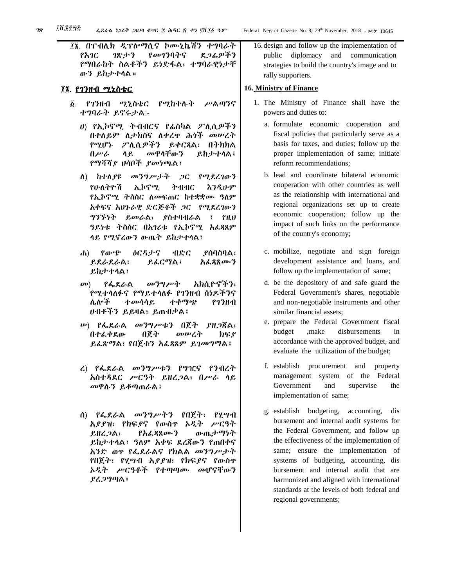፲፮. በፐብሊክ ዲፕሎማሲና ኮሙኒኬሽን ተግባራት የአገር ገጽታን የመገንባትና ደጋፊዎችን የማበራከት ስልቶችን ይነድፋል፣ ተግባራዊነታቸ ውን ይከታተላል።

#### ፲፮. የገንዘብ ሚኒስቴር

- ፩. የገንዘብ ሚኒስቴር የሚከተሉት ሥልጣንና ተግባራት ይኖሩታል:-
	- ሀ) የኢኮኖሚ ትብብርና የፊስካል ፖሊሲዎችን በተለይም ለታክስና ለቀረጥ ሕጎች መሠረት የሚሆኑ ፖሊሲዎችን ይቀርጻል፣ በትክክል በሥራ ላይ መዋላቸውን ይከታተላል፤ የማሻሻያ ሀሳቦች ያመነጫል፤
	- ለ) ከተለያዩ መንግሥታት ጋር የሚደረገውን የሁለትዮሽ ኢኮኖሚ ትብብር እንዲሁም የኢኮኖሚ ትስስር ለመፍጠር ከተቋቋሙ ዓለም አቀፍና አህጉራዊ ድርጅቶች ጋር የሚደረገውን ግንኙነት ይመራል፣ ያስተባብራል ፤ የዚህ ዓይነቱ ትስስር በአገሪቱ የኢኮኖሚ አፈጻጸም ላይ የሚኖረውን ውጤት ይከታተላል፤
	- ሐ) የውጭ ዕርዳታና ብድር ያሰባስባል፣ ይደራደራል፣ ይፈርማል፤ አፈጻጸሙን ይከታተላል፤
	- መ) የፌደራል መንግሥት አክሲዮኖችን፣ የሚተላለፉና የማይተላለፉ የገንዘብ ሰነዶችንና ሌሎች ተመሳሳይ ተቀማጭ የገንዘብ ሀብቶችን ይይዛል፣ ይጠብቃል፤
	- ሠ) የፌደራል መንግሥቱን በጀት ያዘጋጃል፣ በተፈቀደው በጀት መሠረት ክፍያ ይፈጽማል፣ የበጀቱን አፈጻጸም ይገመግማል፤
	- ረ) የፌደራል መንግሥቱን የግዢና የንብረት አስተዳደር ሥርዓት ይዘረጋል፣ በሥራ ላይ መዋሉን ይቆጣጠራል፤
	- ሰ) የፌደራል መንግሥትን የበጀት፣ የሂሣብ አያያዝ፣ የክፍያና የውስጥ ኦዲት ሥርዓት ይዘረጋል፣ የአፈጻጸሙን ውጤታማነት ይከታተላል፤ ዓለም አቀፍ ደረጃውን የጠበቀና አንድ ወጥ የፌደራልና የክልል መንግሥታት የበጀት፣ የሂሣብ አያያዝ፣ የክፍያና የውስጥ ኦዲት ሥርዓቶች የተጣጣሙ መሆናቸውን ያረጋግጣል፤

16.design and follow up the implementation of public diplomacy and communication strategies to build the country's image and to rally supporters.

# **16. Ministry of Finance**

- 1. The Ministry of Finance shall have the powers and duties to:
	- a. formulate economic cooperation and fiscal policies that particularly serve as a basis for taxes, and duties; follow up the proper implementation of same; initiate reform recommendations;
	- b. lead and coordinate bilateral economic cooperation with other countries as well as the relationship with international and regional organizations set up to create economic cooperation; follow up the impact of such links on the performance of the country's economy;
	- c. mobilize, negotiate and sign foreign development assistance and loans, and follow up the implementation of same;
	- d. be the depository of and safe guard the Federal Government's shares, negotiable and non-negotiable instruments and other similar financial assets;
	- e. prepare the Federal Government fiscal budget ,make disbursements in accordance with the approved budget, and evaluate the utilization of the budget;
	- f. establish procurement and property management system of the Federal Government and supervise the implementation of same;
	- g. establish budgeting, accounting, dis bursement and internal audit systems for the Federal Government, and follow up the effectiveness of the implementation of same; ensure the implementation of systems of budgeting, accounting, dis bursement and internal audit that are harmonized and aligned with international standards at the levels of both federal and regional governments;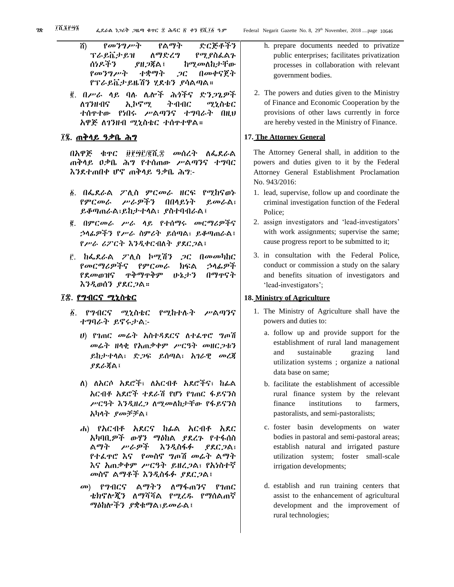- ሸ) የመንግሥት የልማት ድርጅቶችን ፕራይቬታይዝ ለማድረግ የሚያስፈልጉ ሰነዶችን ያዘጋጃል፤ ከሚመለከታቸው የመንግሥት ተቋማት ጋር በመቀናጀት የፕራይቬታይዜሽን ሂደቱን ያሳልጣል።
- ፪. በሥራ ላይ ባሉ ሌሎች ሕጎችና ድንጋጌዎች ለገንዘብና ኢኮኖሚ ትብብር ሚኒስቴር ተሰጥተው የነበሩ ሥልጣንና ተግባራት በዚህ አዋጅ ለገንዘብ ሚኒስቴር ተሰጥተዋል።

# ፲፯. <u>ጠቅላይ ዓቃቤ ሕግ</u>

በአዋጅ ቁጥር ፱፻፵፫/፪ሺ፰ መሰረት ለፌደራል ጠቅላይ ዐቃቤ ሕግ የተሰጠው ሥልጣንና ተግባር እንደተጠበቀ ሆኖ ጠቅላይ ዓቃቤ ሕግ:-

- 1. በፌደራል ፖሊስ ምርመራ ዘርፍ የሚከናወኑ የምርመራ ሥራዎችን በበላይነት ይመራል፣ ይቆጣጠራል፣ይከታተላል፣ ያስተባብራል፤
- 2. በምርመራ ሥራ ላይ የተሰማሩ መርማሪዎችና ኃላፊዎችን የሥራ ስምሪት ይሰጣል፣ ይቆጣጠራል፤ የሥራ ሪፖርት እንዲቀርብለት ያደርጋል፤
- 3. ከፌደራል ፖሊስ ኮሚሽን ጋር በመመካከር የመርማሪዎችና የምርመራ ክፍል ኃላፊዎች የደመወዝና ጥቅማጥቅም ሁኔታን በማጥናት እንዲወሰን ያደርጋል።

# ፲፰. <u>የግብርና ሚኒስቴር</u>

- ፩. የግብርና ሚኒስቴር የሚከተሉት ሥልጣንና ተግባራት ይኖሩታል:-
	- ሀ) የገጠር መሬት አስተዳደርና ለተፈጥሮ ግጦሽ መሬት ዘላቂ የአጠቃቀም ሥርዓት መዘርጋቱን ይከታተላል፣ ድጋፍ ይሰጣል፣ አገራዊ መረጃ ያደራጃል፤
	- ለ) ለአርሶ አደሮች፣ ለአርብቶ አደሮችና፣ ከፊል አርብቶ አደሮች ተደራሽ የሆነ የገጠር ፋይናንስ ሥርዓት እንዲዘረጋ ለሚመለከታቸው የፋይናንስ አካላት ያመቻቻል፤
	- ሐ) የአርብቶ አደርና ከፊል አርብቶ አደር አካባቢዎች ውሃን ማዕከል ያደረጉ የተፋሰስ ልማት ሥራዎች እንዲስፋፉ ያደርጋል፣ የተፈጥሮ እና የመስኖ ግጦሽ መሬት ልማት እና አጠቃቀም ሥርዓት ይዘረጋል፣ የአነስተኛ መስኖ ልማቶች እንዲስፋፉ ያደርጋል፤
	- መ) የግብርና ልማትን ለማፋጠንና የገጠር ቴክኖሎጂን ለማሻሻል የሚረዱ የማሰልጠኛ ማዕከሎችን ያቋቁማል፣ይመራል፤
- h. prepare documents needed to privatize public enterprises; facilitates privatization processes in collaboration with relevant government bodies.
- 2. The powers and duties given to the Ministry of Finance and Economic Cooperation by the provisions of other laws currently in force are hereby vested in the Ministry of Finance.

# **17. The Attorney General**

The Attorney General shall, in addition to the powers and duties given to it by the Federal Attorney General Establishment Proclamation No. 943/2016:

- 1. lead, supervise, follow up and coordinate the criminal investigation function of the Federal Police;
- 2. assign investigators and 'lead-investigators' with work assignments; supervise the same; cause progress report to be submitted to it;
- 3. in consultation with the Federal Police, conduct or commission a study on the salary and benefits situation of investigators and 'lead-investigators';

# **18. Ministry of Agriculture**

- 1. The Ministry of Agriculture shall have the powers and duties to:
	- a. follow up and provide support for the establishment of rural land management and sustainable grazing land utilization systems ; organize a national data base on same;
	- b. facilitate the establishment of accessible rural finance system by the relevant finance institutions to farmers, pastoralists, and semi-pastoralists;
	- c. foster basin developments on water bodies in pastoral and semi-pastoral areas; establish natural and irrigated pasture utilization system; foster small-scale irrigation developments;
	- d. establish and run training centers that assist to the enhancement of agricultural development and the improvement of rural technologies;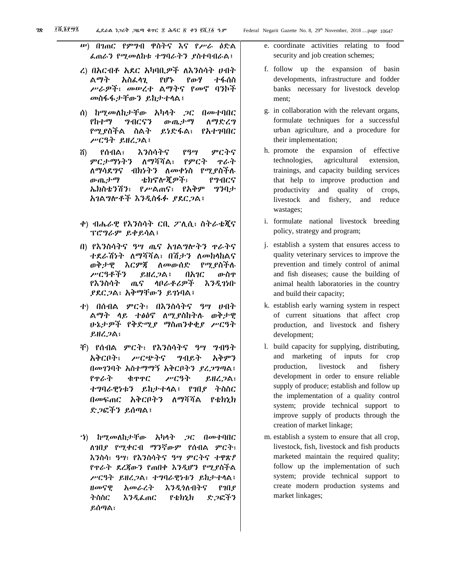- ረ) በአርብቶ አደር አካባቢዎች ለእንስሳት ሀብት ልማት አስፈላጊ የሆኑ የውሃ ተፋሰስ ሥራዎች፣ መሠረተ ልማትና የመኖ ባንኮች መስፋፋታቸውን ይከታተላል፤
- ሰ) ከሚመለከታቸው አካላት ጋር በመተባበር የከተማ ግብርናን ውጤታማ ለማድረግ የሚያስችል ስልት ይነድፋል፣ የአተገባበር ሥርዓት ይዘረጋል፤
- ሸ) የሰብል፣ እንስሳትና የዓሣ ምርትና ምርታማነትን ለማሻሻል፣ የምርት ጥራት ለማሳደግና ብክነትን ለመቀነስ የሚያስችሉ ውጤታማ ቴክኖሎጂዎች፣ የግብርና ኤክስቴንሽን፣ የሥልጠና፣ የአቅም ግንባታ አገልግሎቶች እንዲስፋፉ ያደርጋል፤
- ቀ) ብሔራዊ የእንስሳት ርቢ ፖሊሲ፣ ስትራቴጂና ፕሮግራም ይቀይሳል፤
- በ) የእንስሳትና ዓሣ ጤና አገልግሎትን ጥራትና ተደራሽነት ለማሻሻል፣ በሽታን ለመከላከልና ወቅታዊ እርምጃ ለመውሰድ የሚያስችሉ ሥርዓቶችን ይዘረጋል፤ በአገር ውስጥ የእንስሳት ጤና ላቦራቶሪዎች እንዲገነቡ ያደርጋል፣ አቅማቸውን ይገነባል፤
- ተ) በሰብል ምርት፣ በእንስሳትና ዓሣ ሀብት ልማት ላይ ተፅዕኖ ለሚያስከትሉ ወቅታዊ ሁኔታዎች የቅድሚያ ማስጠንቀቂያ ሥርዓት ይዘረጋል፣
- ቸ) የሰብል ምርት፣ የእንስሳትና ዓሣ ግብዓት አቅርቦት፣ ሥርጭትና ግብይት አቅምን በመገንባት አስተማማኝ አቅርቦትን ያረጋግጣል፤ የጥራት ቁጥጥር ሥርዓት ይዘረጋል፣ ተግባራዊነቱን ይከታተላል፤ የገበያ ትስስር በመፍጠር አቅርቦትን ለማሻሻል የቴክኒክ ድጋፎችን ይሰጣል፤
- ኀ) ከሚመለከታቸው አካላት ጋር በመተባበር ለገበያ የሚቀርብ ማንኛውም የሰብል ምርት፣ እንስሳ፣ ዓሣ፣ የእንስሳትና ዓሣ ምርትና ተዋጽዖ የጥራት ደረጃውን የጠበቀ እንዲሆን የሚያስችል ሥርዓት ይዘረጋል፣ ተግባራዊነቱን ይከታተላል፤ ዘመናዊ አመራረት እንዲጎለብትና የገበያ ትስስር እንዲፈጠር የቴክኒክ ድጋፎችን ይሰጣል፣
- e. coordinate activities relating to food security and job creation schemes;
- f. follow up the expansion of basin developments, infrastructure and fodder banks necessary for livestock develop ment;
- g. in collaboration with the relevant organs, formulate techniques for a successful urban agriculture, and a procedure for their implementation;
- h. promote the expansion of effective technologies, agricultural extension, trainings, and capacity building services that help to improve production and productivity and quality of crops, livestock and fishery, and reduce wastages;
- i. formulate national livestock breeding policy, strategy and program;
- j. establish a system that ensures access to quality veterinary services to improve the prevention and timely control of animal and fish diseases; cause the building of animal health laboratories in the country and build their capacity;
- k. establish early warning system in respect of current situations that affect crop production, and livestock and fishery development;
- l. build capacity for supplying, distributing, and marketing of inputs for crop production, livestock and fishery development in order to ensure reliable supply of produce; establish and follow up the implementation of a quality control system; provide technical support to improve supply of products through the creation of market linkage;
- m. establish a system to ensure that all crop, livestock, fish, livestock and fish products marketed maintain the required quality; follow up the implementation of such system; provide technical support to create modern production systems and market linkages;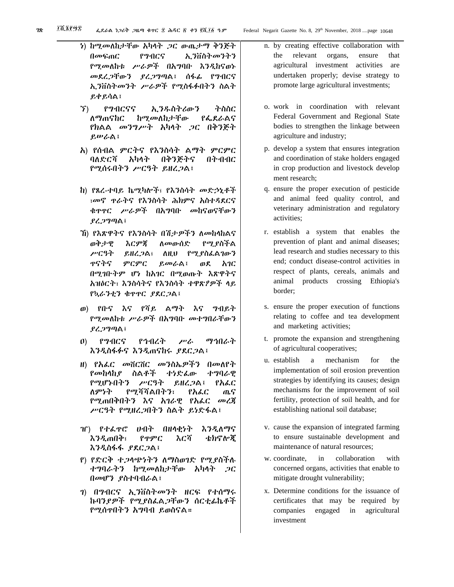- ነ) ከሚመለከታቸው አካላት ጋር ውጤታማ ቅንጅት በመፍጠር የግብርና ኢንቨስትመንትን የሚመለከቱ ሥራዎች በአግባቡ እንዲከናወኑ መደረጋቸውን ያረጋግጣል፤ ሰፋፊ የግብርና ኢንቨስትመንት ሥራዎች የሚስፋፉበትን ስልት ይቀይሳል፤
- ኘ) የግብርናና ኢንዱስትሪውን ትስስር ለማጠናከር ከሚመለከታቸው የፌደራልና የክልል መንግሥት አካላት ጋር በቅንጅት ይሠራል፤
- አ) የሰብል ምርትና የእንስሳት ልማት ምርምር ባለድርሻ አካላት በቅንጅትና በትብብር የሚሰሩበትን ሥርዓት ይዘረጋል፤
- ከ) የጸረ-ተባይ ኬሚካሎች፣ የእንስሳት መድኃኒቶች ፣መኖ ጥራትና የእንስሳት ሕክምና አስተዳደርና ቁጥጥር ሥራዎች በአግባቡ መከናወናቸውን ያረጋግጣል፤
- ኸ) የእጽዋትና የእንስሳት በሽታዎችን ለመከላከልና ወቅታዊ እርምጃ ለመውሰድ የሚያስችል ሥርዓት ይዘረጋል፣ ለዚህ የሚያስፈልገውን ጥናትና ምርምር ይመራል፤ ወደ አገር በሚገቡትም ሆነ ከአገር በሚወጡት እጽዋትና አዝዕርት፣ እንስሳትና የእንስሳት ተዋጽዖዎች ላይ የኳራንቲን ቁጥጥር ያደርጋል፤
- ወ) የቡና እና የሻይ ልማት እና ግብይት የሚመለከቱ ሥራዎች በአግባቡ መተግበራቸውን ያረጋግጣል፤
- ዐ) የግብርና የኅብረት ሥራ ማኅበራት እንዲስፋፉና እንዲጠናከሩ ያደርጋል፤
- ዘ) የአፈር መሸርሸር መንስኤዎችን በመለየት የመከላከያ ስልቶች ተነድፈው ተግባራዊ የሚሆኑበትን ሥርዓት ይዘረጋል፤ የአፈር ለምነት የሚሻሻልበትን፣ የአፈር ጤና የሚጠበቅበትን እና አገራዊ የአፈር መረጃ ሥርዓት የሚዘረጋበትን ስልት ይነድፋል፤
- ዠ) የተፈጥሮ ሀብት በዘላቂነት እንዲለማና እንዲጠበቅ፣ የጥምር እርሻ ቴክኖሎጂ እንዲስፋፋ ያደርጋል፤
- የ) የድርቅ ተጋላጭነትን ለማስወገድ የሚያስችሉ ተግባራትን ከሚመለከታቸው አካላት ጋር በመሆን ያስተባብራል፤
- ገ) በግብርና ኢንቨስትመንት ዘርፍ የተሰማሩ ኩባንያዎች የሚያስፈልጋቸውን ሰርቲፊኬቶች የሚሰጥበትን አግባብ ይወስናል።
- n. by creating effective collaboration with the relevant organs, ensure that agricultural investment activities are undertaken properly; devise strategy to promote large agricultural investments;
- o. work in coordination with relevant Federal Government and Regional State bodies to strengthen the linkage between agriculture and industry;
- p. develop a system that ensures integration and coordination of stake holders engaged in crop production and livestock develop ment research;
- q. ensure the proper execution of pesticide and animal feed quality control, and veterinary administration and regulatory activities;
- r. establish a system that enables the prevention of plant and animal diseases; lead research and studies necessary to this end; conduct disease-control activities in respect of plants, cereals, animals and animal products crossing Ethiopia's border;
- s. ensure the proper execution of functions relating to coffee and tea development and marketing activities;
- t. promote the expansion and strengthening of agricultural cooperatives;
- u. establish a mechanism for the implementation of soil erosion prevention strategies by identifying its causes; design mechanisms for the improvement of soil fertility, protection of soil health, and for establishing national soil database;
- v. cause the expansion of integrated farming to ensure sustainable development and maintenance of natural resources;
- w. coordinate, in collaboration with concerned organs, activities that enable to mitigate drought vulnerability;
- x. Determine conditions for the issuance of certificates that may be required by companies engaged in agricultural investment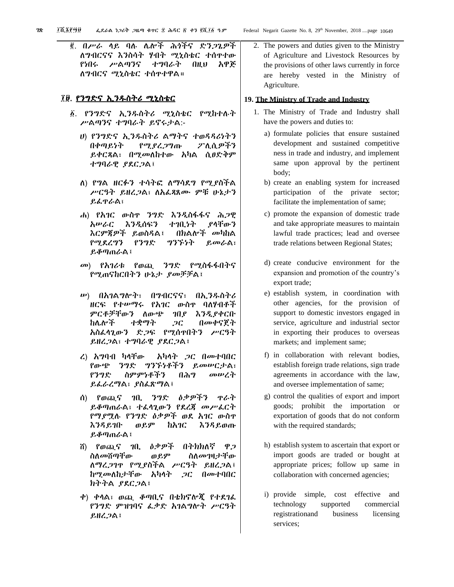፪. በሥራ ላይ ባሉ ሌሎች ሕጎችና ድንጋጌዎች ለግብርናና እንስሳት ሃብት ሚኒስቴር ተሰጥተው የነበሩ ሥልጣንና ተግባራት በዚህ አዋጅ ለግብርና ሚኒስቴር ተሰጥተዋል።

# ፲፱. የንግድና ኢንዱስትሪ ሚኒስቴር

- ፩. የንግድና ኢንዱስትሪ ሚኒስቴር የሚከተሉት ሥልጣንና ተግባራት ይኖሩታል:-
	- ሀ) የንግድና ኢንዱስትሪ ልማትና ተወዳዳሪነትን በቀጣይነት የሚያረጋግጡ ፖሊሲዎችን ይቀርጻል፣ በሚመለከተው አካል ሲፀድቅም ተግባራዊ ያደርጋል፤
	- ለ) የግል ዘርፉን ተሳትፎ ለማሳደግ የሚያስችል ሥርዓት ይዘረጋል፣ ለአፈጻጸሙ ምቹ ሁኔታን ይፈጥራል፣
	- ሐ) የአገር ውስጥ ንግድ እንዲስፋፋና ሕጋዊ አሠራር እንዲሰፍን ተገቢነት ያላቸውን እርምጃዎች ይወስዳል፤ በክልሎች መካከል የሚደረግን የንግድ ግንኙነት ይመራል፣ ይቆጣጠራል፤
	- መ) የአገሪቱ የወጪ ንግድ የሚስፋፋበትና የሚጠናከርበትን ሁኔታ ያመቻቻል፤
	- ሠ) በአገልግሎት፣ በግብርናና፣ በኢንዱስትሪ ዘርፍ የተሠማሩ የአገር ውስጥ ባለሃብቶች ምርቶቻቸውን ለውጭ ገበያ እንዲያቀርቡ ከሌሎች ተቋማት ጋር በመቀናጀት አስፈላጊውን ድጋፍ የሚሰጥበትን ሥርዓት ይዘረጋል፣ ተግባራዊ ያደርጋል፤
	- ረ) አግባብ ካላቸው አካላት ጋር በመተባበር የውጭ ንግድ ግንኙነቶችን ይመሠርታል፣ የንግድ ስምምነቶችን በሕግ መሠረት ይፈራረማል፣ ያስፈጽማል፤
	- ሰ) የወጪና ገቢ ንግድ ዕቃዎችን ጥራት ይቆጣጠራል፣ ተፈላጊውን የደረጃ መሥፈርት የማያሟሉ የንግድ ዕቃዎች ወደ አገር ውስጥ እንዳይገቡ ወይም ከአገር እንዳይወጡ ይቆጣጠራል፤
	- ሸ) የወጪና ገቢ ዕቃዎች በትክክለኛ ዋጋ ስለመሸጣቸው ወይም ስለመገዛታቸው ለማረጋገጥ የሚያስችል ሥርዓት ይዘረጋል፤ ከሚመለከታቸው አካላት ጋር በመተባበር ክትትል ያደርጋል፤
	- ቀ) ቀላል፣ ወጪ ቆጣቢና በቴክኖሎጂ የተደገፈ የንግድ ምዝገባና ፈቃድ አገልግሎት ሥርዓት ይዘረጋል፤

2. The powers and duties given to the Ministry of Agriculture and Livestock Resources by the provisions of other laws currently in force are hereby vested in the Ministry of Agriculture.

#### **19. The Ministry of Trade and Industry**

- 1. The Ministry of Trade and Industry shall have the powers and duties to:
	- a) formulate policies that ensure sustained development and sustained competitive ness in trade and industry, and implement same upon approval by the pertinent body;
	- b) create an enabling system for increased participation of the private sector; facilitate the implementation of same;
	- c) promote the expansion of domestic trade and take appropriate measures to maintain lawful trade practices; lead and oversee trade relations between Regional States;
	- d) create conducive environment for the expansion and promotion of the country's export trade;
	- e) establish system, in coordination with other agencies, for the provision of support to domestic investors engaged in service, agriculture and industrial sector in exporting their produces to overseas markets; and implement same;
	- f) in collaboration with relevant bodies, establish foreign trade relations, sign trade agreements in accordance with the law, and oversee implementation of same;
	- g) control the qualities of export and import goods; prohibit the importation or exportation of goods that do not conform with the required standards;
	- h) establish system to ascertain that export or import goods are traded or bought at appropriate prices; follow up same in collaboration with concerned agencies;
	- i) provide simple, cost effective and technology supported commercial registrationand business licensing services;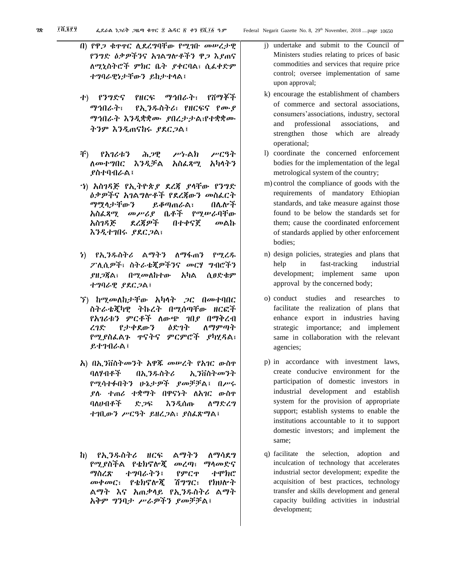- በ) የዋጋ ቁጥጥር ሊደረግባቸው የሚገቡ መሠረታዊ የንግድ ዕቃዎችንና አገልግሎቶችን ዋጋ እያጠና ለሚኒስትሮች ምክር ቤት ያቀርባል፣ ሲፈቀድም ተግባራዊነታቸውን ይከታተላል፤
- ተ) የንግድና የዘርፍ ማኅበራት፣ የሸማቾች ማኅበራት፣ የኢንዱስትሪ፣ የዘርፍና የሙያ ማኅበራት እንዲቋቋሙ ያበረታታል፣የተቋቋሙ ትንም እንዲጠናከሩ ያደርጋል፤
- ቸ) የአገሪቱን ሕጋዊ ሥነ-ልክ ሥርዓት ለመተግበር እንዲቻል አስፈጻሚ አካላትን ያስተባብራል፤
- ኀ) አስገዳጅ የኢትዮጵያ ደረጃ ያላቸው የንግድ ዕቃዎችና አገልግሎቶች የደረጃውን መስፈርት ማሟላታቸውን ይቆጣጠራል፣ በሌሎች አስፈጻሚ መሥሪያ ቤቶች የሚሠራባቸው አስገዳጅ ደረጃዎች በተቀናጀ መልኩ እንዲተገበሩ ያደርጋል፣
- ነ) የኢንዱስትሪ ልማትን ለማፋጠን የሚረዱ ፖሊሲዎች፣ ስትራቴጂዎችንና መርሃ ግብሮችን ያዘጋጃል፣ በሚመለከተው አካል ሲፀድቁም ተግባራዊ ያደርጋል፤
- ኘ) ከሚመለከታቸው አካላት ጋር በመተባበር ስትራቴጂካዊ ትኩረት በሚሰጣቸው ዘርፎች የአገሪቱን ምርቶች ለውጭ ገበያ በማቅረብ ረገድ የታቀደውን ዕድገት ለማምጣት የሚያስፈልጉ ጥናትና ምርምሮች ያካሂዳል፣ ይተገብራል፤
- አ) በኢንቨስትመንት አዋጁ መሠረት የአገር ውስጥ ባለሃብቶች በኢንዱስትሪ ኢንቨስትመንት የሚሳተፉበትን ሁኔታዎች ያመቻቻል፤ በሥሩ ያሉ ተጠሪ ተቋማት በዋናነት ለአገር ውስጥ ባለሀብቶች ድጋፍ እንዲሰጡ ለማድረግ ተገቢውን ሥርዓት ይዘረጋል፣ ያስፈጽማል፤
- ከ) የኢንዱስትሪ ዘርፍ ልማትን ለማሳደግ የሚያስችል የቴክኖሎጂ መረጣ፣ ማላመድና ማስረጽ ተግባራትን፤ የምርጥ ተሞክሮ መቀመር፣ የቴክኖሎጂ ሽግግር፣ የክህሎት ልማት እና አጠቃላይ የኢንዱስትሪ ልማት አቅም ግንባታ ሥራዎችን ያመቻቻል፤
- j) undertake and submit to the Council of Ministers studies relating to prices of basic commodities and services that require price control; oversee implementation of same upon approval;
- k) encourage the establishment of chambers of commerce and sectoral associations, consumers'associations, industry, sectoral and professional associations, and strengthen those which are already operational;
- l) coordinate the concerned enforcement bodies for the implementation of the legal metrological system of the country;
- m) control the compliance of goods with the requirements of mandatory Ethiopian standards, and take measure against those found to be below the standards set for them; cause the coordinated enforcement of standards applied by other enforcement bodies;
- n) design policies, strategies and plans that help in fast-tracking industrial development; implement same upon approval by the concerned body;
- o) conduct studies and researches to facilitate the realization of plans that enhance export in industries having strategic importance; and implement same in collaboration with the relevant agencies;
- p) in accordance with investment laws, create conducive environment for the participation of domestic investors in industrial development and establish system for the provision of appropriate support; establish systems to enable the institutions accountable to it to support domestic investors; and implement the same;
- q) facilitate the selection, adoption and inculcation of technology that accelerates industrial sector development; expedite the acquisition of best practices, technology transfer and skills development and general capacity building activities in industrial development;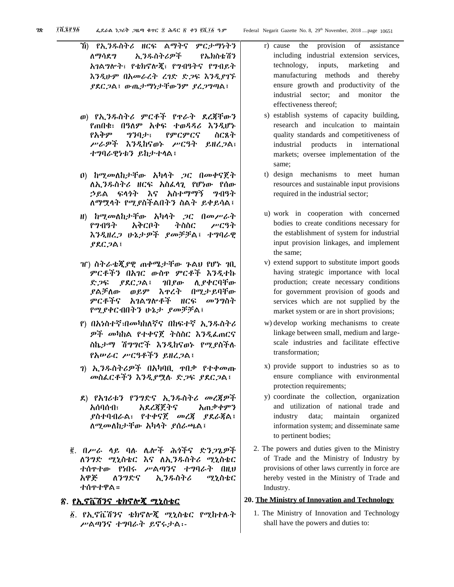- ኸ) የኢንዱስትሪ ዘርፍ ልማትና ምርታማነትን ለማሳደግ ኢንዱስትሪዎች የኤክስቴሽን አገልግሎት፣ የቴክኖሎጂ፣ የግብዓትና የግብይት እንዲሁም በአመራረት ረገድ ድጋፍ እንዲያገኙ ያደርጋል፤ ውጤታማነታቸውንም ያረጋግጣል፤
- ወ) የኢንዱስትሪ ምርቶች የጥራት ደረጃቸውን የጠበቁ፣ በዓለም አቀፍ ተወዳዳሪ እንዲሆኑ የአቅም ግንባታ፣ የምርምርና ስርጸት ሥራዎች እንዲከናወኑ ሥርዓት ይዘረጋል፣ ተግባራዊነቱን ይከታተላል፤
- ዐ) ከሚመለከታቸው አካላት ጋር በመቀናጀት ለኢንዱስትሪ ዘርፍ አስፈላጊ የሆነው የሰው ኃይል ፍላጎት እና አስተማማኝ ግብዓት ለማሟላት የሚያስችልበትን ስልት ይቀይሳል፤
- ዘ) ከሚመለከታቸው አካላት ጋር በመሥራት የግብዓት አቅርቦት ትስስር ሥርዓት እንዲዘረጋ ሁኔታዎች ያመቻቻል፤ ተግባራዊ ያደርጋል፤
- ዠ) ስትራቴጂያዊ ጠቀሜታቸው ጉልህ የሆኑ ገቢ ምርቶችን በአገር ውስጥ ምርቶች እንዲተኩ ድጋፍ ያደርጋል፤ ገበያው ሊያቀርባቸው ያልቻለው ወይም እጥረት በሚታይባቸው ምርቶችና አገልግሎቶች ዘርፍ መንግስት የሚያቀርብበትን ሁኔታ ያመቻቻል፤
- የ) በአነስተኛ፣በመካከለኛና በከፍተኛ ኢንዱስትሪ ዎች መካከል የተቀናጀ ትስስር እንዲፈጠርና ስኬታማ ሽግግሮች እንዲከናወኑ የሚያስችሉ የአሠራር ሥርዓቶችን ይዘረጋል፤
- ገ) ኢንዱስትሪዎች በአካባቢ ጥበቃ የተቀመጡ መስፈርቶችን እንዲያሟሉ ድጋፍ ያደርጋል፤
- ደ) የአገሪቱን የንግድና ኢንዱስትሪ መረጃዎች አሰባሰብ፣ አደረጃጀትና አጠቃቀምን ያስተባብራል፣ የተቀናጀ መረጃ ያደራጃል፤ ለሚመለከታቸው አካላት ያሰራጫል፤
- ፪. በሥራ ላይ ባሉ ሌሎች ሕጎችና ድንጋጌዎች ለንግድ ሚኒስቴር እና ለኢንዱስትሪ ሚኒስቴር ተሰጥተው የነበሩ ሥልጣንና ተግባራት በዚህ አዋጅ ለንግድና ኢንዱስትሪ ሚኒስቴር ተሰጥተዋል።

# ፳. የኢኖቬሽንና ቴክኖሎጂ ሚኒስቴር

፩. የኢኖቬሽንና ቴክኖሎጂ ሚኒስቴር የሚከተሉት ሥልጣንና ተግባራት ይኖሩታል፡-

- r) cause the provision of assistance including industrial extension services, technology, inputs, marketing and manufacturing methods and thereby ensure growth and productivity of the industrial sector; and monitor the effectiveness thereof;
- s) establish systems of capacity building, research and inculcation to maintain quality standards and competitiveness of industrial products in international markets; oversee implementation of the same;
- t) design mechanisms to meet human resources and sustainable input provisions required in the industrial sector;
- u) work in cooperation with concerned bodies to create conditions necessary for the establishment of system for industrial input provision linkages, and implement the same;
- v) extend support to substitute import goods having strategic importance with local production; create necessary conditions for government provision of goods and services which are not supplied by the market system or are in short provisions;
- w) develop working mechanisms to create linkage between small, medium and largescale industries and facilitate effective transformation;
- x) provide support to industries so as to ensure compliance with environmental protection requirements;
- y) coordinate the collection, organization and utilization of national trade and industry data; maintain organized information system; and disseminate same to pertinent bodies;
- 2. The powers and duties given to the Ministry of Trade and the Ministry of Industry by provisions of other laws currently in force are hereby vested in the Ministry of Trade and Industry.

#### **20. The Ministry of Innovation and Technology**

1. The Ministry of Innovation and Technology shall have the powers and duties to: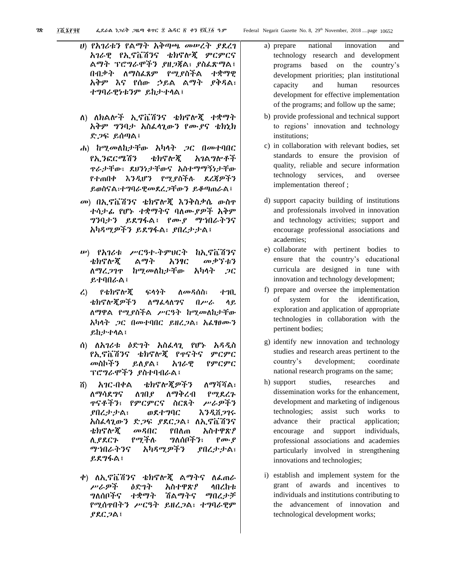- ሀ) የአገሪቱን የልማት አቅጣጫ መሠረት ያደረገ አገራዊ የኢኖቬሽንና ቴክኖሎጂ ምርምርና ልማት ፕሮግራሞችን ያዘጋጃል፣ ያስፈጽማል፤ በብቃት ለማስፈጸም የሚያስችል ተቋማዊ አቅም እና የሰው ኃይል ልማት ያቅዳል፣ ተግባራዊነቱንም ይከታተላል፤
- ለ) ለክልሎች ኢኖቬሽንና ቴክኖሎጂ ተቋማት አቅም ግንባታ አስፈላጊውን የሙያና ቴክኒክ ድጋፍ ይሰጣል፤
- ሐ) ከሚመለከታቸው አካላት ጋር በመተባበር የኢንፎርሜሽን ቴክኖሎጂ አገልግሎቶች ጥራታቸው፣ ደህንነታቸውና አስተማማኝነታቸው የተጠበቀ እንዲሆን የሚያስችሉ ደረጃዎችን ይወስናል፣ተግባራዊመደረጋቸውን ይቆጣጠራል፤
- መ) በኢኖቬሽንና ቴክኖሎጂ እንቅስቃሴ ውስጥ ተሳታፊ የሆኑ ተቋማትና ባለሙያዎች አቅም ግንባታን ይደግፋል፤ የሙያ ማኀበራትንና አካዳሚዎችን ይደግፋል፣ ያበረታታል፤
- ሠ) የአገሪቱ ሥርዓተ-ትምህርት ከኢኖቬሽንና ቴክኖሎጂ ልማት አንፃር መቃኘቱን ለማረጋገጥ ከሚመለከታቸው አካላት ጋር ይተባበራል፤
- ረ) የቴክኖሎጂ ፍላጎት ለመዳሰስ፣ ተገቢ ቴክኖሎጂዎችን ለማፈላለግና በሥራ ላይ ለማዋል የሚያስችል ሥርዓት ከሚመለከታቸው አካላት ጋር በመተባበር ይዘረጋል፣ አፈፃፀሙን ይከታተላል፤
- ሰ) ለአገሪቱ ዕድገት አስፈላጊ የሆኑ አዳዲስ የኢኖቬሽንና ቴክኖሎጂ የጥናትና ምርምር መስኮችን ይለያል፤ አገራዊ የምርምር ፕሮግራሞችን ያስተባብራል፤
- ሸ) አገር-በቀል ቴክኖሎጂዎችን ለማሻሻል፣ ለማሳደግና ለገበያ ለማቅረብ የሚደረጉ ጥናቶችን፣ የምርምርና ስርጸት ሥራዎችን ያበረታታል፣ ወደተግባር እንዲሸጋገሩ አስፈላጊውን ድጋፍ ያደርጋል፤ ለኢኖቬሽንና ቴክኖሎጂ መዳበር የበለጠ አስተዋጽዖ ሊያደርጉ የሚችሉ ግለሰቦችን፣ የሙያ ማኀበራትንና አካዳሚዎችን ያበረታታል፣ ይደግፋል፤
- ቀ) ለኢኖቬሽንና ቴክኖሎጂ ልማትና ለፈጠራ ሥራዎች ዕድገት አስተዋጽዖ ላበረከቱ ግለሰቦችና ተቋማት ሽልማትና ማበረታቻ የሚሰጥበትን ሥርዓት ይዘረጋል፣ ተግባራዊም ያደርጋል፤
- a) prepare national innovation and technology research and development programs based on the country's development priorities; plan institutional capacity and human resources development for effective implementation of the programs; and follow up the same;
- b) provide professional and technical support to regions' innovation and technology institutions;
- c) in collaboration with relevant bodies, set standards to ensure the provision of quality, reliable and secure information technology services, and oversee implementation thereof ;
- d) support capacity building of institutions and professionals involved in innovation and technology activities; support and encourage professional associations and academies;
- e) collaborate with pertinent bodies to ensure that the country's educational curricula are designed in tune with innovation and technology development;
- f) prepare and oversee the implementation of system for the identification, exploration and application of appropriate technologies in collaboration with the pertinent bodies;
- g) identify new innovation and technology studies and research areas pertinent to the country's development; coordinate national research programs on the same;
- h) support studies, researches and dissemination works for the enhancement, development and marketing of indigenous technologies; assist such works to advance their practical application; encourage and support individuals, professional associations and academies particularly involved in strengthening innovations and technologies;
- i) establish and implement system for the grant of awards and incentives to individuals and institutions contributing to the advancement of innovation and technological development works;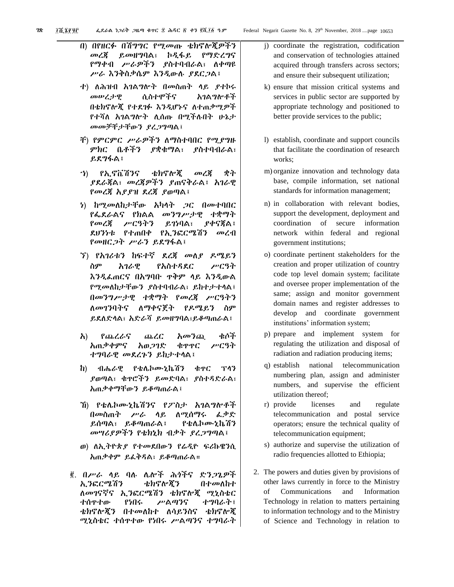በ) በየዘርፉ በሽግግር የሚመጡ ቴክኖሎጂዎችን መረጃ ይመዘግባል፣ ኮዲፋይ የማድረግና የማቀብ ሥራዎችን ያስተባብራል፣ ለቀጣዩ ሥራ እንቅስቃሴም እንዲውሉ ያደርጋል፤

- ተ) ለሕዝብ አገልግሎት በመስጠት ላይ ያተኮሩ መሠረታዊ ሲስተሞችና አገልግሎቶች በቴክኖሎጂ የተደገፉ እንዲሆኑና ለተጠቃሚዎች የተሻለ አገልግሎት ሊሰጡ በሚችሉበት ሁኔታ መመቻቸታቸውን ያረጋግጣል፤
- ቸ) የምርምር ሥራዎችን ለማስተባበር የሚያግዙ ምክር ቤቶችን ያቋቁማል፣ ያስተባብራል፣ ይደግፋል፤
- ኀ) የኢኖቬሽንና ቴክኖሎጂ መረጃ ቋት ያደራጃል፣ መረጃዎችን ያጠናቅራል፤ አገራዊ የመረጃ አያያዝ ደረጃ ያወጣል፤
- ነ) ከሚመለከታቸው አካላት ጋር በመተባበር የፌደራልና የክልል መንግሥታዊ ተቋማት የመረጃ ሥርዓትን ይገነባል፣ ያቀናጃል፤ ደህንነቱ የተጠበቀ የኢንፎርሜሽን መረብ የመዘርጋት ሥራን ይደግፋል፤
- ኘ) የአገሪቱን ከፍተኛ ደረጃ መለያ ዶሜይን ስም አገራዊ የአስተዳደር ሥርዓት እንዲፈጠርና በአግባቡ ጥቅም ላይ እንዲውል የሚመለከታቸውን ያስተባብራል፣ ይከተታተላል፤ በመንግሥታዊ ተቋማት የመረጃ ሥርዓትን ለመገንባትና ለማቀናጀት የዶሜይን ስም ይደለድላል፣ አድራሻ ይመዘግባል፣ይቆጣጠራል፤
- አ) የጨረራና ጨረር አመንጪ ቁሶች አጠቃቀምና አወጋገድ ቁጥጥር ሥርዓት ተግባራዊ መደረጉን ይከታተላል፤
- ከ) ብሔራዊ የቴሌኮሙኒኬሽን ቁጥር ፕላን ያወጣል፣ ቁጥሮችን ይመድባል፣ ያስተዳድራል፣ አጠቃቀማቸውን ይቆጣጠራል፤
- ኸ) የቴሌኮሙኒኬሽንና የፖስታ አገልግሎቶች በመስጠት ሥራ ላይ ለሚሰማሩ ፈቃድ ይሰጣል፣ ይቆጣጠራል፤ የቴሌኮሙኒኬሽን መሣሪያዎችን የቴክኒክ ብቃት ያረጋግጣል፤
- ወ) ለኢትዮጵያ የተመደበውን የሬዲዮ ፍሪኩዌንሲ አጠቃቀም ይፈቅዳል፣ ይቆጣጠራል።
- ፪. በሥራ ላይ ባሉ ሌሎች ሕጎችና ድንጋጌዎች ኢንፎርሜሽን ቴክኖሎጂን በተመለከተ ለመገናኛና ኢንፎርሜሽን ቴክኖሎጂ ሚኒስቴር ተሰጥተው የነበሩ ሥልጣንና ተግባራት፤ ቴክኖሎጂን በተመለከተ ለሳይንስና ቴክኖሎጂ ሚኒስቴር ተሰጥተው የነበሩ ሥልጣንና ተግባራት
- j) coordinate the registration, codification and conservation of technologies attained acquired through transfers across sectors; and ensure their subsequent utilization;
- k) ensure that mission critical systems and services in public sector are supported by appropriate technology and positioned to better provide services to the public;
- l) establish, coordinate and support councils that facilitate the coordination of research works;
- m) organize innovation and technology data base, compile information, set national standards for information management;
- n) in collaboration with relevant bodies, support the development, deployment and coordination of secure information network within federal and regional government institutions;
- o) coordinate pertinent stakeholders for the creation and proper utilization of country code top level domain system; facilitate and oversee proper implementation of the same; assign and monitor government domain names and register addresses to develop and coordinate government institutions' information system;
- p) prepare and implement system for regulating the utilization and disposal of radiation and radiation producing items;
- q) establish national telecommunication numbering plan, assign and administer numbers, and supervise the efficient utilization thereof;
- r) provide licenses and regulate telecommunication and postal service operators; ensure the technical quality of telecommunication equipment;
- s) authorize and supervise the utilization of radio frequencies allotted to Ethiopia;
- 2. The powers and duties given by provisions of other laws currently in force to the Ministry of Communications and Information Technology in relation to matters pertaining to information technology and to the Ministry of Science and Technology in relation to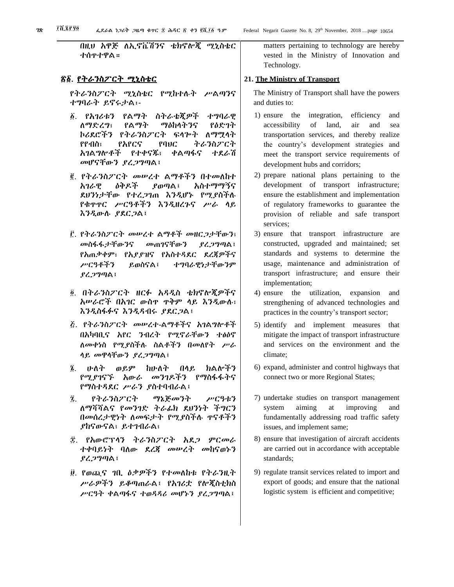በዚህ አዋጅ ለኢኖቬሽንና ቴክኖሎጂ ሚኒስቴር ተሰጥተዋል።

#### <u>ኛ፩. የትራንስፖርት ሚኒስቴር</u>

የትራንስፖርት ሚኒስቴር የሚከተሉት ሥልጣንና ተግባራት ይኖሩታል፡-

- ፩. የአገሪቱን የልማት ስትራቴጂዎች ተግባራዊ ለማድረግ፣ የልማት ማዕከላትንና የዕድገት ኮሪደሮችን የትራንስፖርት ፍላጐት ለማሟላት የየብስ፣ የአየርና የባህር ትራንስፖርት አገልግሎቶች የተቀናጁ፣ ቀልጣፋና ተደራሽ መሆናቸውን ያረጋግጣል፤
- ፪. የትራንስፖርት መሠረተ ልማቶችን በተመለከተ አገራዊ ዕቅዶች ያወጣል፤ አስተማማኝና ደህንነታቸው የተረጋገጠ እንዲሆኑ የሚያስችሉ የቁጥጥር ሥርዓቶችን እንዲዘረጉና ሥራ ላይ እንዲውሉ ያደርጋል፤
- ፫. የትራንስፖርት መሠረተ ልማቶች መዘርጋታቸውን፣ መስፋፋታቸውንና መጠገናቸውን ያረጋግጣል፤ የአጠቃቀም፣ የአያያዝና የአስተዳደር ደረጃዎችና ሥርዓቶችን ይወስናል፤ ተግባራዊነታቸውንም ያረጋግጣል፤
- ፬. በትራንስፖርት ዘርፉ አዳዲስ ቴክኖሎጂዎችና አሠራሮች በአገር ውስጥ ጥቅም ላይ እንዲውሉ፣ እንዲስፋፉና እንዲዳብሩ ያደርጋል፤
- ፭. የትራንስፖርት መሠረተ-ልማቶችና አገልግሎቶች በአካባቢና አየር ንብረት የሚኖራቸውን ተፅዕኖ ለመቀነስ የሚያስችሉ ስልቶችን በመለየት ሥራ ላይ መዋላቸውን ያረጋግጣል፤
- ፮. ሁለት ወይም ከሁለት በላይ ክልሎችን የሚያገናኙ አውራ መንገዶችን የማስፋፋትና የማስተዳደር ሥራን ያስተባብራል፤
- ፯. የትራንስፖርት ማኔጅመንት ሥርዓቱን ለማሻሻልና የመንገድ ትራፊክ ደህንነት ችግርን በመሰረታዊነት ለመፍታት የሚያስችሉ ጥናቶችን ያከናውናል፣ ይተገብራል፣
- ፰. የአውሮፕላን ትራንስፖርት አደጋ ምርመራ ተቀባይነት ባለው ደረጃ መሠረት መከናወኑን ያረጋግጣል፤
- ፱. የወጪና ገቢ ዕቃዎችን የተመለከቱ የትራንዚት ሥራዎችን ይቆጣጠራል፤ የአገሪቷ የሎጂስቲክስ ሥርዓት ቀልጣፋና ተወዳዳሪ መሆኑን ያረጋግጣል፤

matters pertaining to technology are hereby vested in the Ministry of Innovation and Technology.

#### **21. The Ministry of Transport**

The Ministry of Transport shall have the powers and duties to:

- 1) ensure the integration, efficiency and accessibility of land, air and sea transportation services, and thereby realize the country's development strategies and meet the transport service requirements of development hubs and corridors;
- 2) prepare national plans pertaining to the development of transport infrastructure; ensure the establishment and implementation of regulatory frameworks to guarantee the provision of reliable and safe transport services;
- 3) ensure that transport infrastructure are constructed, upgraded and maintained; set standards and systems to determine the usage, maintenance and administration of transport infrastructure; and ensure their implementation;
- 4) ensure the utilization, expansion and strengthening of advanced technologies and practices in the country's transport sector;
- 5) identify and implement measures that mitigate the impact of transport infrastructure and services on the environment and the climate;
- 6) expand, administer and control highways that connect two or more Regional States;
- 7) undertake studies on transport management system aiming at improving and fundamentally addressing road traffic safety issues, and implement same;
- 8) ensure that investigation of aircraft accidents are carried out in accordance with acceptable standards;
- 9) regulate transit services related to import and export of goods; and ensure that the national logistic system is efficient and competitive;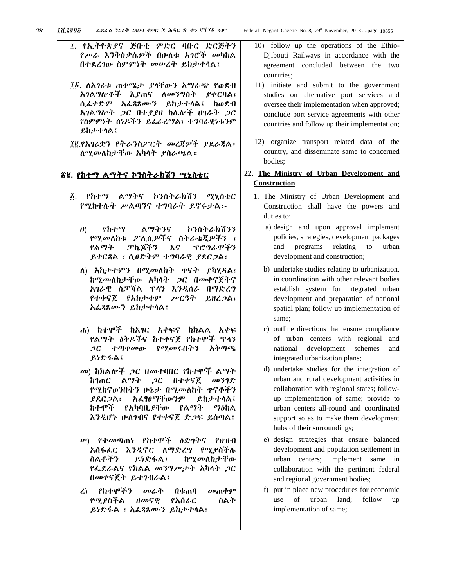- ፲. የኢትዮጵያና ጅቡቲ ምድር ባቡር ድርጅትን የሥራ እንቅስቃሴዎች በሁለቱ አገሮች መካከል በተደረገው ስምምነት መሠረት ይከታተላል፤
- ፲፩. ለአገሪቱ ጠቀሜታ ያላቸውን አማራጭ የወደብ አገልግሎቶች እያጠና ለመንግስት ያቀርባል፣ ሲፈቀድም አፈጻጸሙን ይከታተላል፤ ከወደብ አገልግሎት ጋር በተያያዘ ከሌሎች ሀገራት ጋር የስምምነት ሰነዶችን ይፈራረማል፣ ተግባራዊነቱንም ይከታተላል፤
- ፲፪.የአገሪቷን የትራንስፖርት መረጃዎች ያደራጃል፤ ለሚመለከታቸው አካላት ያሰራጫል።

# ፳፪. የከተማ ልማትና ኮንስትራክሽን ሚኒስቴር

- ፩. የከተማ ልማትና ኮንስትራክሽን ሚኒስቴር የሚከተሉት ሥልጣንና ተግባራት ይኖሩታል፡-
	- ሀ) የከተማ ልማትንና ኮንስትራክሽንን የሚመለከቱ ፖሊሲዎችና ስትራቴጂዎችን ፣ የልማት ፓኬጆችን እና ፕሮግራሞችን ይቀርጻል ፣ ሲፀድቅም ተግባራዊ ያደርጋል፣
	- ለ) አከታተምን በሚመለከት ጥናት ያካሂዳል፣ ከሚመለከታቸው አካላት ጋር በመቀናጀትና አገራዊ ስፓሻል ፕላን እንዲሰራ በማድረግ የተቀናጀ የአከታተም ሥርዓት ይዘረጋል፣ አፈጻጸሙን ይከታተላል፤
	- ሐ) ከተሞች ከአገር አቀፍና ከክልል አቀፍ የልማት ዕቅዶችና ከተቀናጀ የከተሞች ፕላን ጋር ተጣጥመው የሚመሩበትን አቅጣጫ ይነድፋል፤
	- መ) ከክልሎች ጋር በመተባበር የከተሞች ልማት ከገጠር ልማት ጋር በተቀናጀ መንገድ የሚከናወንበትን ሁኔታ በሚመለከት ጥናቶችን ያደርጋል፣ አፈፃፀማቸውንም ይከታተላል፤ ከተሞች የአካባቢያቸው የልማት ማዕከል እንዲሆኑ ሁለገብና የተቀናጀ ድጋፍ ይሰጣል፤
	- ሠ) የተመጣጠነ የከተሞች ዕድገትና የህዝብ አሰፋፈር እንዲኖር ለማድረግ የሚያስችሉ ስልቶችን ይነድፋል፤ ከሚመለከታቸው የፌደራልና የክልል መንግሥታት አካላት ጋር በመቀናጀት ይተገብራል፤
	- ረ) የከተሞችን መሬት በቁጠባ መጠቀም የሚያስችል ዘመናዊ የአሰራር ስልት ይነድፋል ፣ አፈጻጸሙን ይከታተላል፣
- 10) follow up the operations of the Ethio-Djibouti Railways in accordance with the agreement concluded between the two countries;
- 11) initiate and submit to the government studies on alternative port services and oversee their implementation when approved; conclude port service agreements with other countries and follow up their implementation;
- 12) organize transport related data of the country, and disseminate same to concerned bodies;

# **22. The Ministry of Urban Development and Construction**

- 1. The Ministry of Urban Development and Construction shall have the powers and duties to:
	- a) design and upon approval implement policies, strategies, development packages and programs relating to urban development and construction;
	- b) undertake studies relating to urbanization, in coordination with other relevant bodies establish system for integrated urban development and preparation of national spatial plan; follow up implementation of same;
	- c) outline directions that ensure compliance of urban centers with regional and national development schemes and integrated urbanization plans;
	- d) undertake studies for the integration of urban and rural development activities in collaboration with regional states; followup implementation of same; provide to urban centers all-round and coordinated support so as to make them development hubs of their surroundings;
	- e) design strategies that ensure balanced development and population settlement in urban centers; implement same in collaboration with the pertinent federal and regional government bodies;
	- f) put in place new procedures for economic use of urban land; follow up implementation of same;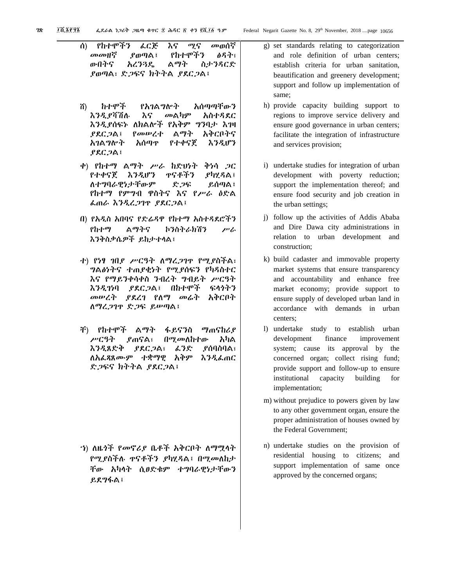- ሰ) የከተሞችን ፈርጅ እና ሚና መወሰኛ መመዘኛ ያወጣል፤ የከተሞችን ፅዳት፣ ውበትና አረንጓዴ ልማት ስታንዳርድ ያወጣል፣ ድጋፍና ክትትል ያደርጋል፤
- ሸ) ከተሞች የአገልግሎት አሰጣጣቸውን እንዲያሻሽሉ እና መልካም አስተዳደር እንዲያሰፍኑ ለክልሎች የአቅም ግንባታ እገዛ ያደርጋል፤ የመሠረተ ልማት አቅርቦትና አገልግሎት አሰጣጥ የተቀናጀ እንዲሆን ያደርጋል፤
- ቀ) የከተማ ልማት ሥራ ከድህነት ቅነሳ ጋር የተቀናጀ እንዲሆን ጥናቶችን ያካሂዳል፤ ለተግባራዊነታቸውም ድጋፍ ይሰጣል፤ የከተማ የምግብ ዋስትና እና የሥራ ዕድል ፈጠራ እንዲረጋገጥ ያደርጋል፤
- በ) የአዲስ አበባና የድሬዳዋ የከተማ አስተዳደሮችን የከተማ ልማትና ኮንስትራክሽን ሥራ እንቅስቃሴዎች ይከታተላል፤
- ተ) የነፃ ገበያ ሥርዓት ለማረጋገጥ የሚያስችል፣ ግልፅነትና ተጠያቂነት የሚያሰፍን የካዳስተር እና የማይንቀሳቀስ ንብረት ግብይት ሥርዓት እንዲገነባ ያደርጋል፤ በከተሞች ፍላጎትን መሠረት ያደረገ የለማ መሬት አቅርቦት ለማረጋገጥ ድጋፍ ይሠጣል፤
- ቸ) የከተሞች ልማት ፋይናንስ ማጠናከሪያ ሥርዓት ያጠናል፣ በሚመለከተው አካል እንዲጸድቅ ያደርጋል፣ ፈንድ ያሰባስባል፣ ለአፈጻጸሙም ተቋማዊ አቅም እንዲፈጠር ድጋፍና ክትትል ያደርጋል፤

ኀ) ለዜጎች የመኖሪያ ቤቶች አቅርቦት ለማሟላት የሚያስችሉ ጥናቶችን ያካሂዳል፤ በሚመለከታ ቸው አካላት ሲፀድቁም ተግባራዊነታቸውን ይደግፋል፤

- g) set standards relating to categorization and role definition of urban centers; establish criteria for urban sanitation, beautification and greenery development; support and follow up implementation of same;
- h) provide capacity building support to regions to improve service delivery and ensure good governance in urban centers; facilitate the integration of infrastructure and services provision;
- i) undertake studies for integration of urban development with poverty reduction; support the implementation thereof; and ensure food security and job creation in the urban settings;
- j) follow up the activities of Addis Ababa and Dire Dawa city administrations in relation to urban development and construction;
- k) build cadaster and immovable property market systems that ensure transparency and accountability and enhance free market economy; provide support to ensure supply of developed urban land in accordance with demands in urban centers;
- l) undertake study to establish urban development finance improvement system; cause its approval by the concerned organ; collect rising fund; provide support and follow-up to ensure institutional capacity building for implementation;
- m) without prejudice to powers given by law to any other government organ, ensure the proper administration of houses owned by the Federal Government;
- n) undertake studies on the provision of residential housing to citizens; and support implementation of same once approved by the concerned organs;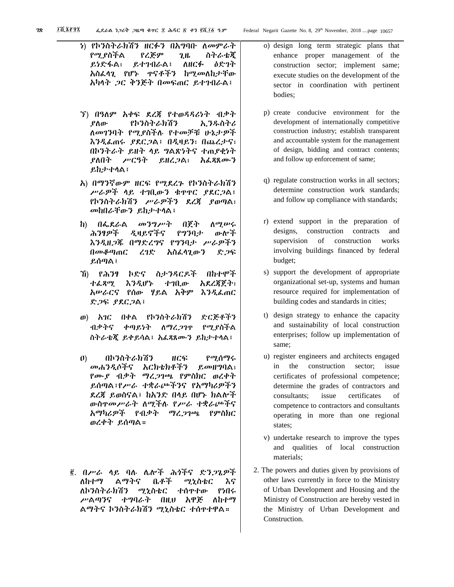ነ) የኮንስትራክሽን ዘርፉን በአግባቡ ለመምራት የሚያስችል የረጅም ጊዜ ስትራቴጂ ይነድፋል፣ ይተገብራል፤ ለዘርፉ ዕድገት አስፈላጊ የሆኑ ጥናቶችን ከሚመለከታቸው አካላት ጋር ቅንጅት በመፍጠር ይተገብራል፤ ኘ) በዓለም አቀፍ ደረጃ የተወዳዳሪነት ብቃት ያለው የኮንስትራክሽን ኢንዱስትሪ ለመገንባት የሚያስችሉ የተመቻቹ ሁኔታዎች እንዲፈጠሩ ያደርጋል፤ በዲዛይን፣ በጨረታና፣ በኮንትራት ይዘት ላይ ግልጽነትና ተጠያቂነት ያለበት ሥርዓት ይዘረጋል፣ አፈጻጸሙን ይከታተላል፤ አ) በማንኛውም ዘርፍ የሚደረጉ የኮንስትራክሽን ሥራዎች ላይ ተገቢውን ቁጥጥር ያደርጋል፤ የኮንስትራክሽን ሥራዎችን ደረጃ ያወጣል፣ መከበራቸውን ይከታተላል፤

- ከ) በፌደራል መንግሥት በጀት ለሚሠሩ ሕንፃዎች ዲዛይኖችና የግንባታ ውሎች እንዲዘጋጁ በማድረግና የግንባታ ሥራዎችን በመቆጣጠር ረገድ አስፈላጊውን ድጋፍ ይሰጣል፤
- ኸ) የሕንፃ ኮድና ስታንዳርዶች በከተሞች ተፈጻሚ እንዲሆኑ ተገቢው አደረጃጀት፣ አሠራርና የሰው ሃይል አቅም እንዲፈጠር ድጋፍ ያደርጋል፤
- ወ) አገር በቀል የኮንስትራክሽን ድርጅቶችን ብቃትና ቀጣይነት ለማረጋገጥ የሚያስችል ስትራቴጂ ይቀይሳል፤ አፈጻጸሙን ይከታተላል፤
- ዐ) በኮንስትራክሽን ዘርፍ የሚሰማሩ መሐንዲሶችና አርክቴክቶችን ይመዘግባል፣ የሙያ ብቃት ማረጋገጫ የምስክር ወረቀት ይሰጣል፤የሥራ ተቋራጮችንና የአማካሪዎችን ደረጃ ይወስናል፤ ከአንድ በላይ በሆኑ ክልሎች ውስጥመሥራት ለሚችሉ የሥራ ተቋራጮችና አማካሪዎች የብቃት ማረጋገጫ የምስክር ወረቀት ይሰጣል።
- ፪. በሥራ ላይ ባሉ ሌሎች ሕጎችና ድንጋጌዎች ለከተማ ልማትና ቤቶች ሚኒስቴር እና ለኮንስትራክሽን ሚኒስቴር ተሰጥተው የነበሩ ሥልጣንና ተግባራት በዚህ አዋጅ ለከተማ ልማትና ኮንስትራክሽን ሚኒስቴር ተሰጥተዋል።
- o) design long term strategic plans that enhance proper management of the construction sector; implement same; execute studies on the development of the sector in coordination with pertinent bodies;
- p) create conducive environment for the development of internationally competitive construction industry; establish transparent and accountable system for the management of design, bidding and contract contents; and follow up enforcement of same;
- q) regulate construction works in all sectors; determine construction work standards; and follow up compliance with standards;
- r) extend support in the preparation of designs, construction contracts and supervision of construction works involving buildings financed by federal budget;
- s) support the development of appropriate organizational set-up, systems and human resource required for implementation of building codes and standards in cities;
- t) design strategy to enhance the capacity and sustainability of local construction enterprises; follow up implementation of same;
- u) register engineers and architects engaged in the construction sector; issue certificates of professional competence; determine the grades of contractors and consultants; issue certificates of competence to contractors and consultants operating in more than one regional states;
- v) undertake research to improve the types and qualities of local construction materials;
- 2. The powers and duties given by provisions of other laws currently in force to the Ministry of Urban Development and Housing and the Ministry of Construction are hereby vested in the Ministry of Urban Development and Construction.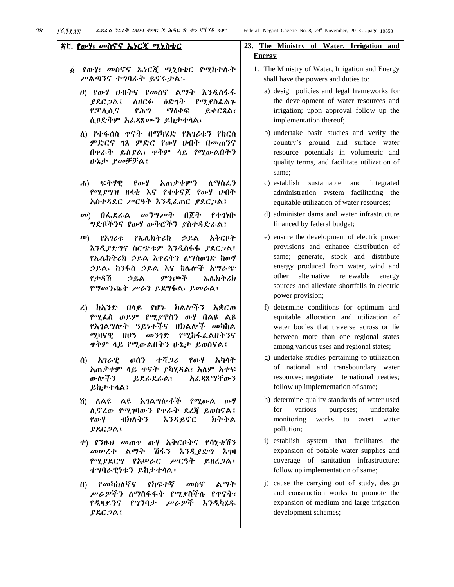### ፳፫. የውሃ፣ መስኖና ኤነርጂ ሚኒስቴር

- ፩. የውሃ፣ መስኖና ኤነርጂ ሚኒስቴር የሚከተሉት ሥልጣንና ተግባራት ይኖሩታል:-
	- ሀ) የውሃ ሀብትና የመስኖ ልማት እንዲስፋፋ ያደርጋል፤ ለዘርፉ ዕድገት የሚያስፈልጉ የፓሊሲና የሕግ ማዕቀፍ ይቀርጻል፣ ሲፀድቅም አፈጻጸሙን ይከታተላል፣
	- ለ) የተፋሰስ ጥናት በማካሄድ የአገሪቱን የከርሰ ምድርና ገጸ ምድር የውሃ ሀብት በመጠንና በጥራት ይለያል፣ ጥቅም ላይ የሚውልበትን ሁኔታ ያመቻቻል፤
	- ሐ) ፍትሃዊ የውሃ አጠቃቀምን ለማስፈን የሚያግዝ ዘላቂ እና የተቀናጀ የውሃ ሀብት አስተዳደር ሥርዓት እንዲፈጠር ያደርጋል፤
	- መ) በፌደራል መንግሥት በጀት የተገነቡ ግድቦችንና የውሃ ውቅሮችን ያስተዳድራል፤
	- ሠ) የአገሪቱ የኤሌክትሪክ ኃይል አቅርቦት እንዲያድግና ስርጭቱም እንዲስፋፋ ያደርጋል፤ የኤሌክትሪክ ኃይል እጥረትን ለማስወገድ ከውሃ ኃይል፣ ከንፋስ ኃይል እና ከሌሎች አማራጭ የታዳሽ ኃይል ምንጮች ኤሌክትሪክ የማመንጨት ሥራን ይደግፋል፣ ይመራል፤
	- ረ) ከአንድ በላይ የሆኑ ክልሎችን አቋርጦ የሚፈስ ወይም የሚያዋስን ውሃ በልዩ ልዩ የአገልግሎት ዓይነቶችና በክልሎች መካከል ሚዛናዊ በሆነ መንገድ የሚከፋፈልበትንና ጥቅም ላይ የሚውልበትን ሁኔታ ይወስናል፤
	- ሰ) አገራዊ ወሰን ተሻጋሪ የውሃ አካላት አጠቃቀም ላይ ጥናት ያካሂዳል፣ አለም አቀፍ ውሎችን ይደራደራል፣ አፈጻጸማቸውን ይከታተላል፤
	- ሸ) ለልዩ ልዩ አገልግሎቶች የሚውል ውሃ ሊኖረው የሚገባውን የጥራት ደረጃ ይወስናል፤ የውሃ ብክለትን እንዳይኖር ክትትል ያደርጋል፤
	- ቀ) የንፁህ መጠጥ ውሃ አቅርቦትና የሳኒቴሽን መሠረተ ልማት ሽፋን እንዲያድግ እገዛ የሚያደርግ የአሠራር ሥርዓት ይዘረጋል፤ ተግባራዊነቱን ይከታተላል፤
	- በ) የመካከለኛና የከፍተኛ መስኖ ልማት ሥራዎችን ለማስፋፋት የሚያስችሉ የጥናት፣ የዲዛይንና የግንባታ ሥራዎች እንዲካሄዱ ያደርጋል፤

# **23. The Ministry of Water, Irrigation and Energy**

- 1. The Ministry of Water, Irrigation and Energy shall have the powers and duties to:
	- a) design policies and legal frameworks for the development of water resources and irrigation; upon approval follow up the implementation thereof;
	- b) undertake basin studies and verify the country's ground and surface water resource potentials in volumetric and quality terms, and facilitate utilization of same;
	- c) establish sustainable and integrated administration system facilitating the equitable utilization of water resources;
	- d) administer dams and water infrastructure financed by federal budget;
	- e) ensure the development of electric power provisions and enhance distribution of same; generate, stock and distribute energy produced from water, wind and other alternative renewable energy sources and alleviate shortfalls in electric power provision;
	- f) determine conditions for optimum and equitable allocation and utilization of water bodies that traverse across or lie between more than one regional states among various uses and regional states;
	- g) undertake studies pertaining to utilization of national and transboundary water resources; negotiate international treaties; follow up implementation of same;
	- h) determine quality standards of water used for various purposes; undertake monitoring works to avert water pollution;
	- i) establish system that facilitates the expansion of potable water supplies and coverage of sanitation infrastructure; follow up implementation of same;
	- j) cause the carrying out of study, design and construction works to promote the expansion of medium and large irrigation development schemes;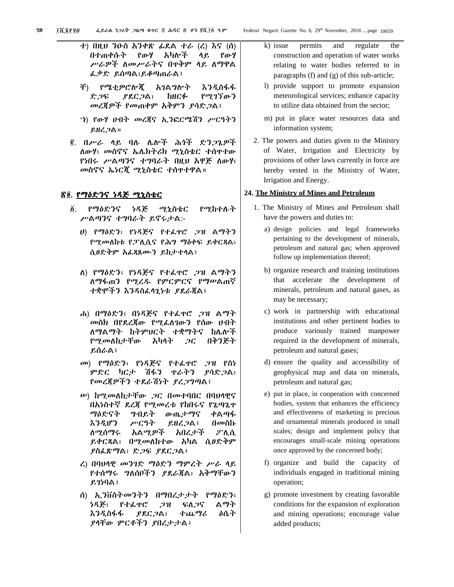- ተ) በዚህ ንዑስ አንቀጽ ፊደል ተራ (ረ) እና (ሰ) በተጠቀሱት የውሃ አካሎች ላይ የውሃ ሥራዎች ለመሥራትና በጥቅም ላይ ለማዋል ፈቃድ ይሰጣል፣ይቆጣጠራል፤
- ቸ) የሜቲዎሮሎጂ አገልግሎት እንዲስፋፋ ድጋፍ ያደርጋል፣ ከዘርፉ የሚገኘውን መረጃዎች የመጠቀም አቅምን ያሳድጋል፤
- ኀ) የውሃ ሀብት መረጃና ኢንፎርሜሽን ሥርዓትን ይዘረጋል።
- ፪. በሥራ ላይ ባሉ ሌሎች ሕጎች ድንጋጌዎች ለውሃ፣ መስኖና ኤሌክትሪክ ሚኒስቴር ተሰጥተው የነበሩ ሥልጣንና ተግባራት በዚህ አዋጅ ለውሃ፣ መስኖና ኤነርጂ ሚኒስቴር ተሰጥተዋል።

# <u>ኛ፬. የማዕድንና ነዳጅ ሚኒስቴር</u>

- ፩. የማዕድንና ነዳጅ ሚኒስቴር የሚከተሉት ሥልጣንና ተግባራት ይኖሩታል:-
	- ሀ) የማዕድን፣ የነዳጅና የተፈጥሮ ጋዝ ልማትን የሚመለከቱ የፓሊሲና የሕግ ማዕቀፍ ይቀርጻል፣ ሲፀድቅም አፈጻጸሙን ይከታተላል፤
	- ለ) የማዕድን፣ የነዳጅና የተፈጥሮ ጋዝ ልማትን ለማፋጠን የሚረዱ የምርምርና የማሠልጠኛ ተቋሞችን እንዳስፈላጊነቱ ያደራጃል፤
	- ሐ) በማዕድን፣ በነዳጅና የተፈጥሮ ጋዝ ልማት መስክ በየደረጃው የሚፈለገውን የሰው ሀብት ለማልማት ከትምህርት ተቋማትና ከሌሎች የሚመለከታቸው አካላት ጋር በቅንጅት ይሰራል፤
	- መ) የማዕድን፣ የነዳጅና የተፈጥሮ ጋዝ የስነ ምድር ካርታ ሽፋን ጥራትን ያሳድጋል፣ የመረጃዎችን ተደራሽነት ያረጋግጣል፤
	- ሠ) ከሚመለከታቸው ጋር በመተባበር በባህላዊና በአነስተኛ ደረጃ የሚመረቱ የከበሩና የጌጣጌጥ ማዕድናት ግብይት ውጤታማና ቀልጣፋ እንዲሆን ሥርዓት ይዘረጋል፤ በመስኩ ለሚሰማሩ አልሚዎች አበረታች ፖሊሲ ይቀርጻል፣ በሚመለከተው አካል ሲፀድቅም ያስፈጽማል፣ ድጋፍ ያደርጋል፤
	- ረ) በባህላዊ መንገድ ማዕድን ማምረት ሥራ ላይ የተሰማሩ ግለሰቦችን ያደራጃል፣ አቅማቸውን ይገነባል፤
	- ሰ) ኢንቨስትመንትን በማበረታታት የማዕድን፣ ነዳጅ፣ የተፈጥሮ ጋዝ ፍለጋና ልማት እንዲስፋፋ ያደርጋል፣ ተጨማሪ ዕሴት ያላቸው ምርቶችን ያበረታታል፤
- k) issue permits and regulate the construction and operation of water works relating to water bodies referred to in paragraphs (f) and (g) of this sub-article;
- l) provide support to promote expansion meteorological services; enhance capacity to utilize data obtained from the sector;
- m) put in place water resources data and information system;
- 2. The powers and duties given to the Ministry of Water, Irrigation and Electricity by provisions of other laws currently in force are hereby vested in the Ministry of Water, Irrigation and Energy.

#### **24. The Ministry of Mines and Petroleum**

- 1. The Ministry of Mines and Petroleum shall have the powers and duties to:
	- a) design policies and legal frameworks pertaining to the development of minerals, petroleum and natural gas; when approved follow up implementation thereof;
	- b) organize research and training institutions that accelerate the development of minerals, petroleum and natural gases, as may be necessary;
	- c) work in partnership with educational institutions and other pertinent bodies to produce variously trained manpower required in the development of minerals, petroleum and natural gases;
	- d) ensure the quality and accessibility of geophysical map and data on minerals, petroleum and natural gas;
	- e) put in place, in cooperation with concerned bodies, system that enhances the efficiency and effectiveness of marketing in precious and ornamental minerals produced in small scales; design and implement policy that encourages small-scale mining operations once approved by the concerned body;
	- f) organize and build the capacity of individuals engaged in traditional mining operation;
	- g) promote investment by creating favorable conditions for the expansion of exploration and mining operations; encourage value added products;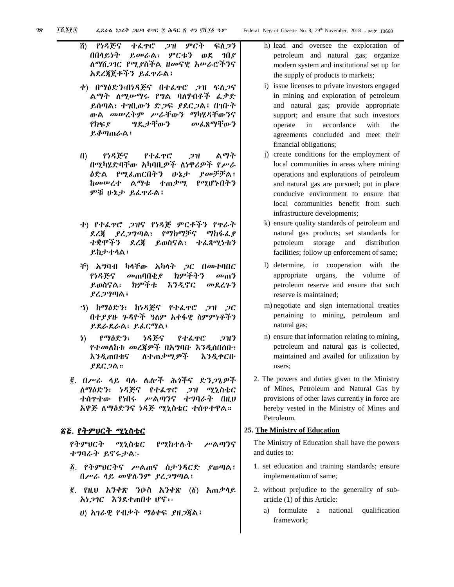ሸ) የነዳጅና ተፈጥሮ ጋዝ ምርት ፍለጋን በበላይነት ይመራል፣ ምርቱን ወደ ገበያ ለማሸጋገር የሚያስችል ዘመናዊ አሠራሮችንና አደረጃጀቶችን ይፈጥራል፤

- ቀ) በማዕድን፣በነዳጅና በተፈጥሮ ጋዝ ፍለጋና ልማት ለሚሠማሩ የግል ባለሃብቶች ፈቃድ ይሰጣል፣ ተገቢውን ድጋፍ ያደርጋል፤ በገቡት ውል መሠረትም ሥራቸውን ማካሄዳቸውንና የክፍያ ግዴታቸውን መፈጸማቸውን ይቆጣጠራል፤
- በ) የነዳጅና የተፈጥሮ ጋዝ ልማት በሚካሄድባቸው አካባቢዎች ለነዋሪዎች የሥራ ዕድል የሚፈጠርበትን ሁኔታ ያመቻቻል፤ ከመሠረተ ልማቱ ተጠቃሚ የሚሆኑበትን ምቹ ሁኔታ ይፈጥራል፤
- ተ) የተፈጥሮ ጋዝና የነዳጅ ምርቶችን የጥራት ደረጃ ያረጋግጣል፣ የማከማቻና ማከፋፈያ ተቋሞችን ደረጃ ይወስናል፣ ተፈጻሚነቱን ይከታተላል፤
- ቸ) አግባብ ካላቸው አካላት ጋር በመተባበር የነዳጅና መጠባበቂያ ክምችትን መጠን ይወስናል፣ ክምችቱ እንዲኖር መደረጉን ያረጋግጣል፤
- ኀ) ከማዕድን፣ ከነዳጅና የተፈጥሮ ጋዝ ጋር በተያያዙ ጉዳዮች ዓለም አቀፋዊ ስምምነቶችን ይደራደራል፣ ይፈርማል፤
- ነ) የማዕድን፣ ነዳጅና የተፈጥሮ ጋዝን የተመለከቱ መረጃዎች በአግባቡ እንዲሰበሰቡ፣ እንዲጠበቁና ለተጠቃሚዎች እንዲቀርቡ ያደርጋል።
- ፪. በሥራ ላይ ባሉ ሌሎች ሕጎችና ድንጋጌዎች ለማዕድን፣ ነዳጅና የተፈጥሮ ጋዝ ሚኒስቴር ተሰጥተው የነበሩ ሥልጣንና ተግባራት በዚህ አዋጅ ለማዕድንና ነዳጅ ሚኒስቴር ተሰጥተዋል።

# <u>ኛ፭. የትምህርት ሚኒስቴር</u>

የትምህርት ሚኒስቴር የሚከተሉት ሥልጣንና ተግባራት ይኖሩታል:-

- ፩. የትምህርትና ሥልጠና ስታንዳርድ ያወጣል፤ በሥራ ላይ መዋሉንም ያረጋግጣል፤
- ፪. የዚህ አንቀጽ ንዑስ አንቀጽ (፩) አጠቃላይ አነጋገር እንደተጠበቀ ሆኖ፡-
	- ሀ) አገራዊ የብቃት ማዕቀፍ ያዘጋጃል፤
- h) lead and oversee the exploration of petroleum and natural gas; organize modern system and institutional set up for the supply of products to markets;
- i) issue licenses to private investors engaged in mining and exploration of petroleum and natural gas; provide appropriate support; and ensure that such investors operate in accordance with the agreements concluded and meet their financial obligations;
- j) create conditions for the employment of local communities in areas where mining operations and explorations of petroleum and natural gas are pursued; put in place conducive environment to ensure that local communities benefit from such infrastructure developments;
- k) ensure quality standards of petroleum and natural gas products; set standards for petroleum storage and distribution facilities; follow up enforcement of same;
- l) determine, in cooperation with the appropriate organs, the volume of petroleum reserve and ensure that such reserve is maintained;
- m) negotiate and sign international treaties pertaining to mining, petroleum and natural gas;
- n) ensure that information relating to mining, petroleum and natural gas is collected, maintained and availed for utilization by users;
- 2. The powers and duties given to the Ministry of Mines, Petroleum and Natural Gas by provisions of other laws currently in force are hereby vested in the Ministry of Mines and Petroleum.

#### **25. The Ministry of Education**

The Ministry of Education shall have the powers and duties to:

- 1. set education and training standards; ensure implementation of same;
- 2. without prejudice to the generality of subarticle (1) of this Article:
	- a) formulate a national qualification framework;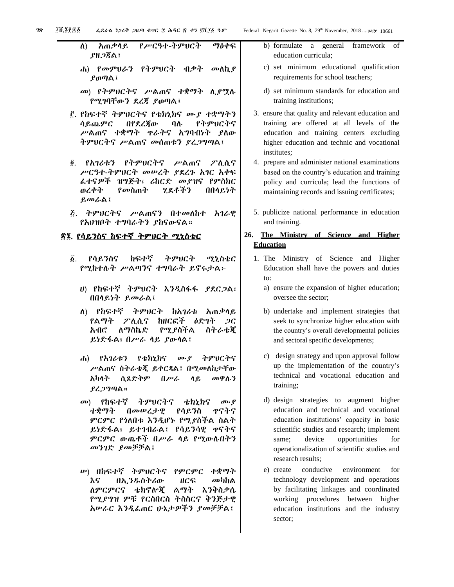ለ) አጠቃላይ የሥርዓተ-ትምህርት ማዕቀፍ ያዘጋጃል፤

- ሐ) የመምህራን የትምህርት ብቃት መለኪያ ያወጣል፤
- መ) የትምህርትና ሥልጠና ተቋማት ሊያሟሉ የሚገባቸውን ደረጃ ያወጣል፤
- ፫. የከፍተኛ ትምህርትና የቴክኒክና ሙያ ተቋማትን ሳይጨምር በየደረጃው ባሉ የትምህርትና ሥልጠና ተቋማት ጥራትና አግባብነት ያለው ትምህርትና ሥልጠና መሰጠቱን ያረጋግጣል፤
- ፬. የአገሪቱን የትምህርትና ሥልጠና ፖሊሲና ሥርዓተ-ትምህርት መሠረት ያደረጉ አገር አቀፍ ፈተናዎች ዝግጅት፣ ሪከርድ መያዝና የምስክር ወረቀት የመስጠት ሂደቶችን በበላይነት ይመራል፤
- ፭. ትምህርትና ሥልጠናን በተመለከተ አገራዊ የአህዝቦት ተግባራትን ያከናውናል።

# ፳፮. የሳይንስና ከፍተኛ ትምህርት ሚኒስቴር

- ፩. የሳይንስና ከፍተኛ ትምህርት ሚኒስቴር የሚከተሉት ሥልጣንና ተግባራት ይኖሩታል፦
	- ሀ) የከፍተኛ ትምህርት እንዲስፋፋ ያደርጋል፣ በበላይነት ይመራል፤
	- ለ) የከፍተኛ ትምህርት ከአገሪቱ አጠቃላይ የልማት ፖሊሲና ከዘርፎች ዕድገት ጋር አብሮ ለማስኬድ የሚያስችል ስትራቴጂ ይነድፋል፣ በሥራ ላይ ያውላል፤
	- ሐ) የአገሪቱን የቴክኒክና ሙያ ትምህርትና ሥልጠና ስትራቴጂ ይቀርጻል፤ በሚመለከታቸው አካላት ሲጸድቅም በሥራ ላይ መዋሉን ያረጋግጣል።
	- መ) የከፍተኛ ትምህርትና ቴክኒክና ሙያ ተቋማት በመሠረታዊ የሳይንስ ጥናትና ምርምር የጎለበቱ እንዲሆኑ የሚያስችል ስልት ይነድፋል፣ ይተገብራል፤ የሳይንሳዊ ጥናትና ምርምር ውጤቶች በሥራ ላይ የሚውሉበትን መንገድ ያመቻቻል፤
	- ሠ) በከፍተኛ ትምህርትና የምርምር ተቋማት እና በኢንዱስትሪው ዘርፍ መካከል ለምርምርና ቴክኖሎጂ ልማት እንቅስቃሴ የሚያግዝ ምቹ የርስበርስ ትስስርና ቅንጅታዊ አሠራር እንዲፈጠር ሁኔታዎችን ያመቻቻል፤
- b) formulate a general framework of education curricula;
- c) set minimum educational qualification requirements for school teachers;
- d) set minimum standards for education and training institutions;
- 3. ensure that quality and relevant education and training are offered at all levels of the education and training centers excluding higher education and technic and vocational institutes;
- 4. prepare and administer national examinations based on the country's education and training policy and curricula; lead the functions of maintaining records and issuing certificates;
- 5. publicize national performance in education and training.

# **26. The Ministry of Science and Higher Education**

- 1. The Ministry of Science and Higher Education shall have the powers and duties to:
	- a) ensure the expansion of higher education; oversee the sector;
	- b) undertake and implement strategies that seek to synchronize higher education with the country's overall developmental policies and sectoral specific developments;
	- c) design strategy and upon approval follow up the implementation of the country's technical and vocational education and training;
	- d) design strategies to augment higher education and technical and vocational education institutions' capacity in basic scientific studies and research; implement same; device opportunities for operationalization of scientific studies and research results;
	- e) create conducive environment for technology development and operations by facilitating linkages and coordinated working procedures between higher education institutions and the industry sector;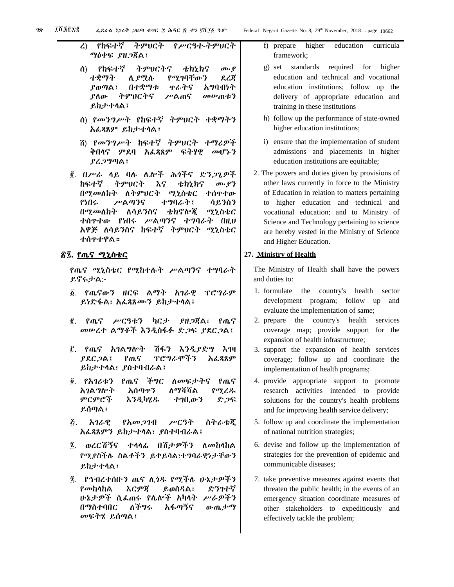- ረ) የከፍተኛ ትምህርት የሥርዓተ-ትምህርት ማዕቀፍ ያዘጋጃል፤
- ሰ) የከፍተኛ ትምህርትና ቴክኒክና ሙያ ተቋማት ሊያሟሉ የሚገባቸውን ደረጃ ያወጣል፤ በተቋማቱ ጥራትና አግባብነት ያለው ትምህርትና ሥልጠና መሠጠቱን ይከታተላል፤
- ሰ) የመንግሥት የከፍተኛ ትምህርት ተቋማትን አፈጻጸም ይከታተላል፤
- ሸ) የመንግሥት ከፍተኛ ትምህርት ተማሪዎች ቅበላና ምደባ አፈጻጸም ፍትሃዊ መሆኑን ያረጋግጣል፤
- ፪. በሥራ ላይ ባሉ ሌሎች ሕጎችና ድንጋጌዎች ከፍተኛ ትምህርት እና ቴክኒክና ሙያን በሚመለከት ለትምህርት ሚኒስቴር ተሰጥተው የነበሩ ሥልጣንና ተግባራት፤ ሳይንስን በሚመለከት ለሳይንስና ቴክኖሎጂ ሚኒስቴር ተሰጥተው የነበሩ ሥልጣንና ተግባራት በዚህ አዋጅ ለሳይንስና ከፍተኛ ትምህርት ሚኒስቴር ተሰጥተዋል።

# <u>ኛ፯. የጤና ሚኒስቴር</u>

የጤና ሚኒስቴር የሚከተሉት ሥልጣንና ተግባራት ይኖሩታል:-

- ፩. የጤናውን ዘርፍ ልማት አገራዊ ፕሮግራም ይነድፋል፣ አፈጻጸሙን ይከታተላል፤
- ፪. የጤና ሥርዓቱን ካርታ ያዘጋጃል፣ የጤና መሠረተ ልማቶች እንዲስፋፉ ድጋፍ ያደርጋል፤
- ፫. የጤና አገልግሎት ሽፋን እንዲያድግ እገዛ ያደርጋል፤ የጤና ፕሮግራሞችን አፈጻጸም ይከታተላል፣ ያስተባብራል፤
- ፬. የአገሪቱን የጤና ችግር ለመፍታትና የጤና አገልግሎት አሰጣጥን ለማሻሻል የሚረዱ ምርምሮች እንዲካሄዱ ተገቢውን ድጋፍ ይሰጣል፤
- ፭. አገራዊ የአመጋገብ ሥርዓት ስትራቴጂ አፈጻጸምን ይከታተላል፣ ያስተባብራል፤
- ፮. ወረርሽኝና ተላላፊ በሽታዎችን ለመከላከል የሚያስችሉ ስልቶችን ይቀይሳል፣ተግባራዊነታቸውን ይከታተላል፤
- ፯. የኅብረተሰቡን ጤና ሊጎዱ የሚችሉ ሁኔታዎችን የመከላከል እርምጃ ይወስዳል፣ ድንገተኛ ሁኔታዎች ሲፈጠሩ የሌሎች አካላት ሥራዎችን በማስተባበር ለችግሩ አፋጣኝና ውጤታማ መፍትሄ ይሰጣል፤
- f) prepare higher education curricula framework;
- g) set standards required for higher education and technical and vocational education institutions; follow up the delivery of appropriate education and training in these institutions
- h) follow up the performance of state-owned higher education institutions;
- i) ensure that the implementation of student admissions and placements in higher education institutions are equitable;
- 2. The powers and duties given by provisions of other laws currently in force to the Ministry of Education in relation to matters pertaining to higher education and technical and vocational education; and to Ministry of Science and Technology pertaining to science are hereby vested in the Ministry of Science and Higher Education.

#### **27. Ministry of Health**

The Ministry of Health shall have the powers and duties to:

- 1. formulate the country's health sector development program; follow up and evaluate the implementation of same;
- 2. prepare the country's health services coverage map; provide support for the expansion of health infrastructure;
- 3. support the expansion of health services coverage; follow up and coordinate the implementation of health programs;
- 4. provide appropriate support to promote research activities intended to provide solutions for the country's health problems and for improving health service delivery;
- 5. follow up and coordinate the implementation of national nutrition strategies;
- 6. devise and follow up the implementation of strategies for the prevention of epidemic and communicable diseases;
- 7. take preventive measures against events that threaten the public health; in the events of an emergency situation coordinate measures of other stakeholders to expeditiously and effectively tackle the problem;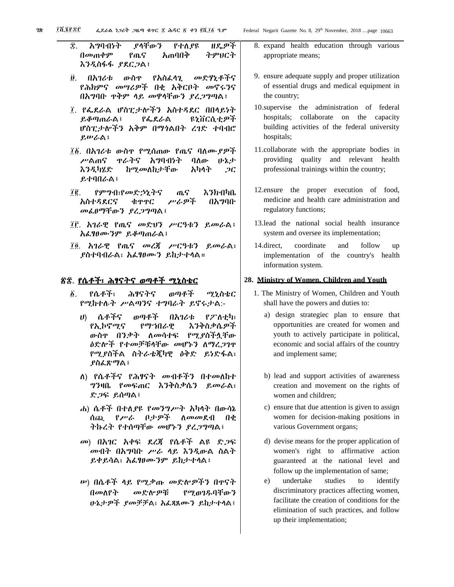፰. አግባብነት ያላቸውን የተለያዩ ዘዴዎች በመጠቀም የጤና አጠባበቅ ትምህርት እንዲስፋፋ ያደርጋል፤

- ፱. በአገሪቱ ውስጥ የአስፈላጊ መድሃኒቶችና የሕክምና መሣሪዎች በቂ አቅርቦት መኖሩንና በአግባቡ ጥቅም ላይ መዋላቸውን ያረጋግጣል፤
- ፲. የፌደራል ሆስፒታሎችን አስተዳደር በበላይነት ይቆጣጠራል፤ የፌደራል ዩኒቨርሲቲዎች ሆስፒታሎችን አቅም በማጎልበት ረገድ ተባብሮ ይሠራል፤
- ፲፩. በአገሪቱ ውስጥ የሚሰጠው የጤና ባለሙያዎች ሥልጠና ጥራትና አግባብነት ባለው ሁኔታ እንዲካሄድ ከሚመለከታቸው አካላት ጋር ይተባበራል፤
- ፲፪. የምግብ፣የመድኃኒትና ጤና እንክብካቤ አስተዳደርና ቁጥጥር ሥራዎች በአግባቡ መፈፀማቸውን ያረጋግጣል፤
- ፲፫. አገራዊ የጤና መድህን ሥርዓቱን ይመራል፤ አፈፃፀሙንም ይቆጣጠራል፤
- ፲፬. አገራዊ የጤና መረጃ ሥርዓቱን ይመራል፣ ያስተባብራል፣ አፈፃፀሙን ይከታተላል።

# ፳፰. የሴቶች፣ ሕፃናትና ወጣቶች ሚኒስቴር

- ፩. የሴቶች፣ ሕፃናትና ወጣቶች ሚኒስቴር የሚከተሉት ሥልጣንና ተግባራት ይኖሩታል:-
	- ሀ) ሴቶችና ወጣቶች በአገሪቱ የፖለቲካ፣ የኢኮኖሚና የማኀበራዊ እንቅስቃሴዎች ውስጥ በንቃት ለመሳተፍ የሚያስችሏቸው ዕድሎች የተመቻቹላቸው መሆኑን ለማረጋገጥ የሚያስችል ስትራቴጂካዊ ዕቅድ ይነድፋል፣ ያስፈጽማል፤
	- ለ) የሴቶችና የሕፃናት መብቶችን በተመለከተ ግንዛቤ የመፍጠር እንቅስቃሴን ይመራል፣ ድጋፍ ይሰጣል፤
	- ሐ) ሴቶች በተለያዩ የመንግሥት አካላት በውሳኔ ሰጪ የሥራ ቦታዎች ለመመደብ በቂ ትኩረት የተሰጣቸው መሆኑን ያረጋግጣል፤
	- መ) በአገር አቀፍ ደረጃ የሴቶች ልዩ ድጋፍ መብት በአግባቡ ሥራ ላይ እንዲውል ስልት ይቀይሳል፣ አፈፃፀሙንም ይከታተላል፤
	- ሠ) በሴቶች ላይ የሚቃጡ መድሎዎችን በጥናት በመለየት መድሎዎቹ የሚወገዱባቸውን ሁኔታዎች ያመቻቻል፣ አፈጻጸሙን ይከታተላል፤
- 8. expand health education through various appropriate means;
- 9. ensure adequate supply and proper utilization of essential drugs and medical equipment in the country;
- 10.supervise the administration of federal hospitals; collaborate on the capacity building activities of the federal university hospitals;
- 11.collaborate with the appropriate bodies in providing quality and relevant health professional trainings within the country;
- 12.ensure the proper execution of food, medicine and health care administration and regulatory functions;
- 13.lead the national social health insurance system and oversee its implementation;
- 14.direct, coordinate and follow up implementation of the country's health information system.

#### **28. Ministry of Women, Children and Youth**

- 1. The Ministry of Women, Children and Youth shall have the powers and duties to:
	- a) design strategiec plan to ensure that opportunities are created for women and youth to actively participate in political, economic and social affairs of the country and implement same;
	- b) lead and support activities of awareness creation and movement on the rights of women and children;
	- c) ensure that due attention is given to assign women for decision-making positions in various Government organs;
	- d) devise means for the proper application of women's right to affirmative action guaranteed at the national level and follow up the implementation of same;
	- e) undertake studies to identify discriminatory practices affecting women, facilitate the creation of conditions for the elimination of such practices, and follow up their implementation;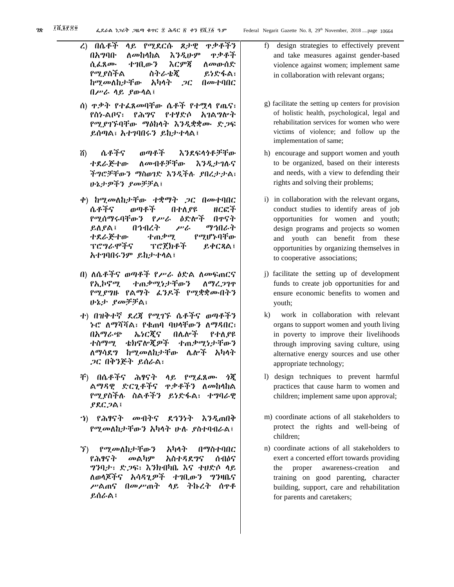- ረ) በሴቶች ላይ የሚደርሱ ጾታዊ ጥቃቶችን በአግባቡ ለመከላከል እንዲሁም ጥቃቶች ሲፈጸሙ ተገቢውን እርምጃ ለመውሰድ የሚያስችል ስትራቴጂ ይነድፋል፣ ከሚመለከታቸው አካላት ጋር በመተባበር በሥራ ላይ ያውላል፤
- ሰ) ጥቃት የተፈጸመባቸው ሴቶች የተሟላ የጤና፣ የስነ-ልቦና፣ የሕግና የተሃድሶ አገልግሎት የሚያገኙባቸው ማዕከላት እንዲቋቋሙ ድጋፍ ይሰጣል፣ አተገባበሩን ይከታተላል፤
- ሸ) ሴቶችና ወጣቶች እንደፍላጎቶቻቸው ተደራጅተው ለመብቶቻቸው እንዲታገሉና ችግሮቻቸውን ማስወገድ እንዲችሉ ያበረታታል፣ ሁኔታዎችን ያመቻቻል፤
- ቀ) ከሚመለከታቸው ተቋማት ጋር በመተባበር ሴቶችና ወጣቶች በተለያዩ ዘርፎች የሚሰማሩባቸውን የሥራ ዕድሎች በጥናት ይለያል፤ በኅብረት ሥራ ማኅበራት ተደራጅተው ተጠቃሚ የሚሆኑባቸው ፕሮግራሞችና ፕሮጀክቶች ይቀርጻል፤ አተገባበሩንም ይከታተላል፤
- በ) ለሴቶችና ወጣቶች የሥራ ዕድል ለመፍጠርና የኢኮኖሚ ተጠቃሚነታቸውን ለማረጋገጥ የሚያግዙ የልማት ፈንዶች የሚቋቋሙበትን ሁኔታ ያመቻቻል፣
- ተ) በዝቅተኛ ደረጃ የሚገኙ ሴቶችና ወጣቶችን ኑሮ ለማሻሻል፣ የቁጠባ ባህላቸውን ለማዳበር፣ በአማራጭ ኤነርጂና በሌሎች የተለያዩ ተስማሚ ቴክኖሎጂዎች ተጠቃሚነታቸውን ለማሳደግ ከሚመለከታቸው ሌሎች አካላት ጋር በቅንጅት ይሰራል፣
- ቸ) በሴቶችና ሕፃናት ላይ የሚፈጸሙ ጎጂ ልማዳዊ ድርጊቶችና ጥቃቶችን ለመከላከል የሚያስችሉ ስልቶችን ይነድፋል፣ ተግባራዊ ያደርጋል፤
- ኀ) የሕፃናት መብትና ደኅንነት እንዲጠበቅ የሚመለከታቸውን አካላት ሁሉ ያስተባብራል፤
- ኘ) የሚመለከታቸውን አካላት በማስተባበር የሕፃናት መልካም አስተዳደግና ሰብዕና ግንባታ፣ ድጋፍ፣ እንክብካቤ እና ተሀድሶ ላይ ለወላጆችና አሳዳጊዎች ተገቢውን ግንዛቤና ሥልጠና በመሥጠት ላይ ትኩረት ሰጥቶ ይሰራል፤
- f) design strategies to effectively prevent and take measures against gender-based violence against women; implement same in collaboration with relevant organs;
- g) facilitate the setting up centers for provision of holistic health, psychological, legal and rehabilitation services for women who were victims of violence; and follow up the implementation of same;
- h) encourage and support women and youth to be organized, based on their interests and needs, with a view to defending their rights and solving their problems;
- i) in collaboration with the relevant organs, conduct studies to identify areas of job opportunities for women and youth; design programs and projects so women and youth can benefit from these opportunities by organizing themselves in to cooperative associations;
- j) facilitate the setting up of development funds to create job opportunities for and ensure economic benefits to women and youth;
- k) work in collaboration with relevant organs to support women and youth living in poverty to improve their livelihoods through improving saving culture, using alternative energy sources and use other appropriate technology;
- l) design techniques to prevent harmful practices that cause harm to women and children; implement same upon approval;
- m) coordinate actions of all stakeholders to protect the rights and well-being of children;
- n) coordinate actions of all stakeholders to exert a concerted effort towards providing the proper awareness-creation and training on good parenting, character building, support, care and rehabilitation for parents and caretakers;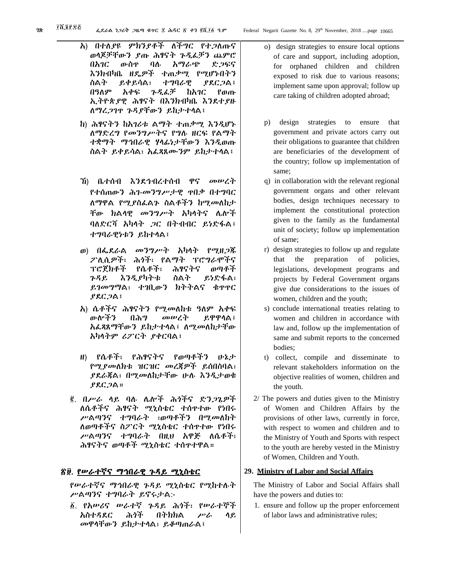- አ) በተለያዩ ምክንያቶች ለችግር የተጋለጡና ወላጆቻቸውን ያጡ ሕፃናት ጉዲፈቻን ጨምሮ በአገር ውስጥ ባሉ አማራጭ ድጋፍና እንክብካቤ ዘዴዎች ተጠቃሚ የሚሆኑበትን ስልት ይቀይሳል፣ ተግባራዊ ያደርጋል፤ በዓለም አቀፍ ጉዲፈቻ ከአገር የወጡ ኢትዮጵያዊ ሕፃናት በእንክብካቤ እንደተያዙ ለማረጋገጥ ጉዳያቸውን ይከታተላል፤
- ከ) ሕፃናትን ከአገሪቱ ልማት ተጠቃሚ እንዲሆኑ ለማድረግ የመንግሥትና የግሉ ዘርፍ የልማት ተቋማት ማኅበራዊ ሃላፊነታቸውን እንዲወጡ ስልት ይቀይሳል፣ አፈጻጸሙንም ይከታተላል፤
- ኸ) ቤተሰብ እንደኅብረተሰብ ዋና መሠረት የተሰጠውን ሕገ-መንግሥታዊ ጥበቃ በተግባር ለማዋል የሚያስፈልጉ ስልቶችን ከሚመለከታ ቸው ክልላዊ መንግሥት አካላትና ሌሎች ባለድርሻ አካላት ጋር በትብብር ይነድፋል፤ ተግባራዊነቱን ይከተላል፤
- ወ) በፌደራል መንግሥት አካላት የሚዘጋጁ ፖሊሲዎች፣ ሕጎች፣ የልማት ፕሮግራሞችና ፕሮጀክቶች የሴቶች፣ ሕፃናትና ወጣቶች ጉዳይ እንዲያካትቱ ስልት ይነድፋል፣ ይገመግማል፣ ተገቢውን ክትትልና ቁጥጥር ያደርጋል፤
- አ) ሴቶችና ሕፃናትን የሚመለከቱ ዓለም አቀፍ ውሎችን በሕግ መሠረት ይዋዋላል፤ አፈጻጸማቸውን ይከታተላል፤ ለሚመለከታቸው አካላትም ሪፖርት ያቀርባል፤
- ዘ) የሴቶች፣ የሕፃናትና የወጣቶችን ሁኔታ የሚያመለክቱ ዝርዝር መረጃዎች ይሰበስባል፣ ያደራጃል፣ በሚመለከታቸው ሁሉ እንዲታወቁ ያደርጋል።
- ፪. በሥራ ላይ ባሉ ሌሎች ሕጎችና ድንጋጌዎች ለሴቶችና ሕፃናት ሚኒስቴር ተሰጥተው የነበሩ ሥልጣንና ተግባራት ፣ወጣቶችን በሚመለከት ለወጣቶችና ስፖርት ሚኒስቴር ተሰጥተው የነበሩ ሥልጣንና ተግባራት በዚህ አዋጅ ለሴቶች፣ ሕፃናትና ወጣቶች ሚኒስቴር ተሰጥተዋል።

# <u>ኛ፱. የሥራተኛና ማኅበራዊ ጉዳይ ሚኒስቴር</u>

የሠራተኛና ማኅበራዊ ጉዳይ ሚኒስቴር የሚከተሉት ሥልጣንና ተግባራት ይኖሩታል:-

፩. የአሠሪና ሠራተኛ ጉዳይ ሕጎች፣ የሠራተኞች አስተዳደር ሕጎች በትክክል ሥራ ላይ መዋላቸውን ይከታተላል፣ ይቆጣጠራል፤

- o) design strategies to ensure local options of care and support, including adoption, for orphaned children and children exposed to risk due to various reasons; implement same upon approval; follow up care taking of children adopted abroad;
- p) design strategies to ensure that government and private actors carry out their obligations to guarantee that children are beneficiaries of the development of the country; follow up implementation of same;
- q) in collaboration with the relevant regional government organs and other relevant bodies, design techniques necessary to implement the constitutional protection given to the family as the fundamental unit of society; follow up implementation of same;
- r) design strategies to follow up and regulate that the preparation of policies, legislations, development programs and projects by Federal Government organs give due considerations to the issues of women, children and the youth;
- s) conclude international treaties relating to women and children in accordance with law and, follow up the implementation of same and submit reports to the concerned bodies;
- t) collect, compile and disseminate to relevant stakeholders information on the objective realities of women, children and the youth.
- 2/ The powers and duties given to the Ministry of Women and Children Affairs by the provisions of other laws, currently in force, with respect to women and children and to the Ministry of Youth and Sports with respect to the youth are hereby vested in the Ministry of Women, Children and Youth.

#### **29. Ministry of Labor and Social Affairs**

The Ministry of Labor and Social Affairs shall have the powers and duties to:

1. ensure and follow up the proper enforcement of labor laws and administrative rules;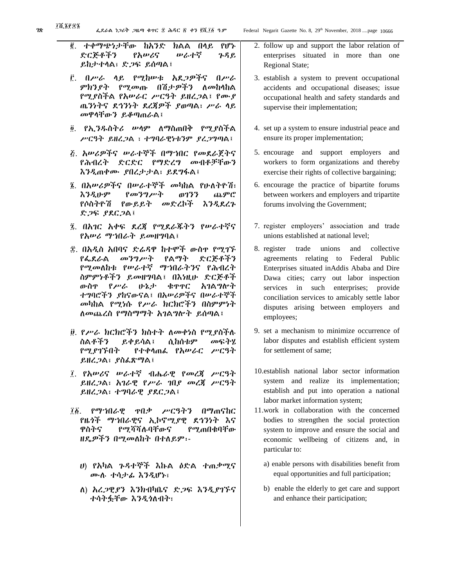$28$   $\frac{1}{2}$   $\frac{1}{2}$   $\frac{1}{2}$   $\frac{1}{6}$   $\frac{1}{2}$   $\frac{1}{6}$   $\frac{1}{2}$   $\frac{1}{6}$   $\frac{1}{2}$   $\frac{1}{6}$   $\frac{1}{6}$   $\frac{1}{6}$   $\frac{1}{6}$   $\frac{1}{6}$   $\frac{1}{6}$   $\frac{1}{6}$   $\frac{1}{6}$   $\frac{1}{6}$   $\frac{1}{6}$   $\frac{1}{6}$   $\frac{1}{6}$   $\frac{1}{$ ፪. ተቀማጭነታቸው ከአንድ ክልል በላይ የሆኑ ድርጅቶችን የአሠሪና ሠራተኛ ጉዳይ ይከታተላል፣ ድጋፍ ይሰጣል፤ ፫. በሥራ ላይ የሚከሠቱ አደጋዎችና በሥራ ምክንያት የሚመጡ በሽታዎችን ለመከላከል የሚያስችል የአሠራር ሥርዓት ይዘረጋል፤ የሙያ ጤንነትና ደኅንነት ደረጃዎች ያወጣል፣ ሥራ ላይ መዋላቸውን ይቆጣጠራል፤ ፬. የኢንዱስትሪ ሠላም ለማስጠበቅ የሚያስችል ሥርዓት ይዘረጋል ፣ ተግባራዊነቱንም ያረጋግጣል፤ ፭. አሠሪዎችና ሠራተኞች በማኀበር የመደራጀትና የሕብረት ድርድር የማድረግ መብቶቻቸውን እንዲጠቀሙ ያበረታታል፣ ይደግፋል፤ ፮. በአሠሪዎችና በሠራተኞች መካከል የሁለትዮሽ፣ እንዲሁም የመንግሥት ወገንን ጨምሮ የሶስትዮሽ የውይይት መድረኮች እንዲደረጉ ድጋፍ ያደርጋል፤ ፯. በአገር አቀፍ ደረጃ የሚደራጁትን የሠራተኛና የአሠሪ ማኀበራት ይመዘግባል፤ ፰. በአዲስ አበባና ድሬዳዋ ከተሞች ውስጥ የሚገኙ የፌደራል መንግሥት የልማት ድርጅቶችን የሚመለከቱ የሠራተኛ ማኀበራትንና የሕብረት ስምምነቶችን ይመዘግባል፤ በእነዚሁ ድርጅቶች ውስጥ የሥራ ሁኔታ ቁጥጥር አገልግሎት ተግባሮችን ያከናውናል፤ በአሠሪዎችና በሠራተኞች መካከል የሚነሱ የሥራ ክርክሮችን በስምምነት ለመጨረስ የማስማማት አገልግሎት ይሰጣል፤ ፱. የሥራ ክርክሮችን ክስተት ለመቀነስ የሚያስችሉ ስልቶችን ይቀይሳል፤ ሲከሰቱም መፍትሄ የሚያገኙበት የተቀላጠፈ የአሠራር ሥርዓት ይዘረጋል፣ ያስፈጽማል፤ ፲. የአሠሪና ሠራተኛ ብሔራዊ የመረጃ ሥርዓት ይዘረጋል፣ አገራዊ የሥራ ገበያ መረጃ ሥርዓት ይዘረጋል፣ ተግባራዊ ያደርጋል፤ ፲፩. የማኀበራዊ ጥበቃ ሥርዓትን በማጠናከር

የዜጎች ማኀበራዊና ኢኮኖሚያዊ ደኅንነት እና ዋስትና የሚሻሻሉባቸውና የሚጠበቁባቸው ዘዴዎችን በሚመለከት በተለይም፡-

- ሀ) የአካል ጉዳተኞች እኩል ዕድል ተጠቃሚና ሙሉ ተሳታፊ እንዲሆኑ፣
- ለ) አረጋዊያን እንክብካቤና ድጋፍ እንዲያገኙና ተሳትፏቸው እንዲጎለብት፣
- 2. follow up and support the labor relation of enterprises situated in more than one Regional State;
- 3. establish a system to prevent occupational accidents and occupational diseases; issue occupational health and safety standards and supervise their implementation;
- 4. set up a system to ensure industrial peace and ensure its proper implementation;
- 5. encourage and support employers and workers to form organizations and thereby exercise their rights of collective bargaining;
- 6. encourage the practice of bipartite forums between workers and employers and tripartite forums involving the Government;
- 7. register employers' association and trade unions established at national level;
- 8. register trade unions and collective agreements relating to Federal Public Enterprises situated inAddis Ababa and Dire Dawa cities; carry out labor inspection services in such enterprises; provide conciliation services to amicably settle labor disputes arising between employers and employees;
- 9. set a mechanism to minimize occurrence of labor disputes and establish efficient system for settlement of same;
- 10.establish national labor sector information system and realize its implementation; establish and put into operation a national labor market information system;
- 11.work in collaboration with the concerned bodies to strengthen the social protection system to improve and ensure the social and economic wellbeing of citizens and, in particular to:
	- a) enable persons with disabilities benefit from equal opportunities and full participation;
	- b) enable the elderly to get care and support and enhance their participation;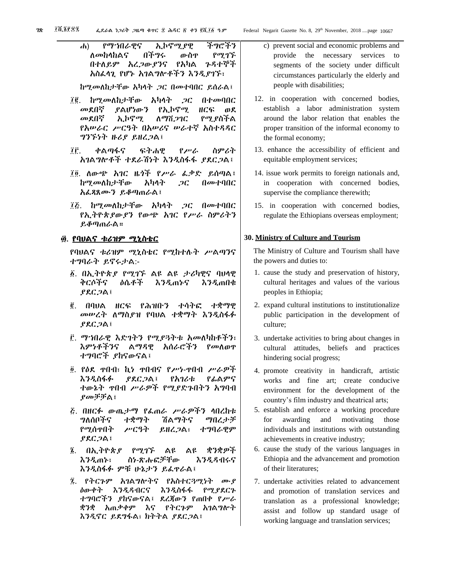ሐ) የማኀበራዊና ኢኮኖሚያዊ ችግሮችን ለመከላከልና በችግሩ ውስጥ የሚገኙ በተለይም አረጋውያንና የአካል ጉዳተኞች አስፈላጊ የሆኑ አገልግሎቶችን እንዲያገኙ፣

ከሚመለከታቸው አካላት ጋር በመተባበር ይሰራል፤

- ፲፪. ከሚመለከታቸው አካላት ጋር በተመባበር መደበኛ ያልሆነውን የኢኮኖሚ ዘርፍ ወደ መደበኛ ኢኮኖሚ ለማሸጋገር የሚያስችል የአሠራር ሥርዓት በአሠሪና ሠራተኛ አስተዳዳር ግንኙነት ዙሪያ ይዘረጋል፤
- ፲፫. ቀልጣፋና ፍትሐዊ የሥራ ስምሪት አገልግሎቶች ተደራሽነት እንዲስፋፋ ያደርጋል፤
- ፲፬. ለውጭ አገር ዜጎች የሥራ ፈቃድ ይሰጣል፤ ከሚመለከታቸው አካላት ጋር በመተባበር አፈጻጸሙን ይቆጣጠራል፤
- ፲፭. ከሚመለከታቸው አካላት ጋር በመተባበር የኢትዮጵያውያን የውጭ አገር የሥራ ስምሪትን ይቆጣጠራል።

#### ፴. <u>የባህልና ቱሪዝም ሚኒስቴር</u>

የባህልና ቱሪዝም ሚኒስቴር የሚከተሉት ሥልጣንና ተግባራት ይኖሩታል:-

- ፩. በኢትዮጵያ የሚገኙ ልዩ ልዩ ታሪካዊና ባህላዊ ቅርሶችና ዕሴቶች እንዲጠኑና እንዲጠበቁ ያደርጋል፤
- ፪. በባህል ዘርፍ የሕዝቡን ተሳትፎ ተቋማዊ መሠረት ለማስያዝ የባህል ተቋማት እንዲስፋፉ ያደርጋል፤
- ፫. ማኀበራዊ እድገትን የሚያጓትቱ አመለካከቶችን፣ እምነቶችንና ልማዳዊ አሰራሮችን የመለወጥ ተግባሮች ያከናውናል፤
- ፬. የዕደ ጥበብ፣ ኪነ ጥበብና የሥነ-ጥበብ ሥራዎች እንዲስፋፉ ያደርጋል፤ የአገሪቱ የፊልምና ተውኔት ጥበብ ሥራዎች የሚያድጉበትን አግባብ ያመቻቻል፤
- ፭. በዘርፉ ውጤታማ የፈጠራ ሥራዎችን ላበረከቱ ግለሰቦችና ተቋማት ሽልማትና ማበረታቻ የሚሰጥበት ሥርዓት ይዘረጋል፣ ተግባራዊም ያደርጋል፤
- ፮. በኢትዮጵያ የሚገኙ ልዩ ልዩ ቋንቋዎች እንዲጠኑ፣ ስነ-ጽሑፎቻቸው እንዲዳብሩና እንዲስፋፉ ምቹ ሁኔታን ይፈጥራል፤
- ፯. የትርጉም አገልግሎትና የአስተርጓሚነት ሙያ ዕውቀት እንዲዳብርና እንዲስፋፋ የሚያደርጉ ተግባሮችን ያከናውናል፤ ደረጃውን የጠበቀ የሥራ ቋንቋ አጠቃቀም እና የትርጉም አገልግሎት እንዲኖር ይደግፋል፣ ክትትል ያደርጋል፤
- c) prevent social and economic problems and provide the necessary services to segments of the society under difficult circumstances particularly the elderly and people with disabilities;
- 12. in cooperation with concerned bodies, establish a labor administration system around the labor relation that enables the proper transition of the informal economy to the formal economy;
- 13. enhance the accessibility of efficient and equitable employment services;
- 14. issue work permits to foreign nationals and, in cooperation with concerned bodies, supervise the compliance therewith;
- 15. in cooperation with concerned bodies, regulate the Ethiopians overseas employment;

#### **30. Ministry of Culture and Tourism**

The Ministry of Culture and Tourism shall have the powers and duties to:

- 1. cause the study and preservation of history, cultural heritages and values of the various peoples in Ethiopia;
- 2. expand cultural institutions to institutionalize public participation in the development of culture;
- 3. undertake activities to bring about changes in cultural attitudes, beliefs and practices hindering social progress;
- 4. promote creativity in handicraft, artistic works and fine art; create conducive environment for the development of the country's film industry and theatrical arts;
- 5. establish and enforce a working procedure for awarding and motivating those individuals and institutions with outstanding achievements in creative industry;
- 6. cause the study of the various languages in Ethiopia and the advancement and promotion of their literatures;
- 7. undertake activities related to advancement and promotion of translation services and translation as a professional knowledge; assist and follow up standard usage of working language and translation services;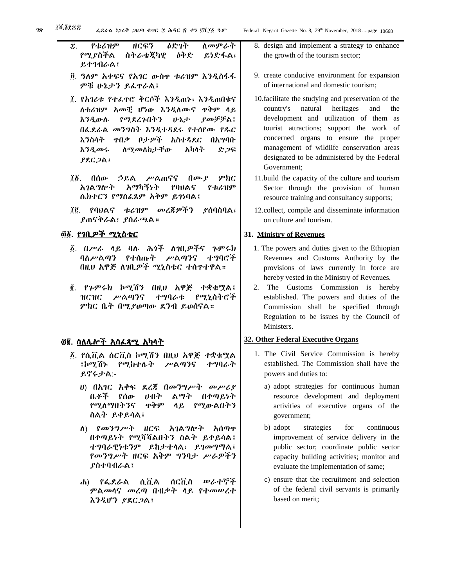- ፰. የቱሪዝም ዘርፍን ዕድገት ለመምራት የሚያስችል ስትራቴጂካዊ ዕቅድ ይነድፋል፣ ይተገብራል፤
- ፱. ዓለም አቀፍና የአገር ውስጥ ቱሪዝም እንዲስፋፋ ምቹ ሁኔታን ይፈጥራል፤
- ፲. የአገሪቱ የተፈጥሮ ቅርሶች እንዲጠኑ፣ እንዲጠበቁና ለቱሪዝም አመቺ ሆነው እንዲለሙና ጥቅም ላይ እንዲውሉ የሚደረጉበትን ሁኔታ ያመቻቻል፤ በፌደራል መንግስት እንዲተዳደሩ የተሰየሙ የዱር እንስሳት ጥበቃ ቦታዎች አስተዳደር በአግባቡ እንዲመሩ ለሚመለከታቸው አካላት ድጋፍ ያደርጋል፤
- ፲፩. በሰው ኃይል ሥልጠናና በሙያ ምክር አገልግሎት አማካኝነት የባህልና የቱሪዝም ሴክተርን የማስፈጸም አቅም ይገነባል፤
- ፲፪. የባህልና ቱሪዝም መረጃዎችን ያሰባስባል፣ ያጠናቅራል፣ ያሰራጫል።

# ፴፩. <u>የገቢዎች ሚኒስቴር</u>

- ፩. በሥራ ላይ ባሉ ሕጎች ለገቢዎችና ጉምሩክ ባለሥልጣን የተሰጡት ሥልጣንና ተግባሮች በዚህ አዋጅ ለገቢዎች ሚኒስቴር ተሰጥተዋል።
- ፪. የጉምሩክ ኮሚሽን በዚህ አዋጅ ተቋቁሟል፤ ዝርዝር ሥልጣንና ተግባራቱ የሚኒስትሮች ምክር ቤት በሚያወጣው ደንብ ይወሰናል።

# ፴፪. ስለሌሎች አስፈጻሚ አካላት

- ፩. የሲቪል ሰርቪስ ኮሚሽን በዚህ አዋጅ ተቋቁሟል ፤ኮሚሽኑ የሚከተሉት ሥልጣንና ተግባራት ይኖሩታል:-
	- ሀ) በአገር አቀፍ ደረጃ በመንግሥት መሥሪያ ቤቶች የሰው ሀብት ልማት በቀጣይነት የሚለማበትንና ጥቅም ላይ የሚውልበትን ስልት ይቀይሳል፤
	- ለ) የመንግሥት ዘርፍ አገልግሎት አሰጣጥ በቀጣይነት የሚሻሻልበትን ስልት ይቀይሳል፤ ተግባራዊነቱንም ይከታተላል፣ ይገመግማል፤ የመንግሥት ዘርፍ አቅም ግንባታ ሥራዎችን ያስተባብራል፤
	- ሐ) የፌደራል ሲቪል ሰርቪስ ሠራተኞች ምልመላና መረጣ በብቃት ላይ የተመሠረተ እንዲሆን ያደርጋል፤
- 8. design and implement a strategy to enhance the growth of the tourism sector;
- 9. create conducive environment for expansion of international and domestic tourism;
- 10.facilitate the studying and preservation of the country's natural heritages and the development and utilization of them as tourist attractions; support the work of concerned organs to ensure the proper management of wildlife conservation areas designated to be administered by the Federal Government;
- 11.build the capacity of the culture and tourism Sector through the provision of human resource training and consultancy supports;
- 12.collect, compile and disseminate information on culture and tourism.

# **31. Ministry of Revenues**

- 1. The powers and duties given to the Ethiopian Revenues and Customs Authority by the provisions of laws currently in force are hereby vested in the Ministry of Revenues.
- 2. The Customs Commission is hereby established. The powers and duties of the Commission shall be specified through Regulation to be issues by the Council of Ministers.

# **32. Other Federal Executive Organs**

- 1. The Civil Service Commission is hereby established. The Commission shall have the powers and duties to:
	- a) adopt strategies for continuous human resource development and deployment activities of executive organs of the government;
	- b) adopt strategies for continuous improvement of service delivery in the public sector; coordinate public sector capacity building activities; monitor and evaluate the implementation of same;
	- c) ensure that the recruitment and selection of the federal civil servants is primarily based on merit;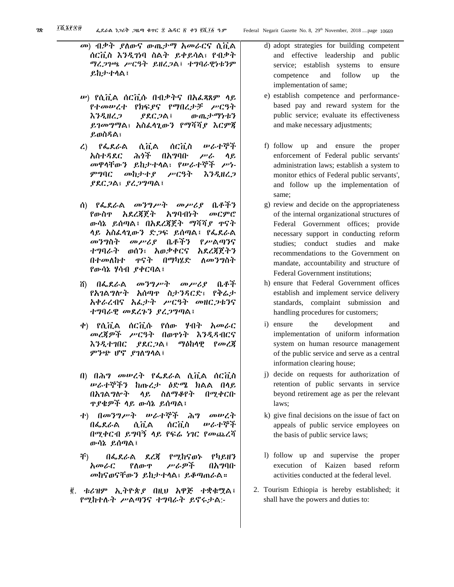- መ) ብቃት ያለውና ውጤታማ አመራርና ሲቪል ሰርቪስ እንዲገነባ ስልት ይቀይሳል፣ የብቃት ማረጋገጫ ሥርዓት ይዘረጋል፤ ተግባራዊነቱንም ይከታተላል፤
- ሠ) የሲቪል ሰርቪሱ በብቃትና በአፈጻጸም ላይ የተመሠረተ የክፍያና የማበረታቻ ሥርዓት እንዲዘረጋ ያደርጋል፤ ውጤታማነቱን ይገመግማል፣ አስፈላጊውን የማሻሻያ እርምጃ ይወስዳል፣
- ረ) የፌደራል ሲቪል ሰርቪስ ሠራተኞች አስተዳደር ሕጎች በአግባቡ ሥራ ላይ መዋላቸውን ይከታተላል፣ የሠራተኞች ሥነ-ምግባር መከታተያ ሥርዓት እንዲዘረጋ ያደርጋል፣ ያረጋግጣል፤
- ሰ) የፌደራል መንግሥት መሥሪያ ቤቶችን የውስጥ አደረጃጀት አግባብነት መርምሮ ውሳኔ ይሰጣል፤ በአደረጃጀት ማሻሻያ ጥናት ላይ አስፈላጊውን ድጋፍ ይሰጣል፤ የፌደራል መንግስት መሥሪያ ቤቶችን የሥልጣንና ተግባራት ወሰን፣ አወቃቀርና አደረጃጀትን በተመለከተ ጥናት በማካሄድ ለመንግስት የውሳኔ ሃሳብ ያቀርባል፤
- ሸ) በፌደራል መንግሥት መሥሪያ ቤቶች የአገልግሎት አሰጣጥ ስታንዳርድ፣ የቅሬታ አቀራረብና አፈታት ሥርዓት መዘርጋቱንና ተግባራዊ መደረጉን ያረጋግጣል፤
- ቀ) የሲቪል ሰርቪሱ የሰው ሃብት አመራር መረጃዎች ሥርዓት በወጥነት እንዲዳብርና እንዲተገበር ያደርጋል፤ ማዕከላዊ የመረጃ ምንጭ ሆኖ ያገለግላል፤
- በ) በሕግ መሠረት የፌደራል ሲቪል ሰርቪስ ሠራተኞችን ከጡረታ ዕድሜ ክልል በላይ በአገልግሎት ላይ ስለማቆየት በሚቀርቡ ጥያቄዎች ላይ ውሳኔ ይሰጣል፤
- ተ) በመንግሥት ሠራተኞች ሕግ መሠረት በፌደራል ሲቪል ሰርቪስ ሠራተኞች በሚቀርብ ይግባኝ ላይ የፍሬ ነገር የመጨረሻ ውሳኔ ይሰጣል፤
- ቸ) በፌደራል ደረጃ የሚከናወኑ የካይዘን አመራር የለውጥ ሥራዎች በአግባቡ መከናወናቸውን ይከታተላል፣ ይቆጣጠራል።
- ፪. ቱሪዝም ኢትዮጵያ በዚህ አዋጅ ተቋቁሟል፤ የሚከተሉት ሥልጣንና ተግባራት ይኖሩታል:-
- d) adopt strategies for building competent and effective leadership and public service; establish systems to ensure competence and follow up the implementation of same;
- e) establish competence and performancebased pay and reward system for the public service; evaluate its effectiveness and make necessary adjustments;
- f) follow up and ensure the proper enforcement of Federal public servants' administration laws; establish a system to monitor ethics of Federal public servants', and follow up the implementation of same;
- g) review and decide on the appropriateness of the internal organizational structures of Federal Government offices; provide necessary support in conducting reform studies; conduct studies and make recommendations to the Government on mandate, accountability and structure of Federal Government institutions;
- h) ensure that Federal Government offices establish and implement service delivery standards, complaint submission and handling procedures for customers;
- i) ensure the development and implementation of uniform information system on human resource management of the public service and serve as a central information clearing house;
- j) decide on requests for authorization of retention of public servants in service beyond retirement age as per the relevant laws;
- k) give final decisions on the issue of fact on appeals of public service employees on the basis of public service laws;
- l) follow up and supervise the proper execution of Kaizen based reform activities conducted at the federal level.
- 2. Tourism Ethiopia is hereby established; it shall have the powers and duties to: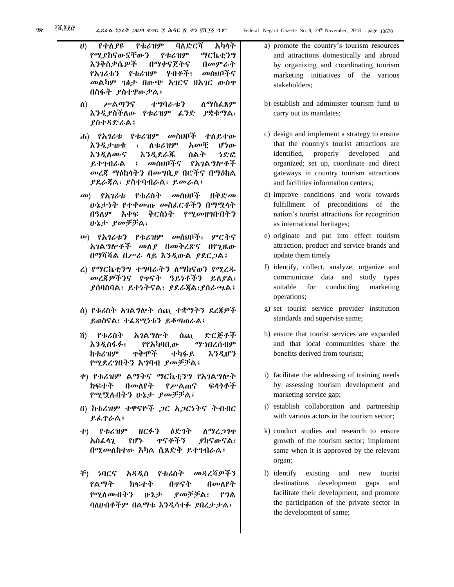- ሀ) የተለያዩ የቱሪዝም ባለድርሻ አካላት የሚያከናውኗቸውን የቱሪዝም ማርኬቲንግ እንቅስቃሴዎች በማቀናጀትና በመምራት የአገሪቱን የቱሪዝም ሃብቶች፣ መስህቦችና መልካም ገፅታ በውጭ አገርና በአገር ውስጥ በስፋት ያስተዋውቃል፤ ለ) ሥልጣንና ተግባራቱን ለማስፈጸም እንዲያስችለው የቱሪዝም ፈንድ ያቋቁማል፣ ያስተዳድራል፤ ሐ) የአገሪቱ የቱሪዝም መስህቦች ተለይተው እንዲታወቁ ፣ ለቱሪዝም አመቺ ሆነው እንዲለሙና እንዲደራጁ ስልት ነድፎ ይተገብራል ፤ መስህቦችና የአገልግሎቶች መረጃ ማዕከላትን በመግቢያ በሮችና በማዕከል
- መ) የአገሪቱ የቱሪስት መስህቦች በቅድመ ሁኔታነት የተቀመጡ መስፈርቶችን በማሟላት በዓለም አቀፍ ቅርስነት የሚመዘገቡበትን ሁኔታ ያመቻቻል፣

ያደራጃል፣ ያስተባብራል፣ ይመራል፤

- ሠ) የአገሪቱን የቱሪዝም መስህቦች፣ ምርትና አገልግሎቶች መለያ በመቅረጽና በየጊዜው በማሻሻል በሥራ ላይ እንዲውል ያደርጋል፤
- ረ) የማርኬቲንግ ተግባራትን ለማከናወን የሚረዱ መረጃዎችንና የጥናት ዓይነቶችን ይለያል፣ ያሰባስባል፣ ይተነትናል፣ ያደራጃል፣ያሰራጫል፤
- ሰ) የቱሪስት አገልግሎት ሰጪ ተቋማትን ደረጃዎች ይወስናል፣ ተፈጻሚነቱን ይቆጣጠራል፤
- ሸ) የቱሪስት አገልግሎት ሰጪ ድርጅቶች እንዲስፋፉ፣ የየአካባቢው ማኀበረሰብም ከቱሪዝም ጥቅሞች ተካፋይ እንዲሆን የሚደረግበትን አግባብ ያመቻቻል፤
- ቀ) የቱሪዝም ልማትና ማርኬቲንግ የአገልግሎት ክፍተት በመለየት የሥልጠና ፍላጎቶች የሚሟሉበትን ሁኔታ ያመቻቻል፤
- በ) ከቱሪዝም ተዋናዮች ጋር አጋርነትና ትብብር ይፈጥራል፤
- ተ) የቱሪዝም ዘርፉን ዕድገት ለማረጋገጥ አስፈላጊ የሆኑ ጥናቶችን ያከናውናል፣ በሚመለከተው አካል ሲጸድቅ ይተገብራል፤
- ቸ) ነባርና አዳዲስ የቱሪስት መዳረሻዎችን የልማት ክፍተት በጥናት በመለየት የሚለሙበትን ሁኔታ ያመቻቻል፣ የግል ባለሀብቶችም በልማቱ እንዲሳተፉ ያበረታታል፤
- a) promote the country's tourism resources and attractions domestically and abroad by organizing and coordinating tourism marketing initiatives of the various stakeholders;
- b) establish and administer tourism fund to carry out its mandates;
- c) design and implement a strategy to ensure that the country's tourist attractions are identified, properly developed and organized; set up, coordinate and direct gateways in country tourism attractions and facilities information centers;
- d) improve conditions and work towards fulfillment of preconditions of the nation's tourist attractions for recognition as international heritages;
- e) originate and put into effect tourism attraction, product and service brands and update them timely
- f) identify, collect, analyze, organize and communicate data and study types suitable for conducting marketing operations;
- g) set tourist service provider institution standards and supervise same;
- h) ensure that tourist services are expanded and that local communities share the benefits derived from tourism;
- i) facilitate the addressing of training needs by assessing tourism development and marketing service gap;
- j) establish collaboration and partnership with various actors in the tourism sector;
- k) conduct studies and research to ensure growth of the tourism sector; implement same when it is approved by the relevant organ;
- l) identify existing and new tourist destinations development gaps and facilitate their development, and promote the participation of the private sector in the development of same;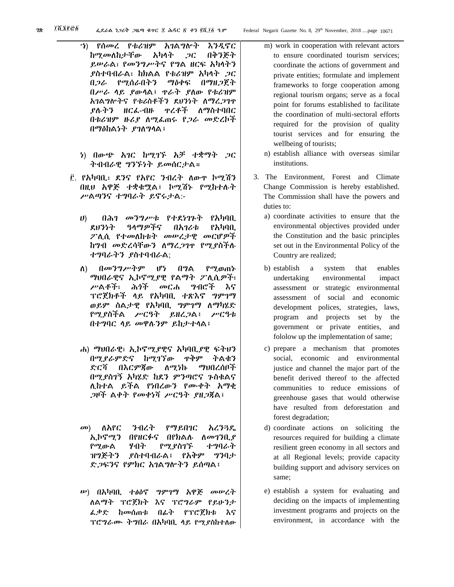- ኀ) የሰመረ የቱሪዝም አገልግሎት እንዲኖር ከሚመለከታቸው አካላት ጋር በቅንጅት ይሠራል፣ የመንግሥትና የግል ዘርፍ አካላትን ያስተባብራል፣ ከክልል የቱሪዝም አካላት ጋር በጋራ የሚሰራበትን ማዕቀፍ በማዘጋጀት በሥራ ላይ ያውላል፤ ጥራት ያለው የቱሪዝም አገልግሎትና የቱሪስቶችን ደህንነት ለማረጋገጥ ያሉትን ዘርፈ-ብዙ ጥረቶች ለማስተባበር በቱሪዝም ዙሪያ ለሚፈጠሩ የጋራ መድረኮች በማዕከልነት ያገለግላል፤
- ነ) በውጭ አገር ከሚገኙ አቻ ተቋማት ጋር ትብብራዊ ግንኙነት ይመሰርታል።
- ፫. የአካባቢ፣ ደንና የአየር ንብረት ለውጥ ኮሚሽን በዚህ አዋጅ ተቋቁሟል፤ ኮሚሽኑ የሚከተሉት ሥልጣንና ተግባራት ይኖሩታል:-
	- ሀ) በሕገ መንግሥቱ የተደነገጉት የአካባቢ ደህንነት ዓላማዎችና በአገሪቱ የአካባቢ ፖሊሲ የተመለከቱት መሠረታዊ መርሆዎች ከግብ መድረሳቸውን ለማረጋገጥ የሚያስችሉ ተግባራትን ያስተባብራል;
	- ለ) በመንግሥትም ሆነ በግል የሚወጠኑ ማህበራዊና ኢኮኖሚያዊ የልማት ፖሊሲዎች፣ ሥልቶች፣ ሕጎች መርሐ ግብሮች እና ፕሮጀክቶች ላይ የአካባቢ ተጽእኖ ግምገማ ወይም ስልታዊ የአካባቢ ግምገማ ለማካሄድ የሚያስችል ሥርዓት ይዘረጋል፤ ሥርዓቱ በተግባር ላይ መዋሉንም ይከታተላል፤
	- ሐ) ማህበራዊ፣ ኢኮኖሚያዊና አካባቢያዊ ፍትህን በሚያራምድና ከሚገኘው ጥቅም ትልቁን ድርሻ በእርምጃው ለሚነኩ ማህበረሰቦች በሚያስገኝ አካሄድ ከደን ምንጣሮና ጉስቁልና ሊከተል ይችል የነበረውን የሙቀት አማቂ ጋዞች ልቀት የመቀነሻ ሥርዓት ያዘጋጃል፤
	- መ) ለአየር ንብረት የማይበገር አረንጓዴ ኢኮኖሚን በየዘርፉና በየክልሉ ለመገንቢያ የሚውል ሃብት የሚያስገኙ ተግባራት ዝግጅትን ያስተባብራል፤ የአቅም ግንባታ ድጋፍንና የምክር አገልግሎትን ይሰጣል፤
	- ሠ) በአካባቢ ተፅዕኖ ግምገማ አዋጅ መሠረት ለልማት ፕሮጀክት እና ፕሮግራም የይሁንታ ፈቃድ ከመሰጠቱ በፊት የፕሮጀክቱ እና ፕሮግራሙ ትግበራ በአካባቢ ላይ የሚያስከተለው
- m) work in cooperation with relevant actors to ensure coordinated tourism services; coordinate the actions of government and private entities; formulate and implement frameworks to forge cooperation among regional tourism organs; serve as a focal point for forums established to facilitate the coordination of multi-sectoral efforts required for the provision of quality tourist services and for ensuring the wellbeing of tourists;
- n) establish alliance with overseas similar institutions.
- 3. The Environment, Forest and Climate Change Commission is hereby established. The Commission shall have the powers and duties to:
	- a) coordinate activities to ensure that the environmental objectives provided under the Constitution and the basic principles set out in the Environmental Policy of the Country are realized;
	- b) establish a system that enables undertaking environmental impact assessment or strategic environmental assessment of social and economic development polices, strategies, laws, program and projects set by the government or private entities, and fololow up the implementation of same;
	- c) prepare a mechanism that promotes social, economic and environmental justice and channel the major part of the benefit derived thereof to the affected communities to reduce emissions of greenhouse gases that would otherwise have resulted from deforestation and forest degradation;
	- d) coordinate actions on soliciting the resources required for building a climate resilient green economy in all sectors and at all Regional levels; provide capacity building support and advisory services on same;
	- e) establish a system for evaluating and deciding on the impacts of implementing investment programs and projects on the environment, in accordance with the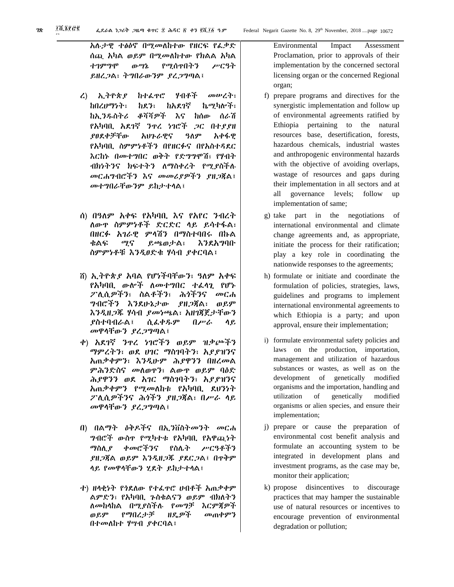፪

አሉታዊ ተፅዕኖ በሚመለከተው የዘርፍ የፈቃድ ሰጪ አካል ወይም በሚመለከተው የክልል አካል ተገምግሞ ውሣኔ የሚሰጥበትን ሥርዓት ይዘረጋል፣ ትግበራውንም ያረጋግጣል፤

- ረ) ኢትዮጵያ ከተፈጥሮ ሃብቶች መሠረት፣ ከበረሀማነት፣ ከደን፣ ከአደገኛ ኬሚካሎች፣ ከኢንዱስትሪ ቆሻሻዎች እና ከሰው ሰራሽ የአካባቢ አደገኛ ንጥረ ነገሮች ጋር በተያያዘ ያፀደቀቻቸው አህጉራዊና ዓለም አቀፋዊ የአካባቢ ስምምነቶችን በየዘርፉና በየአስተዳደር እርከኑ በመተግበር ወቅት የድግግሞሽ፣ የሃብት ብክነትንና ክፍተትን ለማስቀረት የሚያስችሉ መርሐግብሮችን እና መመሪያዎችን ያዘጋጃል፤ መተግበራቸውንም ይከታተላል፤
- ሰ) በዓለም አቀፍ የአካባቢ እና የአየር ንብረት ለውጥ ስምምነቶች ድርድር ላይ ይሳተፋል፣ በዘርፉ አገራዊ ምላሽን በማስተባበሩ በኩል ቁልፍ ሚና ይጫወታል፣ እንደአግባቡ ስምምነቶቹ እንዲፀድቁ ሃሳብ ያቀርባል፤
- ሸ) ኢትዮጵያ አባል የሆነችባቸውን፣ ዓለም አቀፍ የአካባቢ ውሎች ለመተግበር ተፈላጊ የሆኑ ፖሊሲዎችን፣ ስልቶችን፣ ሕጎችንና መርሐ ግብሮችን እንደሁኔታው ያዘጋጃል፣ ወይም እንዲዘጋጁ ሃሳብ ያመነጫል፣ አዘገጃጀታቸውን ያስተባብራል፤ ሲፈቀዱም በሥራ ላይ መዋላቸውን ያረጋግጣል፤
- ቀ) አደገኛ ንጥረ ነገሮችን ወይም ዝቃጮችን ማምረትን፣ ወደ ሀገር ማስገባትን፣ አያያዝንና አጠቃቀምን፣ እንዲሁም ሕያዋንን በዘረመል ምሕንድስና መለወጥን፣ ልውጥ ወይም ባዕድ ሕያዋንን ወደ አገር ማስገባትን፣ አያያዝንና አጠቃቀምን የሚመለከቱ የአካባቢ ደህንነት ፖሊሲዎችንና ሕጎችን ያዘጋጃል፣ በሥራ ላይ መዋላቸውን ያረጋግጣል፤
- በ) በልማት ዕቅዶችና በኢንቨስትመንት መርሐ ግብሮች ውስጥ የሚካተቱ የአካባቢ የአዋጪነት ማስሊያ ቀመሮችንና የስሌት ሥርዓቶችን ያዘጋጃል ወይም እንዲዘጋጁ ያደርጋል፤ በጥቅም ላይ የመዋላቸውን ሂደት ይከታተላል፤
- ተ) ዘላቂነት የጎደለው የተፈጥሮ ሀብቶች አጠቃቀም ልምድን፣ የአካባቢ ጉስቁልናን ወይም ብክለትን ለመከላከል በሚያስችሉ የመግቻ እርምጃዎች ወይም የማበረታቻ ዘዴዎች መጠቀምን በተመለከተ ሃሣብ ያቀርባል፤

Environmental Impact Assessment Proclamation, prior to approvals of their implementation by the concerned sectoral licensing organ or the concerned Regional organ;

- f) prepare programs and directives for the synergistic implementation and follow up of environmental agreements ratified by Ethiopia pertaining to the natural resources base, desertification, forests, hazardous chemicals, industrial wastes and anthropogenic environmental hazards with the objective of avoiding overlaps, wastage of resources and gaps during their implementation in all sectors and at all governance levels; follow up implementation of same;
- g) take part in the negotiations of international environmental and climate change agreements and, as appropriate, initiate the process for their ratification; play a key role in coordinating the nationwide responses to the agreements;
- h) formulate or initiate and coordinate the formulation of policies, strategies, laws, guidelines and programs to implement international environmental agreements to which Ethiopia is a party; and upon approval, ensure their implementation;
- i) formulate environmental safety policies and laws on the production, importation, management and utilization of hazardous substances or wastes, as well as on the development of genetically modified organisms and the importation, handling and utilization of genetically modified organisms or alien species, and ensure their implementation;
- j) prepare or cause the preparation of environmental cost benefit analysis and formulate an accounting system to be integrated in development plans and investment programs, as the case may be, monitor their application;
- k) propose disincentives to discourage practices that may hamper the sustainable use of natural resources or incentives to encourage prevention of environmental degradation or pollution;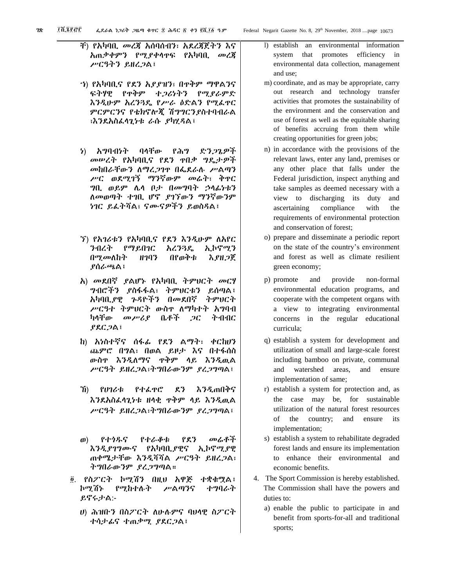፫

- ቸ) የአካባቢ መረጃ አሰባሰብን፣ አደረጃጀትን እና አጠቃቀምን የሚያቀላጥፍ የአካባቢ መረጃ ሥርዓትን ይዘረጋል፤
- ኀ) የአካባቢና የደን አያያዝን፣ በጥቅም ማዋልንና ፍትሃዊ የጥቅም ተጋሪነትን የሚያራምድ እንዲሁም አረንጓዴ የሥራ ዕድልን የሚፈጥር ምርምርንና የቴክኖሎጂ ሽግግርንያስተባብራል ፣እንደአስፈላጊነቱ ራሱ ያካሂዳል፤
- ነ) አግባብነት ባላቸው የሕግ ድንጋጌዎች መሠረት የአካባቢና የደን ጥበቃ ግዴታዎች መከበራቸውን ለማረጋገጥ በፌደራሉ ሥልጣን ሥር ወደሚገኝ ማንኛውም መሬት፣ ቅጥር ግቢ ወይም ሌላ ቦታ በመግባት ኃላፊነቱን ለመወጣት ተገቢ ሆኖ ያገኘውን ማንኛውንም ነገር ይፈትሻል፣ ናሙናዎችን ይወስዳል፤
- ኘ) የአገሪቱን የአካባቢና የደን እንዲሁም ለአየር ንብረት የማይበገር አረንጓዴ ኢኮኖሚን በሚመለከት ዘገባን በየወቅቱ እያዘጋጀ ያሰራጫል፤
- አ) መደበኛ ያልሆኑ የአካባቢ ትምህርት መርሃ ግብሮችን ያስፋፋል፣ ትምህርቱን ይሰጣል፤ አካባቢያዊ ጉዳዮችን በመደበኛ ትምህርት ሥርዓተ ትምህርት ውስጥ ለማካተት አግባብ ካላቸው መሥሪያ ቤቶች ጋር ትብብር ያደርጋል፤
- ከ) አነስተኛና ሰፋፊ የደን ልማት፣ ቀርከሀን ጨምሮ በግል፣ በወል ይዞታ እና በተፋሰስ ውስጥ እንዲለማና ጥቅም ላይ እንዲዉል ሥርዓት ይዘረጋል፣ትግበራውንም ያረጋግጣል፤
- ኸ) የሀገሪቱ የተፈጥሮ ደን እንዲጠበቅና እንደአስፈላጊነቱ ዘላቂ ጥቅም ላይ እንዲዉል ሥርዓት ይዘረጋል፣ትግበራውንም ያረጋግጣል፤
- ወ) የተጎዱና የተራቆቱ የደን መሬቶች እንዲያገግሙና የአካባቢያዊና ኢኮኖሚያዊ ጠቀሜታቸው እንዲሻሻል ሥርዓት ይዘረጋል፣ ትግበራውንም ያረጋግጣል።
- ፬. የስፖርት ኮሚሽን በዚህ አዋጅ ተቋቁሟል፤ ኮሚሽኑ የሚከተሉት ሥልጣንና ተግባራት ይኖሩታል:-
	- ሀ) ሕዝቡን በስፖርት ለሁሉምና ባህላዊ ስፖርት ተሳታፊና ተጠቃሚ ያደርጋል፤
- l) establish an environmental information system that promotes efficiency in environmental data collection, management and use;
- m) coordinate, and as may be appropriate, carry out research and technology transfer activities that promotes the sustainability of the environment and the conservation and use of forest as well as the equitable sharing of benefits accruing from them while creating opportunities for green jobs;
- n) in accordance with the provisions of the relevant laws, enter any land, premises or any other place that falls under the Federal jurisdiction, inspect anything and take samples as deemed necessary with a view to discharging its duty and ascertaining compliance with the requirements of environmental protection and conservation of forest;
- o) prepare and disseminate a periodic report on the state of the country's environment and forest as well as climate resilient green economy;
- p) promote and provide non-formal environmental education programs, and cooperate with the competent organs with a view to integrating environmental concerns in the regular educational curricula;
- q) establish a system for development and utilization of small and large-scale forest including bamboo on private, communal and watershed areas, and ensure implementation of same;
- r) establish a system for protection and, as the case may be, for sustainable utilization of the natural forest resources of the country; and ensure its implementation;
- s) establish a system to rehabilitate degraded forest lands and ensure its implementation to enhance their environmental and economic benefits.
- 4. The Sport Commission is hereby established. The Commission shall have the powers and duties to:
	- a) enable the public to participate in and benefit from sports-for-all and traditional sports;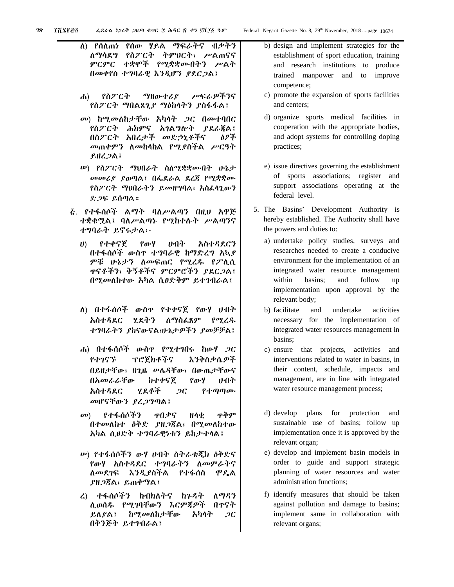- ለ) የሰለጠነ የሰው ሃይል ማፍራትና ብቃትን ለማሳደግ የስፖርት ትምህርት፣ ሥልጠናና ምርምር ተቋሞች የሚቋቋሙበትን ሥልት በመቀየስ ተግባራዊ እንዲሆን ያደርጋል፤
- ሐ) የስፖርት ማዘውተሪያ ሥፍራዎችንና የስፖርት ማበልጸጊያ ማዕከላትን ያስፋፋል፤
- መ) ከሚመለከታቸው አካላት ጋር በመተባበር የስፖርት ሕክምና አገልግሎት ያደራጃል፤ በስፖርት አበረታች መድኃኒቶችና ዕፆች መጠቀምን ለመከላከል የሚያስችል ሥርዓት ይዘረጋል፤
- ሠ) የስፖርት ማህበራት ስለሚቋቋሙበት ሁኔታ መመሪያ ያወጣል፤ በፌደራል ደረጃ የሚቋቋሙ የስፖርት ማህበራትን ይመዘግባል፣ አስፈላጊውን ድጋፍ ይሰጣል።
- ፭. የተፋሰሶች ልማት ባለሥልጣን በዚህ አዋጅ ተቋቁሟል፤ ባለሥልጣኑ የሚከተሉት ሥልጣንና ተግባራት ይኖሩታል፡-
	- ሀ) የተቀናጀ የውሃ ሀብት አስተዳደርን በተፋሰሶች ውስጥ ተግባራዊ ከማድረግ አኳያ ምቹ ሁኔታን ለመፍጠር የሚረዱ የፖሊሲ ጥናቶችን፣ ቅኝቶችና ምርምሮችን ያደርጋል፤ በሚመለከተው አካል ሲፀድቅም ይተገብራል፤
	- ለ) በተፋሰሶች ውስጥ የተቀናጀ የውሃ ሀብት አስተዳደር ሂደትን ለማስፈጸም የሚረዱ ተግባራትን ያከናውናል፣ሁኔታዎችን ያመቻቻል፤
	- ሐ) በተፋሰሶች ውስጥ የሚተገበሩ ከውሃ ጋር የተገናኙ ፕሮጀክቶችና እንቅስቃሴዎች በይዘታቸው፣ በጊዜ ሠሌዳቸው፣ በውጤታቸውና በአመራራቸው ከተቀናጀ የውሃ ሀብት አስተዳደር ሂደቶች ጋር የተጣጣሙ መሆናቸውን ያረጋግጣል፤
	- መ) የተፋሰሶችን ጥበቃና ዘላቂ ጥቅም በተመለከተ ዕቅድ ያዘጋጃል፣ በሚመለከተው አካል ሲፀድቅ ተግባራዊነቱን ይከታተላል፤
	- ሠ) የተፋሰሶችን ውሃ ሀብት ስትራቴጂክ ዕቅድና የውሃ አስተዳደር ተግባራትን ለመምራትና ለመደገፍ እንዲያስችል የተፋሰስ ሞዴል ያዘጋጃል፣ ይጠቀማል፤
	- ረ) ተፋሰሶችን ከብክለትና ከጉዳት ለማዳን ሊወሰዱ የሚገባቸውን እርምጃዎች በጥናት ይለያል፤ ከሚመለከታቸው አካላት ጋር በቅንጅት ይተገብራል፤
- b) design and implement strategies for the establishment of sport education, training and research institutions to produce trained manpower and to improve competence;
- c) promote the expansion of sports facilities and centers;
- d) organize sports medical facilities in cooperation with the appropriate bodies, and adopt systems for controlling doping practices;
- e) issue directives governing the establishment of sports associations; register and support associations operating at the federal level.
- 5. The Basins' Development Authority is hereby established. The Authority shall have the powers and duties to:
	- a) undertake policy studies, surveys and researches needed to create a conducive environment for the implementation of an integrated water resource management within basins; and follow up implementation upon approval by the relevant body;
	- b) facilitate and undertake activities necessary for the implementation of integrated water resources management in basins;
	- c) ensure that projects, activities and interventions related to water in basins, in their content, schedule, impacts and management, are in line with integrated water resource management process;
	- d) develop plans for protection and sustainable use of basins; follow up implementation once it is approved by the relevant organ;
	- e) develop and implement basin models in order to guide and support strategic planning of water resources and water administration functions;
	- f) identify measures that should be taken against pollution and damage to basins; implement same in collaboration with relevant organs;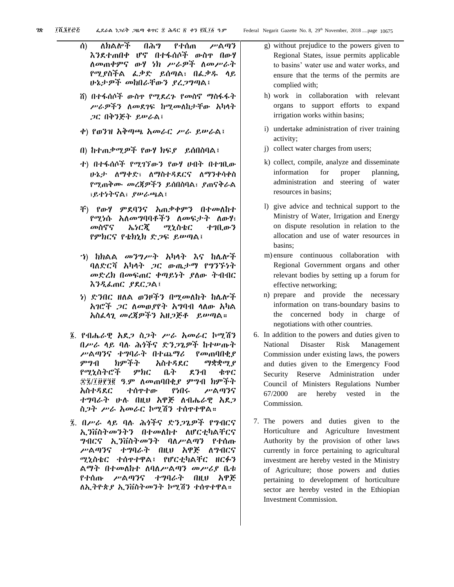- ሰ) ለክልሎች በሕግ የተሰጠ ሥልጣን እንደተጠበቀ ሆኖ በተፋሰሶች ውስጥ በውሃ ለመጠቀምና ውሃ ነክ ሥራዎች ለመሥራት የሚያስችል ፈቃድ ይሰጣል፣ በፈቃዱ ላይ ሁኔታዎች መከበራቸውን ያረጋግጣል፤
	- ሸ) በተፋሰሶች ውስጥ የሚደረጉ የመስኖ ማስፋፋት ሥራዎችን ለመደገፍ ከሚመለከታቸው አካላት ጋር በቅንጅት ይሠራል፤
	- ቀ) የወንዝ አቅጣጫ አመራር ሥራ ይሠራል፤
	- በ) ከተጠቃሚዎች የውሃ ክፍያ ይሰበስባል፤
	- ተ) በተፋሰሶች የሚገኘውን የውሃ ሀብት በተገቢው ሁኔታ ለማቀድ፣ ለማስተዳደርና ለማንቀሳቀስ የሚጠቅሙ መረጃዎችን ይሰበስባል፣ ያጠናቅራል ፣ይተነትናል፣ ያሠራጫል፤
	- ቸ) የውሃ ምደባንና አጠቃቀምን በተመለከተ የሚነሱ አለመግባባቶችን ለመፍታት ለውሃ፣ መስኖና ኤነርጂ ሚኒስቴር ተገቢውን የምክርና የቴክኒክ ድጋፍ ይሠጣል፤
	- ኀ) ከክልል መንግሥት አካላት እና ከሌሎች ባለድርሻ አካላት ጋር ውጤታማ የግንኙነት መድረክ በመፍጠር ቀጣይነት ያለው ትብብር እንዲፈጠር ያደርጋል፤
	- ነ) ድንበር ዘለል ወንዞችን በሚመለከት ከሌሎች አገሮች ጋር ለመወያየት አግባብ ላለው አካል አስፈላጊ መረጃዎችን አዘጋጅቶ ይሠጣል።
- ፮. የብሔራዊ አደጋ ስጋት ሥራ አመራር ኮሚሽን በሥራ ላይ ባሉ ሕጎችና ድንጋጌዎች ከተሠጡት ሥልጣንና ተግባራት በተጨማሪ የመጠባበቂያ ምግብ ክምችት አስተዳደር ማቋቋሚያ የሚኒስትሮች ምክር ቤት ደንብ ቁጥር ፷፯/፲፱፻፺፪ ዓ.ም ለመጠባበቂያ ምግብ ክምችት አስተዳደር ተሰጥተው የነበሩ ሥልጣንና ተግባራት ሁሉ በዚህ አዋጅ ለብሔራዊ አደጋ ስጋት ሥራ አመራር ኮሚሽን ተሰጥተዋል።
- ፯. በሥራ ላይ ባሉ ሕጎችና ድንጋጌዎች የግብርና ኢንቨስትመንትን በተመለከተ ለሆርቲካልቸርና ግብርና ኢንቨስትመንት ባለሥልጣን የተሰጡ ሥልጣንና ተግባራት በዚህ አዋጅ ለግብርና ሚኒስቴር ተሰጥተዋል፤ የሆርቲካልቸር ዘርፉን ልማት በተመለከተ ለባለሥልጣን መሥሪያ ቤቱ የተሰጡ ሥልጣንና ተግባራት በዚህ አዋጅ ለኢትዮጵያ ኢንቨስትመንት ኮሚሽን ተሰጥተዋል።
- g) without prejudice to the powers given to Regional States, issue permits applicable to basins' water use and water works, and ensure that the terms of the permits are complied with;
- h) work in collaboration with relevant organs to support efforts to expand irrigation works within basins;
- i) undertake administration of river training activity;
- j) collect water charges from users;
- k) collect, compile, analyze and disseminate information for proper planning, administration and steering of water resources in basins;
- l) give advice and technical support to the Ministry of Water, Irrigation and Energy on dispute resolution in relation to the allocation and use of water resources in basins;
- m) ensure continuous collaboration with Regional Government organs and other relevant bodies by setting up a forum for effective networking;
- n) prepare and provide the necessary information on trans-boundary basins to the concerned body in charge of negotiations with other countries.
- 6. In addition to the powers and duties given to National Disaster Risk Management Commission under existing laws, the powers and duties given to the Emergency Food Security Reserve Administration under Council of Ministers Regulations Number 67/2000 are hereby vested in the Commission.
- 7. The powers and duties given to the Horticulture and Agriculture Investment Authority by the provision of other laws currently in force pertaining to agricultural investment are hereby vested in the Ministry of Agriculture; those powers and duties pertaining to development of horticulture sector are hereby vested in the Ethiopian Investment Commission.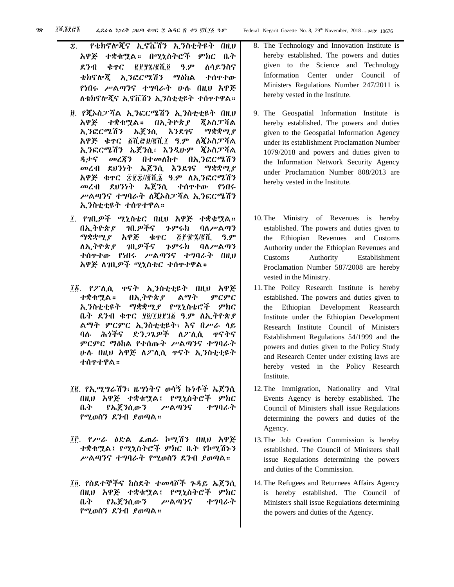- ፰. የቴክኖሎጂና ኢኖቬሽን ኢንስቲትዩት በዚህ አዋጅ ተቋቁሟል። በሚኒስትሮች ምክር ቤት ደንብ ቁጥር ፪፻፶፯/፪ሺ፬ ዓ.ም ለሳይንስና ቴክኖሎጂ ኢንፎርሜሽን ማዕከል ተሰጥተው የነበሩ ሥልጣንና ተግባራት ሁሉ በዚህ አዋጅ ለቴክኖሎጂና ኢኖቬሽን ኢንስቲቲዩት ተሰጥተዋል።
- ፱. የጂኦስፓሻል ኢንፎርሜሽን ኢንስቲቲዩት በዚህ አዋጅ ተቋቁሟል። በኢትዮጵያ ጂኦስፓሻል ኢንፎርሜሽን ኤጀንሲ እንደገና ማቋቋሚያ አዋጅ ቁጥር ፩ሺ፸፱/፪ሺ፲ ዓ.ም ለጂኦስፓሻል ኢንፎርሜሽን ኤጀንሲ፣ እንዲሁም ጂኦስፓሻል ዳታና መረጃን በተመለከተ በኢንፎርሜሽን መረብ ደህንነት ኤጀንሲ እንደገና ማቋቋሚያ አዋጅ ቁጥር ፰፻፰//፪ሺ፮ ዓ.ም ለኢንፎርሜሽን መረብ ደህንነት ኤጀንሲ ተሰጥተው የነበሩ ሥልጣንና ተግባራት ለጂኦስፓሻል ኢንፎርሜሽን ኢንስቲቲዩት ተሰጥተዋል።
- ፲. የገቢዎች ሚኒስቴር በዚህ አዋጅ ተቋቁሟል። በኢትዮጵያ ገቢዎችና ጉምሩክ ባለሥልጣን ማቋቋሚያ አዋጅ ቁጥር ፭፻፹፯/፪ሺ ዓ.ም ለኢትዮጵያ ገቢዎችና ጉምሩክ ባለሥልጣን ተሰጥተው የነበሩ ሥልጣንና ተግባራት በዚህ አዋጅ ለገቢዎች ሚኒስቴር ተሰጥተዋል።
- ፲፩. የፖሊሲ ጥናት ኢንስቲቲዩት በዚህ አዋጅ ተቋቁሟል። በኢትዮጵያ ልማት ምርምር ኢንስቲቲዩት ማቋቋሚያ የሚኒስቴሮች ምክር ቤት ደንብ ቁጥር ፶፬/፲፱፻፺፩ ዓ.ም ለኢትዮጵያ ልማት ምርምር ኢንስቲቲዩት፣ እና በሥራ ላይ ባሉ ሕጎችና ድንጋጌዎች ለፖሊሲ ጥናትና ምርምር ማዕከል የተሰጡት ሥልጣንና ተግባራት ሁሉ በዚህ አዋጅ ለፖሊሲ ጥናት ኢንስቲቲዩት ተሰጥተዋል።
- ፲፪. የኢሚግሬሽን፣ ዜግነትና ወሳኝ ኩነቶች ኤጀንሲ በዚህ አዋጅ ተቋቁሟል፤ የሚኒስትሮች ምክር ቤት የኤጀንሲውን ሥልጣንና ተግባራት የሚወስን ደንብ ያወጣል።
- ፲፫. የሥራ ዕድል ፈጠራ ኮሚሽን በዚህ አዋጅ ተቋቁሟል፤ የሚኒስትሮች ምክር ቤት የኮሚሽኑን ሥልጣንና ተግባራት የሚወስን ደንብ ያወጣል።
- ፲፬. የስደተኞችና ከስደት ተመላሾች ጉዳይ ኤጀንሲ በዚህ አዋጅ ተቋቁሟል፤ የሚኒስትሮች ምክር ቤት የኤጀንሲውን ሥልጣንና ተግባራት የሚወስን ደንብ ያወጣል።
- 9. The Geospatial Information Institute is hereby established. The powers and duties given to the Geospatial Information Agency under its establishment Proclamation Number 1079/2018 and powers and duties given to the Information Network Security Agency under Proclamation Number 808/2013 are hereby vested in the Institute.
- 10.The Ministry of Revenues is hereby established. The powers and duties given to the Ethiopian Revenues and Customs Authority under the Ethiopian Revenues and Customs Authority Establishment Proclamation Number 587/2008 are hereby vested in the Ministry.
- 11.The Policy Research Institute is hereby established. The powers and duties given to the Ethiopian Development Reasearch Institute under the Ethiopian Development Research Institute Council of Ministers Establishment Regulations 54/1999 and the powers and duties given to the Policy Study and Research Center under existing laws are hereby vested in the Policy Research Institute.
- 12.The Immigration, Nationality and Vital Events Agency is hereby established. The Council of Ministers shall issue Regulations determining the powers and duties of the Agency.
- 13.The Job Creation Commission is hereby established. The Council of Ministers shall issue Regulations determining the powers and duties of the Commission.
- 14.The Refugees and Returnees Affairs Agency is hereby established. The Council of Ministers shall issue Regulations determining the powers and duties of the Agency.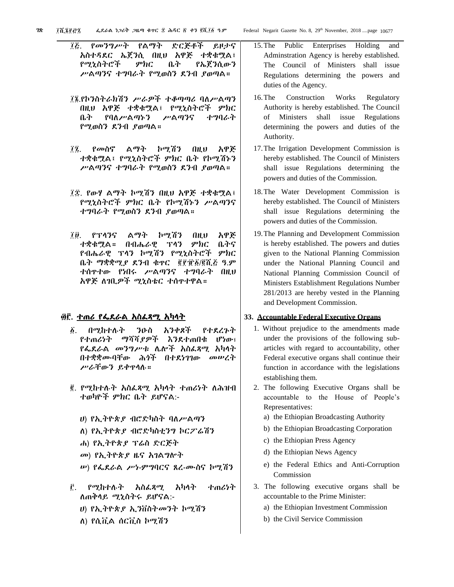- ፲፭. የመንግሥት የልማት ድርጅቶች ይዞታና አስተዳደር ኤጀንሲ በዚህ አዋጅ ተቋቁሟል፤ የሚኒስትሮች ምክር ቤት የኤጀንሲውን ሥልጣንና ተግባራት የሚወስን ደንብ ያወጣል።
- ፲፮.የኮንስትራክሽን ሥራዎች ተቆጣጣሪ ባለሥልጣን በዚህ አዋጅ ተቋቁሟል፤ የሚኒስትሮች ምክር ቤት የባለሥልጣኑን ሥልጣንና ተግባራት የሚወስን ደንብ ያወጣል።
- ፲፯. የመስኖ ልማት ኮሚሽን በዚህ አዋጅ ተቋቁሟል፤ የሚኒስትሮች ምክር ቤት የኮሚሽኑን ሥልጣንና ተግባራት የሚወስን ደንብ ያወጣል።
- ፲፰. የውሃ ልማት ኮሚሽን በዚህ አዋጅ ተቋቁሟል፤ የሚኒስትሮች ምክር ቤት የኮሚሽኑን ሥልጣንና ተግባራት የሚወስን ደንብ ያወጣል።
- ፲፱. የፕላንና ልማት ኮሚሽን በዚህ አዋጅ ተቋቁሟል። በብሔራዊ ፕላን ምክር ቤትና የብሔራዊ ፕላን ኮሚሽን የሚኒስትሮች ምክር ቤት ማቋቋሚያ ደንብ ቁጥር ፪፻፹፩/፪ሺ፭ ዓ.ም ተሰጥተው የነበሩ ሥልጣንና ተግባራት በዚህ አዋጅ ለገቢዎች ሚኒስቴር ተሰጥተዋል።

#### ፴፫. ተጠሪ የፌደራል አስፈጻሚ አካላት

- ፩. በሚከተሉት ንዑስ አንቀጾች የተደረጉት የተጠሪነት ማሻሻያዎች እንደተጠበቁ ሆነው፣ የፌደራል መንግሥቱ ሌሎች አስፈጻሚ አካላት በተቋቋሙባቸው ሕጎች በተደነገገው መሠረት ሥራቸውን ይቀጥላሉ።
- ፪. የሚከተሉት አስፈጻሚ አካላት ተጠሪነት ለሕዝብ ተወካዮች ምክር ቤት ይሆናል:-
	- ሀ) የኢትዮጵያ ብሮድካስት ባለሥልጣን
	- ለ) የኢትዮጵያ ብሮድካስቲንግ ኮርፖሬሽን
	- ሐ) የኢትዮጵያ ፕሬስ ድርጅት
	- መ) የኢትዮጵያ ዜና አገልግሎት
	- ሠ) የፌደራል ሥነ-ምግባርና ጸረ-ሙስና ኮሚሽን
- ፫. የሚከተሉት አስፈጻሚ አካላት ተጠሪነት ለጠቅላይ ሚኒስትሩ ይሆናል:-
	- ሀ) የኢትዮጵያ ኢንቨስትመንት ኮሚሽን
	- ለ) የሲቪል ሰርቪስ ኮሚሽን
- 15.The Public Enterprises Holding and Adminstration Agency is hereby established. The Council of Ministers shall issue Regulations determining the powers and duties of the Agency.
- 16.The Construction Works Regulatory Authority is hereby established. The Council of Ministers shall issue Regulations determining the powers and duties of the Authority.
- 17.The Irrigation Development Commission is hereby established. The Council of Ministers shall issue Regulations determining the powers and duties of the Commission.
- 18.The Water Development Commission is hereby established. The Council of Ministers shall issue Regulations determining the powers and duties of the Commission.
- 19.The Planning and Development Commission is hereby established. The powers and duties given to the National Planning Commission under the National Planning Council and National Planning Commission Council of Ministers Establishment Regulations Number 281/2013 are hereby vested in the Planning and Development Commission.

#### **33. Accountable Federal Executive Organs**

- 1. Without prejudice to the amendments made under the provisions of the following subarticles with regard to accountability, other Federal executive organs shall continue their function in accordance with the legislations establishing them.
- 2. The following Executive Organs shall be accountable to the House of People's Representatives:
	- a) the Ethiopian Broadcasting Authority
	- b) the Ethiopian Broadcasting Corporation
	- c) the Ethiopian Press Agency
	- d) the Ethiopian News Agency
	- e) the Federal Ethics and Anti-Corruption Commission
- 3. The following executive organs shall be accountable to the Prime Minister:
	- a) the Ethiopian Investment Commission
	- b) the Civil Service Commission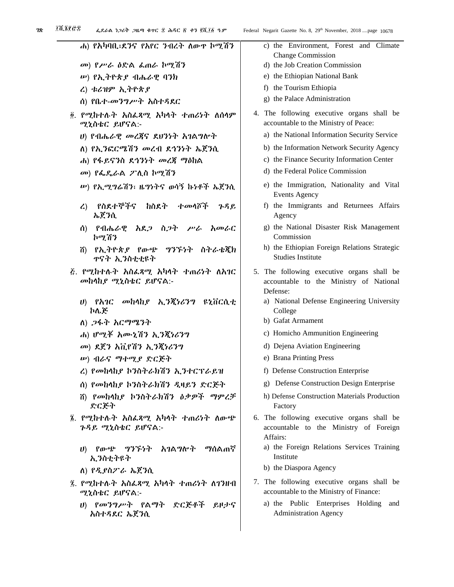| ሐ) የአካባቢ፣ደንና የአየር ንብረት ለውዋ ኮሚሽን                                             | c) the Environment, Forest and Climate<br><b>Change Commission</b>                                |
|-----------------------------------------------------------------------------|---------------------------------------------------------------------------------------------------|
| መ) የሥራ ዕድል ፌጠራ ኮሚሽን                                                         | d) the Job Creation Commission                                                                    |
| ሥ) የኢትዮጵያ ብሔራዊ ባንክ                                                          | e) the Ethiopian National Bank                                                                    |
| ረ) ቱሪዝም ኢትዮጵያ                                                               | f) the Tourism Ethiopia                                                                           |
| ሰ) የቤተ-መንግሥተ አስተዳደር                                                         | g) the Palace Administration                                                                      |
| ፬. የሚከተሉት አስፌጻሚ አካላት ተጠሪነት ለሰላም                                             | 4. The following executive organs shall be                                                        |
| ሚኒስቴር ይሆናል:-                                                                | accountable to the Ministry of Peace:                                                             |
| ሀ) የብሔራዊ መረጃና ደሀንነተ አገልግሎተ                                                  | a) the National Information Security Service                                                      |
| ለ) የኢንፎርሜሽን መረብ ደኅንነት ኤጀንሲ                                                  | b) the Information Network Security Agency                                                        |
| ሐ) የፋይናንስ ደኅንነት መረጃ ማዕከል                                                    | c) the Finance Security Information Center                                                        |
| መ) የፌዴራል ፖሊስ ኮሚሽን                                                           | d) the Federal Police Commission                                                                  |
| ሥ) የኢሚግሬሽን፣ ዜግነትና ወሳኝ ኩነቶች ኤጀንሲ                                             | e) the Immigration, Nationality and Vital<br><b>Events Agency</b>                                 |
| የስደተኞችና ከስደት<br>·ተመሳሾች<br>ጉዳይ<br>$\mathcal{L}$<br>ኤጀንሲ                      | f) the Immigrants and Returnees Affairs<br>Agency                                                 |
| የብሔራዊ አደ <i>ጋ</i> ስ <i>ጋት ሥራ አመ</i> ራር<br>ሰ)<br>ኮሚሽን                        | g) the National Disaster Risk Management<br>Commission                                            |
| የኢትዮጵያ የውጭ ግንኙነት ስትራቴጂክ<br>ñ)<br>ዋናት ኢንስቲቲዩት                                | h) the Ethiopian Foreign Relations Strategic<br><b>Studies Institute</b>                          |
| <i>ξ. የሚከተሉት አስፌጻሚ አካ</i> ላት ተጠሪነት ለአገር<br>መከላከያ ሚኒስቴር ይሆናል:-               | 5. The following executive organs shall be<br>accountable to the Ministry of National<br>Defense: |
| ሀ) የአገር መከላከ <i>ያ</i> ኢ <i>ንጂነሪንግ</i> ዩኒቨርሲቲ<br>ኮሌጅ                         | a) National Defense Engineering University<br>College                                             |
| ለ) <i>ጋ</i> ፋት እር <i>ማሚን</i> ት                                              | b) Gafat Armament                                                                                 |
| ሐ) ሆሚቾ አሙኒሽን ኢንጂነሪንግ                                                        | c) Homicho Ammunition Engineering                                                                 |
| መ) ደጀን አቪየሽን ኢንጂነሪንግ                                                        | d) Dejena Aviation Engineering                                                                    |
| <i><b>w) ብራና ማተሚያ ድርጅተ</b></i>                                              | e) Brana Printing Press                                                                           |
| ረ) የመከላከያ ኮንስትራክሽን ኢንተርፕራይዝ                                                 | f) Defense Construction Enterprise                                                                |
| ሰ) የመከላከይ ኮንስትራክሽን ዲዛይን ድርጅት                                                | g) Defense Construction Design Enterprise                                                         |
| ሽ) የመከላከያ ኮንስትራክሽን ዕቃዎች ማምረቻ<br>ድርጅት                                        | h) Defense Construction Materials Production<br>Factory                                           |
| ፮. የሚከተሉት አስፌጻሚ አካላት ተጠሪነት ለውጭ<br>ንዳይ ሚኒስቴር ይሆናል:-                          | 6. The following executive organs shall be<br>accountable to the Ministry of Foreign<br>Affairs:  |
| አገልግሎት<br>ツツチケヤ<br><i>ግ</i> ሰልጠኛ<br>የውጭ<br>$\boldsymbol{\theta}$<br>ኢንስቲትዩት | a) the Foreign Relations Services Training<br>Institute                                           |
| ለ) የዲያስፖራ ኤጀንሲ                                                              | b) the Diaspora Agency                                                                            |
| 2. የሚከተሉት አስፌጻሚ አካላት ተጠሪነት ለገንዘብ<br>ሚኒስቴር ይሆናል:-                            | 7. The following executive organs shall be<br>accountable to the Ministry of Finance:             |
| ሀ) የመንግሥት የልማት ድርጅቶች<br>ይዞታና<br>አስተዳደር ኤጀንሲ                                 | a) the Public Enterprises Holding<br>and<br><b>Administration Agency</b>                          |
|                                                                             |                                                                                                   |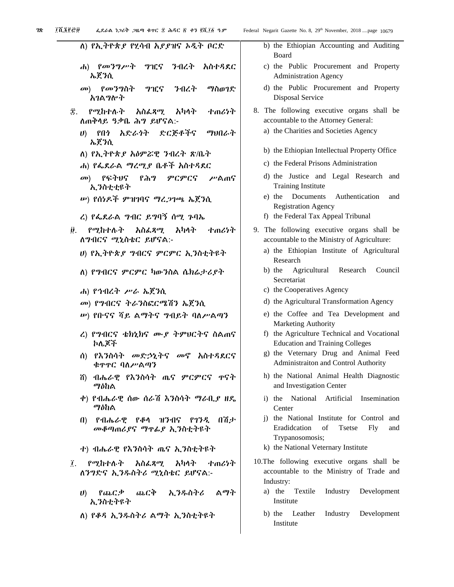| Thereo<br>ፌደራል ነጋሪት ጋዜጣ ቁተር ፰ ሕዳር ፭ ቀን ፪ሺ፲፩ ዓ.ም                     | Federal Negarit Gazette No. 8, 29 <sup>th</sup> November, 2018 page 10679                                       |
|---------------------------------------------------------------------|-----------------------------------------------------------------------------------------------------------------|
| ለ) የኢትዮጵያ የሂሳብ አያያዝና ኦዲት ቦርድ                                        | b) the Ethiopian Accounting and Auditin<br>Board                                                                |
| ሐ) የመንግሥት<br>ግዢና ንብረት አስተዳደር<br>ኤጀንሲ                                | c) the Public Procurement and Proper<br><b>Administration Agency</b>                                            |
| መ) የመንግስት<br>ግዢና<br>ንብረት<br>ማስወገድ<br>አገልግሎት                         | d) the Public Procurement and Proper<br><b>Disposal Service</b>                                                 |
| የሚከተሉት አስፌጻሚ<br>Ŧ.<br>አካላት<br>せのひか<br>ለጠቅሳይ ዓቃቤ ሕግ ይሆናል:-           | 8. The following executive organs shall 1<br>accountable to the Attorney General:                               |
| ሀ) የበነ አድራጎት ድርጅቶችና<br>ማህበራት<br>ኤጀንሲ                                | a) the Charities and Societies Agency                                                                           |
| ለ) የኢትዮጵያ አዕምሯዊ ንብረት ጽ/ቤት                                           | b) the Ethiopian Intellectual Property Offic                                                                    |
| ሐ) የፌደራል <i>ግረሚያ</i> ቤቶች አስተዳደር                                     | c) the Federal Prisons Administration                                                                           |
| መ) የፍትህና<br>የሕግ<br>ምርምርና<br>ሥልጠና<br>ኢንስቲቲዩት                         | d) the Justice and Legal Research at<br><b>Training Institute</b>                                               |
| ሥ) የሰነዶች ምዝገባና ማረጋገጫ ኤጀንሲ                                           | e) the Documents<br>Authentication<br>ai<br><b>Registration Agency</b>                                          |
| ረ) የፌደራል <i>ግ</i> ብር ይግባኝ ሰሚ ጉባኤ                                    | f) the Federal Tax Appeal Tribunal                                                                              |
| አካላት<br>የሚከተሉት<br>አስፌጻሚ<br>ተጠሪነት<br>ij.<br>ለግብርና ሚኒስቴር ይሆናል:-       | 9. The following executive organs shall 1<br>accountable to the Ministry of Agriculture:                        |
| ሀ) የኢትዮጵያ ግብርና ምርምር ኢንስቲትዩት                                         | a) the Ethiopian Institute of Agricultur<br>Research                                                            |
| ለ) የግብርና ምርምር ካውንስል ሴክሬታሪያተ                                         | Agricultural<br>Research<br>b) the<br>Cound<br>Secretariat                                                      |
| ሐ) የኅብረት ሥራ ኤጀንሲ                                                    | c) the Cooperatives Agency                                                                                      |
| መ) የግብርና ትራንስፎርሜሽን ኤጀንሲ                                             | d) the Agricultural Transformation Agency                                                                       |
| <i>ሡ</i> ) የቡናና ሻይ ልማትና <i>ግ</i> ብይት ባለሥልጣን                         | e) the Coffee and Tea Development an<br>Marketing Authority<br>f) the Agriculture Technical and Vocation        |
| ረ) የግብርና ቴክኒክና ሙያ ትምሀርትና ስልጠና<br>ኮሌጆች                               | <b>Education and Training Colleges</b><br>g) the Veternary Drug and Animal Fee                                  |
| ሰ) የእንስሳት መድኃኒትና መኖ አስተዳደርና<br>ቁዋዋር ባለሥልጣን                          | Administraiton and Control Authority                                                                            |
| ሽ) ብሔራዊ የእንስሳት ጤና ምርምርና ዋናት<br>ማዕከል                                 | h) the National Animal Health Diagnost<br>and Investigation Center                                              |
| ቀ) የብሔራዊ ሰው ሰራሽ እንስሳት ማራቢያ ዘዴ<br>ማዕከል                               | National Artificial<br>Inseminatio<br>i) the<br>Center                                                          |
| 介着ナ<br>የብሔራዊ የቆሳ ዝንብና የገንዲ<br>$\bf{u}$<br>መቆጣጠሪያና ማዋፊያ ኢንስቲትዩት      | i) the National Institute for Control and<br>Eradidcation<br>of<br><b>Tsetse</b><br>Fly<br>a<br>Trypanosomosis; |
| ተ) ብሔራዊ የእንስሳት ጤና ኢንስቲትዩት                                           | k) the National Veternary Institute                                                                             |
| አካላት<br>የሚከተሉት<br>አስፌጻሚ<br>Ĩ.<br>ተጠሪነት<br>ለንግድና ኢንዱስትሪ ሚኒስቴር ይሆናል:- | 10. The following executive organs shall 1<br>accountable to the Ministry of Trade an<br>Industry:              |
| ふにや<br>ኢንዱስትሪ<br>ልማት<br>የጨርቃ<br>$\boldsymbol{\theta}$<br>ኢንስቲትዩት    | a) the<br>Textile<br>Industry<br>Developme<br>Institute                                                         |
| ለ) የቆዳ ኢንዱስትሪ ልማት ኢንስቲትዩት                                           | Developme<br>b) the<br>Leather<br>Industry                                                                      |

|  | b) the Ethiopian Accounting and Auditing<br>Board                                              |
|--|------------------------------------------------------------------------------------------------|
|  | c) the Public Procurement and Property<br><b>Administration Agency</b>                         |
|  | d) the Public Procurement and Property<br>Disposal Service                                     |
|  |                                                                                                |
|  | 8. The following executive organs shall be<br>accountable to the Attorney General:             |
|  | a) the Charities and Societies Agency                                                          |
|  | b) the Ethiopian Intellectual Property Office                                                  |
|  | c) the Federal Prisons Administration                                                          |
|  | d) the Justice and Legal Research and<br><b>Training Institute</b>                             |
|  | e) the Documents Authentication and<br><b>Registration Agency</b>                              |
|  | f) the Federal Tax Appeal Tribunal                                                             |
|  | 9. The following executive organs shall be                                                     |
|  | accountable to the Ministry of Agriculture:                                                    |
|  | a) the Ethiopian Institute of Agricultural<br>Research                                         |
|  | b) the Agricultural Research Council<br>Secretariat                                            |
|  | c) the Cooperatives Agency                                                                     |
|  | d) the Agricultural Transformation Agency                                                      |
|  | e) the Coffee and Tea Development and<br><b>Marketing Authority</b>                            |
|  | f) the Agriculture Technical and Vocational                                                    |
|  | <b>Education and Training Colleges</b><br>g) the Veternary Drug and Animal Feed                |
|  | <b>Administraiton and Control Authority</b>                                                    |
|  | h) the National Animal Health Diagnostic<br>and Investigation Center                           |
|  | i) the National Artificial Insemination<br>Center                                              |
|  | j) the National Institute for Control and<br>Eradidcation of Tsetse Fly and<br>Trypanosomosis; |
|  | k) the National Veternary Institute                                                            |
|  | 10.The following executive organs shall be                                                     |
|  |                                                                                                |
|  | accountable to the Ministry of Trade and                                                       |
|  | Industry:<br>a) the Textile Industry Development                                               |

b) the Leather Industry Development Institute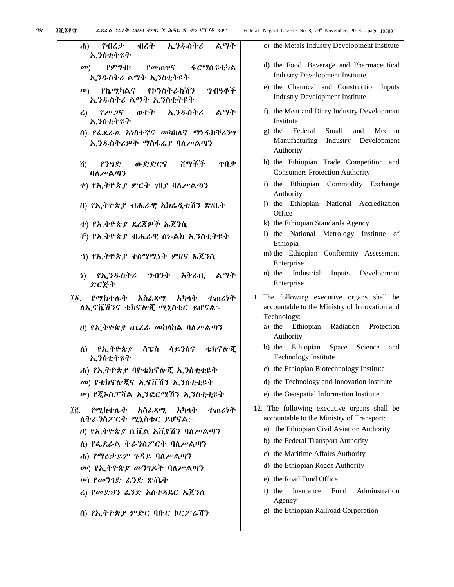| ሐ) የብረታ ብረት ኢንዱስትሪ ልማት<br>ኢንስቲትዩት                         |     |
|-----------------------------------------------------------|-----|
| መ) የምግብ፣ የመጠዋና ፋርማሲዩቲካል<br>ኢንዱስትሪ ልማት ኢንስቲትዩት             |     |
| <i>w</i> ) የኬሚካልና የኮንስትራከሽን ግብዓቶች<br>ኢንዱስትሪ ልማት ኢንስቲትዩት   |     |
| ረ) የሥጋና ወተት ኢንዱስትሪ ልማት<br>ኢንስቲትዩት                         |     |
| ሰ) የፌደራል አነስተኛና መካከለኛ ማኑፋክቸሪንግ<br>ኢንዱስትሪዎች ማስፋፊያ ባለሥልጣን   |     |
| ሽ) የንግድ ውድድርና ሽማቾች ዋበቃ<br>ባለሥልጣን                          |     |
| ቀ) የኢትዮጵያ ምርት ገበያ ባለሥልጣን                                  |     |
| በ) የኢትዮጵያ ብሔራዊ አክሬዲቴሽን ጽ/ቤት                               |     |
| ተ) የኢትዮጵያ ደረጃዎች ኤጀንሲ                                      |     |
| ቸ) የኢትዮጵያ ብሔራዊ ስነ-ልክ ኢንስቲትዩት                              |     |
| ′ነ) የኢትዮጵ <i>ያ</i> ተስማሚነት ምዘና ኤጀንሲ                        |     |
| ን) የኢ <i>ንዱ</i> ስትሪ <i>ግ</i> ብዓት አቅራቢ ልማት<br>ድርጅት         |     |
| ፲፩. የሚከተሉት አስፌጻሚ አካላት ተጠሪነት<br>ለኢኖቬሽንና ቴክኖሎጂ ሚኒስቴር ይሆናል:- | 11. |
| ሀ) የኢትዮጵ <i>ያ ጨረራ መ</i> ከላከል ባለ <i>ሥ</i> ልጣን              |     |
| ለ) የኢትዮጵያ ስፔስ ሳይንስና ቴክኖሎጂ<br>ኢንስቲትዩት                      |     |
| ሐ) የኢትዮጵያ ባዮቴክኖሎጂ ኢንስቲቲዩት                                 |     |
| <i>መ</i> ) የቴክኖሎጂና ኢኖቬሽን ኢንስቲቲዩት                          |     |
| ሥ) የጀኦስፓሻል ኢንፎርሜሽን ኢንስቲቲዩተ                                |     |
| ፲፪. የሚከተሉት አስፌጻሚ አካላት ተጠሪነት<br>ለተራንስፖርተ ሚኒስቴር ይሆናል:-      | 12. |
| ሀ) የኢትዮጵያ ሲቪል አቪየሽን ባለሥልጣን                                |     |
| ለ) የፌደራል ትራንስፖርት ባለሥልጣን                                   |     |
| ሐ) የማሪታይም ጉዳይ ባለሥልጣን                                      |     |
| መ) የኢትዮጵ <i>ያ መንገ</i> ዶች ባለሥልጣን                           |     |
| <i>ሡ</i> ) የመንገድ <i>ፌ</i> ንድ ጽ/ቤት                         |     |
| ረ) የመድሀን ፊንድ አስተዳደር ኤጀንሲ                                  |     |
| ሰ) የኢትዮጵያ ምድር ባቡር ኮርፖሬሽን                                  |     |
|                                                           |     |

| o         | Federal Negarit Gazette No. 8, 29th November, 2018 page 10680                                               |
|-----------|-------------------------------------------------------------------------------------------------------------|
| りイ        | c) the Metals Industry Development Institute                                                                |
| ካል        | d) the Food, Beverage and Pharmaceutical<br><b>Industry Development Institute</b>                           |
| ቶች        | e) the Chemical and Construction Inputs<br><b>Industry Development Institute</b>                            |
| タイ        | f) the Meat and Diary Industry Development<br>Institute                                                     |
| 79        | Federal Small and<br>g) the<br>Medium<br>Manufacturing Industry Development<br>Authority                    |
| በቃ        | h) the Ethiopian Trade Competition and<br><b>Consumers Protection Authority</b>                             |
|           | i) the Ethiopian Commodity Exchange<br>Authority                                                            |
|           | j) the Ethiopian National Accreditation<br>Office                                                           |
|           | k) the Ethiopian Standards Agency                                                                           |
| ŀ.        | 1) the National Metrology Institute of<br>Ethiopia                                                          |
|           | m) the Ethiopian Conformity Assessment<br>Enterprise                                                        |
| タネ        | Industrial Inputs Development<br>n) the<br>Enterprise                                                       |
| <b>7イ</b> | 11. The following executive organs shall be<br>accountable to the Ministry of Innovation and<br>Technology: |
|           | a) the Ethiopian Radiation Protection<br>Authority                                                          |
| ۱°ጃ       | b) the Ethiopian Space Science and<br><b>Technology Institute</b>                                           |
|           | c) the Ethiopian Biotechnology Institute                                                                    |
|           | d) the Technology and Innovation Institute                                                                  |
|           | e) the Geospatial Information Institute                                                                     |
| りヤ        | 12. The following executive organs shall be<br>accountable to the Ministry of Transport:                    |

- a) the Ethiopian Civil Aviation Authority
- b) the Federal Transport Authority
- c) the Maritime Affairs Authority
- d) the Ethiopian Roads Authority
- e) the Road Fund Office
- f) the Insurance Fund Adminstration Agency
- g) the Ethiopian Railroad Corporation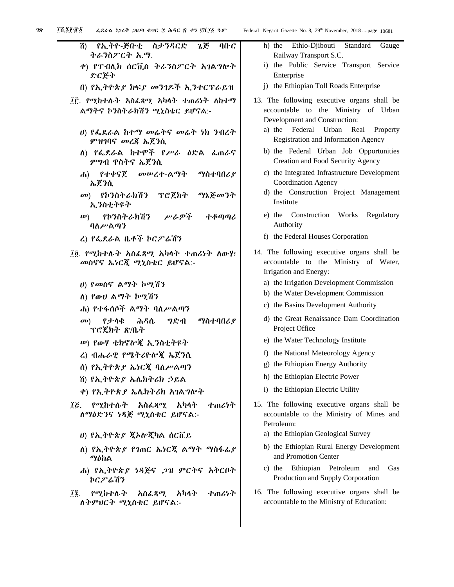| ሽ) የኢትዮ-ጅቡቲ ስታንጻርድ ኔጅ ባቡር<br>そんろのどCす と、?                                 | h) the Ethio-Djibouti Standard<br>Railway Transport S.C.                                                 |
|--------------------------------------------------------------------------|----------------------------------------------------------------------------------------------------------|
| ቀ) የፐብሊክ ሰርቪስ ትራንስፖርት አገልግሎት<br>ድርጅት                                     | i) the Public Service Transport S<br>Enterprise                                                          |
| በ) የኢትዮጵያ ክፍያ መንገዶች ኢንተርፕራይዝ                                             | j) the Ethiopian Toll Roads Enterprise                                                                   |
| ፲፫. የሚከተሉት አስፌጻሚ አካላት ተጠሪነት ለከተማ<br>ልማትና ኮንስትራክሽን ሚኒስቴር ይሆናል:-           | 13. The following executive organs sh<br>accountable to the Ministry of<br>Development and Construction: |
| ሀ) የፌደራል ከተማ መሬተና መሬት ነክ ንብረተ<br><i>ምዝገ</i> ባና <i>መረ</i> ጃ ኤጀንሲ          | a) the Federal Urban<br>Real Pr<br>Registration and Information Agenc                                    |
| ለ) የፌደራል ከተሞች የሥራ ዕድል ፌጠራና<br>ምንብ ዋስትና ኤጀንሲ                              | b) the Federal Urban Job Opport<br>Creation and Food Security Agency                                     |
| ሐ) የተቀናጀ<br>መሠረተ-ልማት<br>ማስተባበሪያ<br>ኤጀንሲ                                  | c) the Integrated Infrastructure Develo<br>Coordination Agency                                           |
| የኮንስትራክሽን ፕሮጀክት ማኔጅመንት<br>$\mathbf{a}$<br>ኢንስቲትዩት                        | d) the Construction Project Manag<br>Institute                                                           |
| <i>w</i> ) የኮንስትራክሽን<br>ሥራዎች<br>ተቆጣጣሪ<br>ባለሥልጣን                          | e) the Construction Works<br>Regu<br>Authority                                                           |
| ረ) የፌደራል ቤቶች ኮርፖሬሽን                                                      | f) the Federal Houses Corporation                                                                        |
| ፲፬. የሚከተሉት አስፌጻሚ አካላት ተጠሪነት ለውሃ፤<br>መስኖና ኤነርጂ ሚኒስቴር ይሆናል:-               | 14. The following executive organs sh<br>accountable to the Ministry of<br>Irrigation and Energy:        |
| ሀ) የመስኖ ልማት ኮሚሽን                                                         | a) the Irrigation Development Commis                                                                     |
| ለ) የውሀ ልማት ኮሚሽን                                                          | b) the Water Development Commission                                                                      |
| ሐ) የተፋሰሶች ልማት ባለሥልጣን                                                     | c) the Basins Development Authority                                                                      |
| ማስተባበሪያ<br>ሕዳሴ<br><b>7ድብ</b><br>የታሳቁ<br>$\mathbf{a}$<br>ፕሮጄክት ጽ/ቤት       | d) the Great Renaissance Dam Coordi<br>Project Office                                                    |
| ሥ) የውሃ ቴክኖሎጂ ኢንስቲተዩት                                                     | e) the Water Technology Institute                                                                        |
| ረ) ብሔራዊ የሜትሪዮሎጂ ኤጀንሲ                                                     | f) the National Meteorology Agency                                                                       |
| ሰ) የኢትዮጵያ ኤነርጇ ባለሥልጣን                                                    | g) the Ethiopian Energy Authority                                                                        |
| ሽ) የኢትዮጵያ ኤሌክትሪክ ኃይል                                                     | h) the Ethiopian Electric Power                                                                          |
| ቀ) የኢትዮጵያ ኤሌክትሪክ አገልግሎት                                                  | i) the Ethiopian Electric Utility                                                                        |
| የሚከተሉት<br>አስፌጻሚ<br>አካላት<br>すのんりれ<br>Ĩξ.<br>ለማዕድንና ነዳጅ ሚኒስቴር ይሆናል:-       | 15. The following executive organs sh<br>accountable to the Ministry of Mine<br>Petroleum:               |
| ሀ) የኢትዮጵያ ጇኦሎጇካል ሰርቬይ                                                    | a) the Ethiopian Geological Survey                                                                       |
| ለ) የኢትዮጵያ የገጠር ኤነርጇ ልማት ማስፋፊያ<br>ማዕከል                                    | b) the Ethiopian Rural Energy Develo<br>and Promotion Center                                             |
| ሐ) የኢትዮጵያ ነዳጅና .ጋዝ ምርትና አቅርቦት<br>ኮር <i>ፖ</i> ሬሽን                         | Ethiopian Petroleum<br>c) the<br>and<br>Production and Supply Corporation                                |
| የሚከተሉት<br>አካላት<br>ተጠሪነት<br>አስፌጻሚ<br>$\tilde{I}$ .<br>ለተምሀርተ ሚኒስቴር ይሆናል - | 16. The following executive organs sh<br>accountable to the Ministry of Educatio                         |

| deral Negarit Gazette No. 8, 29 <sup>th</sup> November, 2018 page 10681                               |
|-------------------------------------------------------------------------------------------------------|
| Ethio-Djibouti Standard<br>h) the<br>Gauge                                                            |
| Railway Transport S.C.<br>Public Service Transport Service<br>i) the<br>Enterprise                    |
| j) the Ethiopian Toll Roads Enterprise                                                                |
| 13. The following executive organs shall be                                                           |
| accountable to the Ministry of Urban                                                                  |
| Development and Construction:                                                                         |
| a) the Federal Urban Real Property<br>Registration and Information Agency                             |
| b) the Federal Urban Job Opportunities                                                                |
| Creation and Food Security Agency                                                                     |
| c) the Integrated Infrastructure Development                                                          |
| <b>Coordination Agency</b>                                                                            |
| d) the Construction Project Management                                                                |
| Institute                                                                                             |
| e) the Construction Works<br>Regulatory                                                               |
| Authority                                                                                             |
| f) the Federal Houses Corporation                                                                     |
| 14. The following executive organs shall be                                                           |
| accountable to the Ministry of Water,                                                                 |
| Irrigation and Energy:                                                                                |
| a) the Irrigation Development Commission                                                              |
| b) the Water Development Commission                                                                   |
| c) the Basins Development Authority                                                                   |
| d) the Great Renaissance Dam Coordination<br>Project Office                                           |
| e) the Water Technology Institute                                                                     |
| f) the National Meteorology Agency                                                                    |
| g) the Ethiopian Energy Authority                                                                     |
| h) the Ethiopian Electric Power                                                                       |
| i) the Ethiopian Electric Utility                                                                     |
| 15. The following executive organs shall be<br>accountable to the Ministry of Mines and<br>Petroleum: |
| a) the Ethiopian Geological Survey                                                                    |
| b) the Ethiopian Rural Energy Development<br>and Promotion Center                                     |
| c) the Ethiopian Petroleum and<br>Gas                                                                 |

itive organs shall be istry of Education: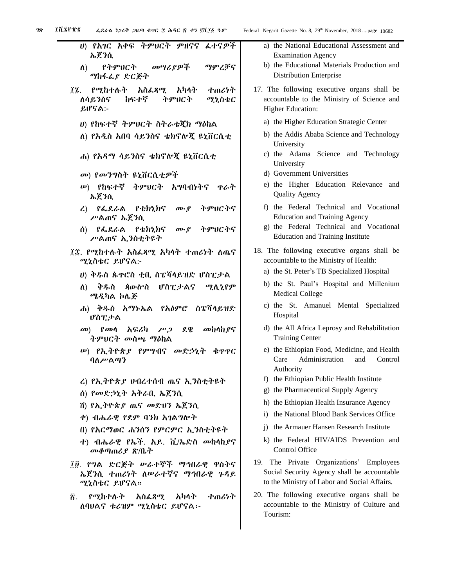| ሀ) የአገር አቀፍ ትምሀርት ምዘናና ፌተናዎች<br>ኤጀንሲ                                        |              |
|-----------------------------------------------------------------------------|--------------|
| ስ) የትምህርት መሣሪያዎች ማምረቻና<br>ማከፋፌያ ድርጅት                                        |              |
| ፲፯. የሚከተሉት አስፌጻሚ አካላት ተጠሪነት<br>ለሳይንስና ከፍተኛ ትምሀርት ሚኒስቴር<br>ይሆናል:-            | $\mathbf{1}$ |
| ሀ) የከፍተኛ ትምሀርት ስትራቴጂክ ማዕከል<br>ለ) የአዲስ አበባ ሳይንስና ቴክኖሎጂ ዩኒቨርሲቲ                |              |
| ሐ) የአዳማ ሳይንስና ቴክኖሎጂ ዩኒቨርሲቲ                                                  |              |
| መ) የመንግስት ዩኒቨርሲቲዎች                                                          |              |
| ሥ) የከፍተኛ ትምሀርት አግባብነትና ዋራት<br>ኤጀንሲ                                          |              |
| ረ) የፌደራል የቴክኒክና ሙያ ትምሀርትና<br>ሥልጠና ኤጀንሲ                                      |              |
| ሰ) የፌደራል የቴክኒክና ሙያ ትምሀርትና<br>ሥልጠና ኢንስቲተዩት                                   |              |
| ፲፰. የሚከተሉት አስፌጻሚ አካላት ተጠሪነት ለጤና<br>ሚኒስቴር ይሆናል:-                             | $\mathbf{1}$ |
| ሀ) ቅዱስ ጴዋሮስ ቲቢ ስፔሻሳይዝድ ሆስፒታል                                                |              |
| ለ) ቅዱስ ጳውሎስ ሆስፒታልና ሚሊኒየም<br>ሜዲካል ኮሌጅ                                        |              |
| ሐ) ቅዱስ አማኑኤል የአዕምሮ ስፔሻሳይዝድ<br>ぴስፒታል                                         |              |
| መ) የመሳ አፍሪካ ሥጋ ደዌ መከላከያና<br>ትምህርት <i>መ</i> ስጫ ማዕከል                          |              |
| ሥ) የኢትዮጵ <i>ያ</i> የምግብና መድኃኒት ቁዋዋር<br>ባስሥልጣን                                |              |
| ረ) የኢትዮጵያ ሀብረተሰብ ጤና ኢንስቲትዩት                                                 |              |
| ሰ) የመድኃኒት አቅራቢ ኤጀንሲ                                                         |              |
| ሽ) የኢትዮጵ <i>ያ ጤና መ</i> ድሀን ኤጀንሲ                                             |              |
| ቀ) ብሔራዊ የደም ባንክ አገልግሎት                                                      |              |
| በ) የአርማወር ሐንሰን የምርምር ኢንስቲትዩት                                                |              |
| ተ) ብሔራዊ የኤች. አይ. ቪ/ኤድስ መከላከያና<br>መቆጣጠሪያ ጽ/ቤት                                |              |
| ፲፱. የግል ድርጅት ሥራተኞች ማኅበራዊ ዋስትና<br>ኤጀንሲ ተጠሪነት ለሥራተኛና ማኅበራዊ ጉዳይ<br>ሚኒስቴር ይሆናል። | 1            |

፳. የሚከተሉት አስፈጻሚ አካላት ተጠሪነት ለባህልና ቱሪዝም ሚኒስቴር ይሆናል፡-

- a) the National Educational Assessment and Examination Agency
- b) the Educational Materials Production and Distribution Enterprise
- 17. The following executive organs shall be accountable to the Ministry of Science and Higher Education:
	- a) the Higher Education Strategic Center
	- b) the Addis Ababa Science and Technology University
	- c) the Adama Science and Technology University
	- d) Government Universities
	- e) the Higher Education Relevance and Quality Agency
	- f) the Federal Technical and Vocational Education and Training Agency
	- g) the Federal Technical and Vocational Education and Training Institute
- 18. The following executive organs shall be accountable to the Ministry of Health:
	- a) the St. Peter's TB Specialized Hospital
	- b) the St. Paul's Hospital and Millenium Medical College
	- c) the St. Amanuel Mental Specialized Hospital
	- d) the All Africa Leprosy and Rehabilitation Training Center
	- e) the Ethiopian Food, Medicine, and Health Care Administration and Control Authority
	- f) the Ethiopian Public Health Institute
	- g) the Pharmaceutical Supply Agency
	- h) the Ethiopian Health Insurance Agency
	- i) the National Blood Bank Services Office
	- j) the Armauer Hansen Research Institute
	- k) the Federal HIV/AIDS Prevention and Control Office
- 19. The Private Organizations' Employees Social Security Agency shall be accountable to the Ministry of Labor and Social Affairs.
- 20. The following executive organs shall be accountable to the Ministry of Culture and Tourism: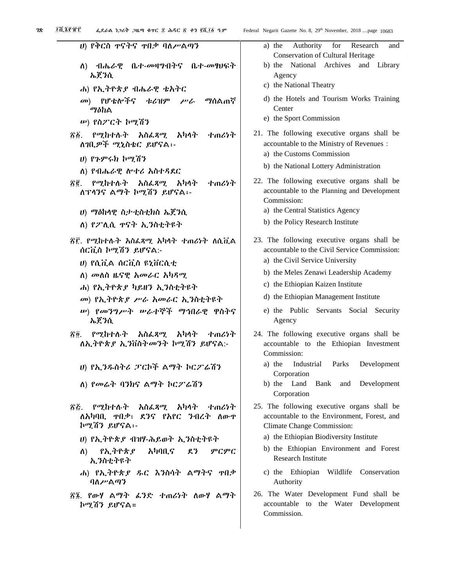| ሀ) የቅርስ ዋናትና ዋበቃ ባለሥልጣን                                                     | a) the<br>Cons                       |
|-----------------------------------------------------------------------------|--------------------------------------|
| ለ) ብሔራዊ ቤተ-መዛግብትና ቤተ-መፃህፍት<br>ኤጀንሲ                                          | b) the<br>Ager                       |
| ሐ) የኢትዮጵያ ብሔራዊ ቴአትር                                                         | c) the $N$                           |
| መ) የሆቴሎችና ቱሪዝም ሥራ ማሰልጠኛ<br>ማዕከል                                             | d) the I<br>Cent                     |
| <i>ω</i> ) የስ <i>2</i> ርት ኮሚሽን                                              | e) the S                             |
| ፳፩. የሚከተሉት አስፌጻሚ አካላት ተጠሪነት<br>ለገቢዎች ሚኒስቴር ይሆናል፡-                           | 21. The fo<br>accounta               |
| ሀ) የጉምሩክ ኮሚሽን                                                               | a) the C                             |
| ለ) የብሔራዊ ሎተሪ አስተዳደር                                                         | b) the $N$                           |
| ፳፪ የሚከተሉት አስፌጻሚ አካላት ተጠሪነተ<br>ለፕላንና ልማት ኮሚሽን ይሆናል፡-                         | $22.$ The form<br>accounta<br>Commis |
| ሀ) ማዕከላዊ ስታቲስቲክስ ኤጀንሲ                                                       | a) the C                             |
| ለ) የፖሊሲ ኖናት ኢንስቲትዩት                                                         | b) the P                             |
| ፳፫. የሚከተሉት አስፌጻሚ አካላት ተጠሪነት ለሲቪል<br>ሰርቪስ ኮሚሽን ይሆናል:-                        | 23. The fo<br>accounta               |
| υ) የሲቪል ሰርቪስ ዩኒቨርሲቲ                                                         | a) the C                             |
| ለ) መለስ ዜናዊ <i>አመራ</i> ር <i>አካዳሚ</i>                                         | b) the $\Lambda$                     |
| ሐ) የኢትዮጵያ ካይዘን ኢንስቲትዩት                                                      | c) the $E$                           |
| መ) የኢትዮጵያ ሥራ አመራር ኢንስቲትዩት                                                   | d) the E                             |
| ሥ) <i>የመንግሥት ሡራተኞች ማኅ</i> በራዊ ዋስትና<br>ኤጀንሲ                                  | e) the<br>Ager                       |
| ፳፬. የሚከተሉት አስፌጻሚ አካላት ተጠሪነት<br>ለኢትዮጵያ ኢንቨስትመንት ኮሚሽን ይሆናል:-                  | 24. The fo<br>accounta<br>Commis     |
| ሀ) የኢ <i>ንዱ</i> ስትሪ ፓርኮች ልማት ኮርፖሬሽን                                         | a) the                               |
| ለ) የመሬት ባንክና ልማት ኮርፖሬሽን                                                     | Corp<br>b) the<br>Corp               |
| ፳፭. የሚከተሉት አስፌጻሚ አካላት ተጠሪነት<br>ለአካባቢ. ዋበቃ፣ ደንና የአየር ንብረት ለውዋ<br>ኮሚሽን ይሆናል፡- | 25. The fo<br>accounta<br>Climate    |
| ሀ) የኢትዮጵያ ብዝሃ-ሕይወተ ኢንስቲትዩት                                                  | a) the E                             |
| ለ) የኢትዮጵያ አካባቢና ደን ምርምር<br>ኢንስቲትዩት                                          | b) the<br>Rese                       |
| ሐ) የኢትዮጵያ ዱር እንስሳት ልማትና ተበቃ<br>ባለሥልጣን                                       | c) the<br>Auth                       |
| ፳፮. የውሃ ልማት ፊንድ ተጠሪነት ለውሃ ልማት<br>ኮሚሽን ይሆናል።                                 | 26. The V<br>accounta<br>Commis      |
|                                                                             |                                      |

| Federal Negarit Gazette No. 8, 29 <sup>th</sup> November, 2018 page 10683                                                                                                                                                                   |
|---------------------------------------------------------------------------------------------------------------------------------------------------------------------------------------------------------------------------------------------|
| a) the Authority for Research<br>and<br><b>Conservation of Cultural Heritage</b>                                                                                                                                                            |
| National Archives and Library<br>b) the<br>Agency<br>c) the National Theatry                                                                                                                                                                |
| d) the Hotels and Tourism Works Training<br>Center                                                                                                                                                                                          |
| e) the Sport Commission                                                                                                                                                                                                                     |
| 21. The following executive organs shall be<br>accountable to the Ministry of Revenues :<br>a) the Customs Commission                                                                                                                       |
| b) the National Lottery Administration                                                                                                                                                                                                      |
| 22. The following executive organs shall be<br>accountable to the Planning and Development<br>Commission:                                                                                                                                   |
| a) the Central Statistics Agency                                                                                                                                                                                                            |
| b) the Policy Research Institute                                                                                                                                                                                                            |
| 23. The following executive organs shall be<br>accountable to the Civil Service Commission:<br>a) the Civil Service University<br>b) the Meles Zenawi Leadership Academy<br>c) the Ethiopian Kaizen Institute                               |
| d) the Ethiopian Management Institute                                                                                                                                                                                                       |
| e) the Public Servants Social Security<br>Agency                                                                                                                                                                                            |
| 24. The following executive organs shall be<br>accountable to the Ethiopian Investment<br>Commission:<br>a) the<br>Industrial Parks<br>Development<br>Corporation                                                                           |
| Land<br>b) the<br>Bank and<br>Development<br>Corporation                                                                                                                                                                                    |
| 25. The following executive organs shall be<br>accountable to the Environment, Forest, and<br>Climate Change Commission:<br>a) the Ethiopian Biodiversity Institute<br>b) the Ethiopian Environment and Forest<br><b>Research Institute</b> |

- Ethiopian Wildlife Conservation ority
- Water Development Fund shall be able to the Water Development ssion.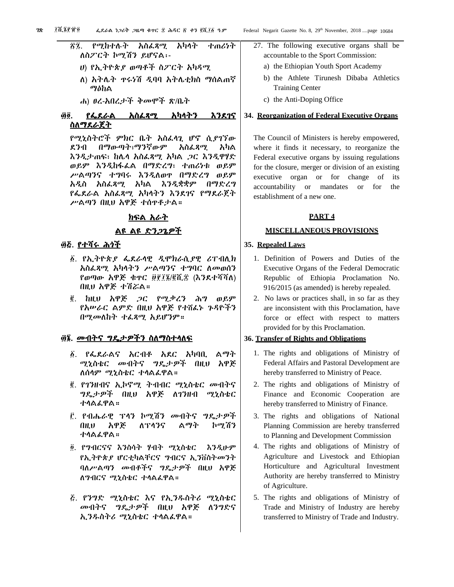# ፳፯. የሚከተሉት አስፈጻሚ አካላት ተጠሪነት ለስፖርት ኮሚሽን ይሆናል፡- ሀ) የኢትዮጵያ ወጣቶች ስፖርት አካዳሚ

- ለ) አትሌት ጥሩነሽ ዲባባ አትሌቲክስ ማሰልጠኛ ማዕከል
- ሐ) ፀረ-አበረታች ቅመሞች ጽ/ቤት

# ፴፬. የፌደራል አስፈጻሚ አካላትን እንደገና <u>ስለማደራጀት</u>

የሚኒስትሮች ምክር ቤት አስፈላጊ ሆኖ ሲያገኘው ደንብ በማውጣት፣ማንኛውም አስፈጻሚ አካል እንዲታጠፍ፣ ከሌላ አስፈጻሚ አካል ጋር እንዲዋሃድ ወይም እንዲከፋፈል በማድረግ፣ ተጠሪነቱ ወይም ሥልጣንና ተግባሩ እንዲለወጥ በማድረግ ወይም አዲስ አስፈጻሚ አካል እንዲቋቋም በማድረግ የፌደራል አስፈጻሚ አካላትን እንደገና የማደራጀት ሥልጣን በዚህ አዋጅ ተሰጥቶታል።

# ክፍል አራት

# <u>ልዩ ልዩ ድንጋጌዎች</u>

# ፴፭. <u>የተሻሩ ሕጎች</u>

- ፩. የኢትዮጵያ ፌደራላዊ ዲሞክራሲያዊ ሪፐብሊክ አስፈጻሚ አካላትን ሥልጣንና ተግባር ለመወሰን የወጣው አዋጅ ቁጥር ፱፻፲፮/፪ሺ፰ (እንደተሻሻለ) በዚህ አዋጅ ተሽሯል።
- ፪. ከዚህ አዋጅ ጋር የሚቃረን ሕግ ወይም የአሠራር ልምድ በዚህ አዋጅ የተሸፈኑ ጉዳዮችን በሚመለከት ተፈጻሚ አይሆንም።

# ፴፮. መብትና ግዴታዎችን ስለማስተላለፍ

- ፩. የፌደራልና አርብቶ አደር አካባቢ ልማት ሚኒስቴር መብትና ግዴታዎች በዚህ አዋጅ ለሰላም ሚኒስቴር ተላልፈዋል።
- ፪. የገንዘብና ኢኮኖሚ ትብብር ሚኒስቴር መብትና ግዴታዎች በዚህ አዋጅ ለገንዘብ ሚኒስቴር ተላልፈዋል።
- ፫. የብሔራዊ ፕላን ኮሚሽን መብትና ግዴታዎች በዚህ አዋጅ ለፕላንና ልማት ኮሚሽን ተላልፈዋል።
- ፬. የግብርናና እንስሳት ሃብት ሚኒስቴር እንዲሁም የኢትዮጵያ ሆርቲካልቸርና ግብርና ኢንቨስትመንት ባለሥልጣን መብቶችና ግዴታዎች በዚህ አዋጅ ለግብርና ሚኒስቴር ተላልፈዋል።
- ፭. የንግድ ሚኒስቴር እና የኢንዱስትሪ ሚኒስቴር መብትና ግዴታዎች በዚህ አዋጅ ለንግድና ኢንዱስትሪ ሚኒስቴር ተላልፈዋል።
- 27. The following executive organs shall be accountable to the Sport Commission:
	- a) the Ethiopian Youth Sport Academy
	- b) the Athlete Tirunesh Dibaba Athletics Training Center
	- c) the Anti-Doping Office

# **34. Reorganization of Federal Executive Organs**

The Council of Ministers is hereby empowered, where it finds it necessary, to reorganize the Federal executive organs by issuing regulations for the closure, merger or division of an existing executive organ or for change of its accountability or mandates or for the establishment of a new one.

# **PART 4**

# **MISCELLANEOUS PROVISIONS**

# **35. Repealed Laws**

- 1. Definition of Powers and Duties of the Executive Organs of the Federal Democratic Republic of Ethiopia Proclamation No. 916/2015 (as amended) is hereby repealed.
- 2. No laws or practices shall, in so far as they are inconsistent with this Proclamation, have force or effect with respect to matters provided for by this Proclamation.

# **36. Transfer of Rights and Obligations**

- 1. The rights and obligations of Ministry of Federal Affairs and Pastoral Development are hereby transferred to Ministry of Peace.
- 2. The rights and obligations of Ministry of Finance and Economic Cooperation are hereby transferred to Ministry of Finance.
- 3. The rights and obligations of National Planning Commission are hereby transferred to Planning and Development Commission
- 4. The rights and obligations of Ministry of Agriculture and Livestock and Ethiopian Horticulture and Agricultural Investment Authority are hereby transferred to Ministry of Agriculture.
- 5. The rights and obligations of Ministry of Trade and Ministry of Industry are hereby transferred to Ministry of Trade and Industry.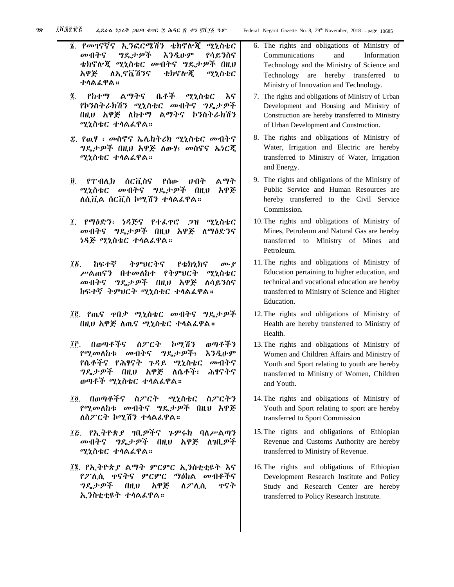- ፮. የመገናኛና ኢንፎርሜሽን ቴክኖሎጂ ሚኒስቴር መብትና ግዴታዎች እንዲሁም የሳይንስና ቴክኖሎጂ ሚኒስቴር መብትና ግዴታዎች በዚህ አዋጅ ለኢኖቬሽንና ቴክኖሎጂ ሚኒስቴር ተላልፈዋል።
- ፯. የከተማ ልማትና ቤቶች ሚኒስቴር እና የኮንስትራክሽን ሚኒስቴር መብትና ግዴታዎች በዚህ አዋጅ ለከተማ ልማትና ኮንስትራክሽን ሚኒስቴር ተላልፈዋል።
- ፰. የዉሃ ፣ መስኖና ኤሌክትሪክ ሚኒስቴር መብትና ግዴታዎች በዚህ አዋጅ ለውሃ፣ መስኖና ኤነርጂ ሚኒስቴር ተላልፈዋል።
- ፱. የፐብሊክ ሰርቪስና የሰው ሀብት ልማት ሚኒስቴር መብትና ግዴታዎች በዚህ አዋጅ ለሲቪል ሰርቪስ ኮሚሽን ተላልፈዋል።
- ፲. የማዕድን፣ ነዳጅና የተፈጥሮ ጋዝ ሚኒስቴር መብትና ግዴታዎች በዚህ አዋጅ ለማዕድንና ነዳጅ ሚኒስቴር ተላልፈዋል።
- ፲፩. ከፍተኛ ትምህርትና የቴክኒክና ሙያ ሥልጠናን በተመለከተ የትምህርት ሚኒስቴር መብትና ግዴታዎች በዚህ አዋጅ ለሳይንስና ከፍተኛ ትምህርት ሚኒስቴር ተላልፈዋል።
- ፲፪. የጤና ጥበቃ ሚኒስቴር መብትና ግዴታዎች በዚህ አዋጅ ለጤና ሚኒስቴር ተላልፈዋል።
- ፲፫. በወጣቶችና ስፖርት ኮሚሽን ወጣቶችን የሚመለከቱ መብትና ግዴታዎች፣ እንዲሁም የሴቶችና የሕፃናት ጉዳይ ሚኒስቴር መብትና ግዴታዎች በዚህ አዋጅ ለሴቶች፣ ሕፃናትና ወጣቶች ሚኒስቴር ተላልፈዋል።
- ፲፬. በወጣቶችና ስፖርት ሚኒስቴር ስፖርትን የሚመለከቱ መብትና ግዴታዎች በዚህ አዋጅ ለስፖርት ኮሚሽን ተላልፈዋል።
- ፲፭. የኢትዮጵያ ገቢዎችና ጉምሩክ ባለሥልጣን መብትና ግዴታዎች በዚህ አዋጅ ለገቢዎች ሚኒስቴር ተላልፈዋል።
- ፲፮. የኢትዮጵያ ልማት ምርምር ኢንስቲቲዩት እና የፖሊሲ ጥናትና ምርምር ማዕከል መብቶችና ግዴታዎች በዚህ አዋጅ ለፖሊሲ ጥናት ኢንስቲቲዩት ተላልፈዋል።
- 6. The rights and obligations of Ministry of Communications and Information Technology and the Ministry of Science and Technology are hereby transferred to Ministry of Innovation and Technology.
- 7. The rights and obligations of Ministry of Urban Development and Housing and Ministry of Construction are hereby transferred to Ministry of Urban Development and Construction.
- 8. The rights and obligations of Ministry of Water, Irrigation and Electric are hereby transferred to Ministry of Water, Irrigation and Energy.
- 9. The rights and obligations of the Ministry of Public Service and Human Resources are hereby transferred to the Civil Service Commission.
- 10.The rights and obligations of Ministry of Mines, Petroleum and Natural Gas are hereby transferred to Ministry of Mines and Petroleum.
- 11.The rights and obligations of Ministry of Education pertaining to higher education, and technical and vocational education are hereby transferred to Ministry of Science and Higher Education.
- 12.The rights and obligations of Ministry of Health are hereby transferred to Ministry of Health.
- 13.The rights and obligations of Ministry of Women and Children Affairs and Ministry of Youth and Sport relating to youth are hereby transferred to Ministry of Women, Children and Youth.
- 14.The rights and obligations of Ministry of Youth and Sport relating to sport are hereby transferred to Sport Commission
- 15.The rights and obligations of Ethiopian Revenue and Customs Authority are hereby transferred to Ministry of Revenue.
- 16.The rights and obligations of Ethiopian Development Research Institute and Policy Study and Research Center are hereby transferred to Policy Research Institute.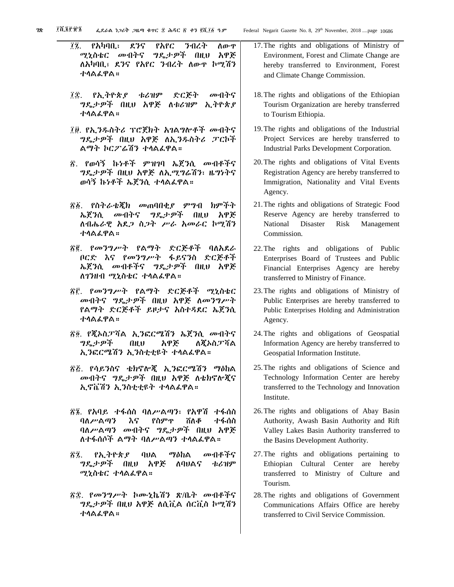- ፲፯. የአካባቢ፣ ደንና የአየር ንብረት ለውጥ ሚኒስቴር መብትና ግዴታዎች በዚህ አዋጅ ለአካባቢ፣ ደንና የአየር ንብረት ለውጥ ኮሚሽን ተላልፈዋል።
- ፲፰. የኢትዮጵያ ቱሪዝም ድርጅት መብትና ግዴታዎች በዚህ አዋጅ ለቱሪዝም ኢትዮጵያ ተላልፈዋል።
- ፲፱. የኢንዱስትሪ ፕሮጀክት አገልግሎቶች መብትና ግዴታዎች በዚህ አዋጅ ለኢንዱስትሪ ፓርኮች ልማት ኮርፖሬሽን ተላልፈዋል።
- ፳. የወሳኝ ኩነቶች ምዝገባ ኤጀንሲ መብቶችና ግዴታዎች በዚህ አዋጅ ለኢሚግሬሽን፣ ዜግነትና ወሳኝ ኩነቶች ኤጀንሲ ተላልፈዋል።
- ፳፩. የስትራቴጂክ መጠባበቂያ ምግብ ክምችት ኤጀንሲ መብትና ግዴታዎች በዚህ አዋጅ ለብሔራዊ አደጋ ስጋት ሥራ አመራር ኮሚሽን ተላልፈዋል።
- ፳፪. የመንግሥት የልማት ድርጅቶች ባለአደራ ቦርድ እና የመንግሥት ፋይናንስ ድርጅቶች ኤጀንሲ መብቶችና ግዴታዎች በዚህ አዋጅ ለገንዘብ ሚኒስቴር ተላልፈዋል።
- ፳፫. የመንግሥት የልማት ድርጅቶች ሚኒስቴር መብትና ግዴታዎች በዚህ አዋጅ ለመንግሥት የልማት ድርጅቶች ይዞታና አስተዳደር ኤጀንሲ ተላልፈዋል።
- ፳፬. የጂኦስፓሻል ኢንፎርሜሽን ኤጀንሲ መብትና ግዴታዎች በዚህ አዋጅ ለጂኦስፓሻል ኢንፎርሜሽን ኢንስቲቲዩት ተላልፈዋል።
- ፳፭. የሳይንስና ቴክኖሎጂ ኢንፎርሜሽን ማዕከል መብትና ግዴታዎች በዚህ አዋጅ ለቴክኖሎጂና ኢኖቬሽን ኢንስቲቲዩት ተላልፈዋል።
- ፳፮. የአባይ ተፋሰስ ባለሥልጣን፣ የአዋሽ ተፋሰስ ባለሥልጣን እና የስምጥ ሸለቆ ተፋሰስ ባለሥልጣን መብትና ግዴታዎች በዚህ አዋጅ ለተፋሰሶች ልማት ባለሥልጣን ተላልፈዋል።
- ፳፯. የኢትዮጵያ ባህል ማዕከል መብቶችና ግዴታዎች በዚህ አዋጅ ለባህልና ቱሪዝም ሚኒስቴር ተላልፈዋል።
- ፳፰. የመንግሥት ኮሙኒኬሽን ጽ/ቤት መብቶችና ግዴታዎች በዚህ አዋጅ ለሲቪል ሰርቪስ ኮሚሽን ተላልፈዋል።
- 17.The rights and obligations of Ministry of Environment, Forest and Climate Change are hereby transferred to Environment, Forest and Climate Change Commission.
- 18.The rights and obligations of the Ethiopian Tourism Organization are hereby transferred to Tourism Ethiopia.
- 19.The rights and obligations of the Industrial Project Services are hereby transferred to Industrial Parks Development Corporation.
- 20.The rights and obligations of Vital Events Registration Agency are hereby transferred to Immigration, Nationality and Vital Events Agency.
- 21.The rights and obligations of Strategic Food Reserve Agency are hereby transferred to National Disaster Risk Management Commission.
- 22.The rights and obligations of Public Enterprises Board of Trustees and Public Financial Enterprises Agency are hereby transferred to Ministry of Finance.
- 23.The rights and obligations of Ministry of Public Enterprises are hereby transferred to Public Enterprises Holding and Administration Agency.
- 24.The rights and obligations of Geospatial Information Agency are hereby transferred to Geospatial Information Institute.
- 25.The rights and obligations of Science and Technology Information Center are hereby transferred to the Technology and Innovation Institute.
- 26.The rights and obligations of Abay Basin Authority, Awash Basin Authority and Rift Valley Lakes Basin Authority transferred to the Basins Development Authority.
- 27.The rights and obligations pertaining to Ethiopian Cultural Center are hereby transferred to Ministry of Culture and Tourism.
- 28.The rights and obligations of Government Communications Affairs Office are hereby transferred to Civil Service Commission.